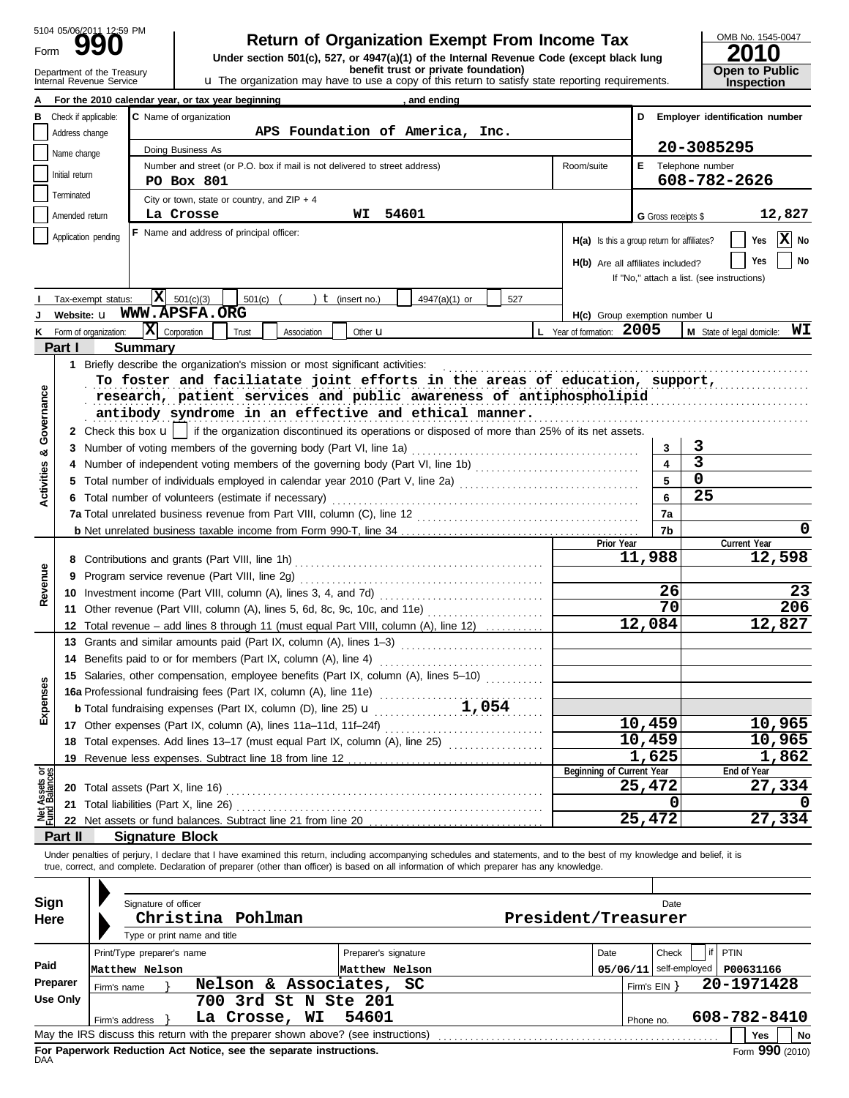Form 5104 05/06/2011 12:59 PM

# **UDD** TWE Return of Organization Exempt From Income Tax DRIE No. 1545-1545-1545-<br>
Under section 501(c), 527, or 4947(a)(1) of the Internal Revenue Code (except black lung<br> **Return of Organization Exempt From Income Tax**

Department of the Treasury **absort Clublic**<br>Internal Revenue Service **and Clublic Clublic u** The organization may have to use a copy of this return to satisfy state reporting requirements. **This pection** 

| OMB No. 1545-0047                   |
|-------------------------------------|
| 2010                                |
| <b>Open to Public</b><br>Insnection |

| For the 2010 calendar year, or tax year beginning<br>, and ending<br>D Employer identification number<br>Check if applicable:<br>C Name of organization<br>в<br>APS Foundation of America, Inc.<br>Address change<br>20-3085295<br>Doing Business As<br>Name change<br>Number and street (or P.O. box if mail is not delivered to street address)<br>E Telephone number<br>Room/suite<br>Initial return<br>608-782-2626<br><b>PO Box 801</b><br>Terminated<br>City or town, state or country, and $ZIP + 4$<br>54601<br>12,827<br>La Crosse<br>Amended return<br>WI<br>G Gross receipts \$<br><b>F</b> Name and address of principal officer:<br>Application pending<br>$ \mathbf{x} $<br>H(a) Is this a group return for affiliates?<br>Yes<br>No<br><b>No</b><br>Yes<br>H(b) Are all affiliates included?<br>If "No," attach a list. (see instructions)<br>$ \mathbf{X} $ 501(c)(3)<br>501(c)<br>$t$ (insert no.)<br>Tax-exempt status:<br>4947(a)(1) or<br>527<br>Website: u WWW.APSFA.ORG<br>$H(c)$ Group exemption number $U$<br>$ \mathbf{X} $ Corporation<br>L Year of formation: 2005<br>WI<br>M State of legal domicile:<br>Form of organization:<br>Trust<br>Association<br>Other <b>u</b><br>κ<br>Part I<br><b>Summary</b><br>1 Briefly describe the organization's mission or most significant activities:<br>To foster and faciliatate joint efforts in the areas of education, support,<br>Governance<br>research, patient services and public awareness of antiphospholipid<br>antibody syndrome in an effective and ethical manner.<br>2 Check this box $\mathbf{u}$   if the organization discontinued its operations or disposed of more than 25% of its net assets.<br>3<br>3<br>3<br>×<br>3<br><b>Activities</b><br>4<br>0<br>5<br>Total number of individuals employed in calendar year 2010 (Part V, line 2a)<br>5.<br>25<br>6<br>6 Total number of volunteers (estimate if necessary)<br>7a<br>0<br>7b<br>Prior Year<br>Current Year<br>11,988<br>12,598<br>Revenue<br>9<br>26<br>23<br>$\overline{70}$<br>206<br>11 Other revenue (Part VIII, column (A), lines 5, 6d, 8c, 9c, 10c, and 11e)<br>12,084<br>12,827<br>12 Total revenue - add lines 8 through 11 (must equal Part VIII, column (A), line 12)<br>13 Grants and similar amounts paid (Part IX, column (A), lines 1-3) [1] [1] [1] [1] [1] [1] Grants and similar<br>14 Benefits paid to or for members (Part IX, column (A), line 4)<br>15 Salaries, other compensation, employee benefits (Part IX, column (A), lines 5-10)<br>යි<br>15 Salaries, outer components, etc., 2014<br>16a Professional fundraising fees (Part IX, column (A), line 11e)<br>1,054<br>Expense<br>10,965<br>10,459<br>17 Other expenses (Part IX, column (A), lines 11a-11d, 11f-24f)<br>10,459<br>10,965<br>18 Total expenses. Add lines 13-17 (must equal Part IX, column (A), line 25) [<br>1,625<br>1,862<br>Net Assets or<br>Beginning of Current Year<br>End of Year<br>27,334<br>25,472<br>20 Total assets (Part X, line 16)<br>0<br>21 Total liabilities (Part X, line 26)<br>27,334<br>25,472<br><b>Signature Block</b><br>Part II | benefit trust or private foundation)<br>Department of the Treasury<br>Internal Revenue Service<br><b>u</b> The organization may have to use a copy of this return to satisfy state reporting requirements. |  |  |  |  |  |  |  |  |  |
|----------------------------------------------------------------------------------------------------------------------------------------------------------------------------------------------------------------------------------------------------------------------------------------------------------------------------------------------------------------------------------------------------------------------------------------------------------------------------------------------------------------------------------------------------------------------------------------------------------------------------------------------------------------------------------------------------------------------------------------------------------------------------------------------------------------------------------------------------------------------------------------------------------------------------------------------------------------------------------------------------------------------------------------------------------------------------------------------------------------------------------------------------------------------------------------------------------------------------------------------------------------------------------------------------------------------------------------------------------------------------------------------------------------------------------------------------------------------------------------------------------------------------------------------------------------------------------------------------------------------------------------------------------------------------------------------------------------------------------------------------------------------------------------------------------------------------------------------------------------------------------------------------------------------------------------------------------------------------------------------------------------------------------------------------------------------------------------------------------------------------------------------------------------------------------------------------------------------------------------------------------------------------------------------------------------------------------------------------------------------------------------------------------------------------------------------------------------------------------------------------------------------------------------------------------------------------------------------------------------------------------------------------------------------------------------------------------------------------------------------------------------------------------------------------------------------------------------------------------------------------------------------------------------------------------------------------------------------------------------------------------------------------------------------------------------------------------------------------------|------------------------------------------------------------------------------------------------------------------------------------------------------------------------------------------------------------|--|--|--|--|--|--|--|--|--|
|                                                                                                                                                                                                                                                                                                                                                                                                                                                                                                                                                                                                                                                                                                                                                                                                                                                                                                                                                                                                                                                                                                                                                                                                                                                                                                                                                                                                                                                                                                                                                                                                                                                                                                                                                                                                                                                                                                                                                                                                                                                                                                                                                                                                                                                                                                                                                                                                                                                                                                                                                                                                                                                                                                                                                                                                                                                                                                                                                                                                                                                                                                          |                                                                                                                                                                                                            |  |  |  |  |  |  |  |  |  |
|                                                                                                                                                                                                                                                                                                                                                                                                                                                                                                                                                                                                                                                                                                                                                                                                                                                                                                                                                                                                                                                                                                                                                                                                                                                                                                                                                                                                                                                                                                                                                                                                                                                                                                                                                                                                                                                                                                                                                                                                                                                                                                                                                                                                                                                                                                                                                                                                                                                                                                                                                                                                                                                                                                                                                                                                                                                                                                                                                                                                                                                                                                          |                                                                                                                                                                                                            |  |  |  |  |  |  |  |  |  |
|                                                                                                                                                                                                                                                                                                                                                                                                                                                                                                                                                                                                                                                                                                                                                                                                                                                                                                                                                                                                                                                                                                                                                                                                                                                                                                                                                                                                                                                                                                                                                                                                                                                                                                                                                                                                                                                                                                                                                                                                                                                                                                                                                                                                                                                                                                                                                                                                                                                                                                                                                                                                                                                                                                                                                                                                                                                                                                                                                                                                                                                                                                          |                                                                                                                                                                                                            |  |  |  |  |  |  |  |  |  |
|                                                                                                                                                                                                                                                                                                                                                                                                                                                                                                                                                                                                                                                                                                                                                                                                                                                                                                                                                                                                                                                                                                                                                                                                                                                                                                                                                                                                                                                                                                                                                                                                                                                                                                                                                                                                                                                                                                                                                                                                                                                                                                                                                                                                                                                                                                                                                                                                                                                                                                                                                                                                                                                                                                                                                                                                                                                                                                                                                                                                                                                                                                          |                                                                                                                                                                                                            |  |  |  |  |  |  |  |  |  |
|                                                                                                                                                                                                                                                                                                                                                                                                                                                                                                                                                                                                                                                                                                                                                                                                                                                                                                                                                                                                                                                                                                                                                                                                                                                                                                                                                                                                                                                                                                                                                                                                                                                                                                                                                                                                                                                                                                                                                                                                                                                                                                                                                                                                                                                                                                                                                                                                                                                                                                                                                                                                                                                                                                                                                                                                                                                                                                                                                                                                                                                                                                          |                                                                                                                                                                                                            |  |  |  |  |  |  |  |  |  |
|                                                                                                                                                                                                                                                                                                                                                                                                                                                                                                                                                                                                                                                                                                                                                                                                                                                                                                                                                                                                                                                                                                                                                                                                                                                                                                                                                                                                                                                                                                                                                                                                                                                                                                                                                                                                                                                                                                                                                                                                                                                                                                                                                                                                                                                                                                                                                                                                                                                                                                                                                                                                                                                                                                                                                                                                                                                                                                                                                                                                                                                                                                          |                                                                                                                                                                                                            |  |  |  |  |  |  |  |  |  |
|                                                                                                                                                                                                                                                                                                                                                                                                                                                                                                                                                                                                                                                                                                                                                                                                                                                                                                                                                                                                                                                                                                                                                                                                                                                                                                                                                                                                                                                                                                                                                                                                                                                                                                                                                                                                                                                                                                                                                                                                                                                                                                                                                                                                                                                                                                                                                                                                                                                                                                                                                                                                                                                                                                                                                                                                                                                                                                                                                                                                                                                                                                          |                                                                                                                                                                                                            |  |  |  |  |  |  |  |  |  |
|                                                                                                                                                                                                                                                                                                                                                                                                                                                                                                                                                                                                                                                                                                                                                                                                                                                                                                                                                                                                                                                                                                                                                                                                                                                                                                                                                                                                                                                                                                                                                                                                                                                                                                                                                                                                                                                                                                                                                                                                                                                                                                                                                                                                                                                                                                                                                                                                                                                                                                                                                                                                                                                                                                                                                                                                                                                                                                                                                                                                                                                                                                          |                                                                                                                                                                                                            |  |  |  |  |  |  |  |  |  |
|                                                                                                                                                                                                                                                                                                                                                                                                                                                                                                                                                                                                                                                                                                                                                                                                                                                                                                                                                                                                                                                                                                                                                                                                                                                                                                                                                                                                                                                                                                                                                                                                                                                                                                                                                                                                                                                                                                                                                                                                                                                                                                                                                                                                                                                                                                                                                                                                                                                                                                                                                                                                                                                                                                                                                                                                                                                                                                                                                                                                                                                                                                          |                                                                                                                                                                                                            |  |  |  |  |  |  |  |  |  |
|                                                                                                                                                                                                                                                                                                                                                                                                                                                                                                                                                                                                                                                                                                                                                                                                                                                                                                                                                                                                                                                                                                                                                                                                                                                                                                                                                                                                                                                                                                                                                                                                                                                                                                                                                                                                                                                                                                                                                                                                                                                                                                                                                                                                                                                                                                                                                                                                                                                                                                                                                                                                                                                                                                                                                                                                                                                                                                                                                                                                                                                                                                          |                                                                                                                                                                                                            |  |  |  |  |  |  |  |  |  |
|                                                                                                                                                                                                                                                                                                                                                                                                                                                                                                                                                                                                                                                                                                                                                                                                                                                                                                                                                                                                                                                                                                                                                                                                                                                                                                                                                                                                                                                                                                                                                                                                                                                                                                                                                                                                                                                                                                                                                                                                                                                                                                                                                                                                                                                                                                                                                                                                                                                                                                                                                                                                                                                                                                                                                                                                                                                                                                                                                                                                                                                                                                          |                                                                                                                                                                                                            |  |  |  |  |  |  |  |  |  |
|                                                                                                                                                                                                                                                                                                                                                                                                                                                                                                                                                                                                                                                                                                                                                                                                                                                                                                                                                                                                                                                                                                                                                                                                                                                                                                                                                                                                                                                                                                                                                                                                                                                                                                                                                                                                                                                                                                                                                                                                                                                                                                                                                                                                                                                                                                                                                                                                                                                                                                                                                                                                                                                                                                                                                                                                                                                                                                                                                                                                                                                                                                          |                                                                                                                                                                                                            |  |  |  |  |  |  |  |  |  |
|                                                                                                                                                                                                                                                                                                                                                                                                                                                                                                                                                                                                                                                                                                                                                                                                                                                                                                                                                                                                                                                                                                                                                                                                                                                                                                                                                                                                                                                                                                                                                                                                                                                                                                                                                                                                                                                                                                                                                                                                                                                                                                                                                                                                                                                                                                                                                                                                                                                                                                                                                                                                                                                                                                                                                                                                                                                                                                                                                                                                                                                                                                          |                                                                                                                                                                                                            |  |  |  |  |  |  |  |  |  |
|                                                                                                                                                                                                                                                                                                                                                                                                                                                                                                                                                                                                                                                                                                                                                                                                                                                                                                                                                                                                                                                                                                                                                                                                                                                                                                                                                                                                                                                                                                                                                                                                                                                                                                                                                                                                                                                                                                                                                                                                                                                                                                                                                                                                                                                                                                                                                                                                                                                                                                                                                                                                                                                                                                                                                                                                                                                                                                                                                                                                                                                                                                          |                                                                                                                                                                                                            |  |  |  |  |  |  |  |  |  |
|                                                                                                                                                                                                                                                                                                                                                                                                                                                                                                                                                                                                                                                                                                                                                                                                                                                                                                                                                                                                                                                                                                                                                                                                                                                                                                                                                                                                                                                                                                                                                                                                                                                                                                                                                                                                                                                                                                                                                                                                                                                                                                                                                                                                                                                                                                                                                                                                                                                                                                                                                                                                                                                                                                                                                                                                                                                                                                                                                                                                                                                                                                          |                                                                                                                                                                                                            |  |  |  |  |  |  |  |  |  |
|                                                                                                                                                                                                                                                                                                                                                                                                                                                                                                                                                                                                                                                                                                                                                                                                                                                                                                                                                                                                                                                                                                                                                                                                                                                                                                                                                                                                                                                                                                                                                                                                                                                                                                                                                                                                                                                                                                                                                                                                                                                                                                                                                                                                                                                                                                                                                                                                                                                                                                                                                                                                                                                                                                                                                                                                                                                                                                                                                                                                                                                                                                          |                                                                                                                                                                                                            |  |  |  |  |  |  |  |  |  |
|                                                                                                                                                                                                                                                                                                                                                                                                                                                                                                                                                                                                                                                                                                                                                                                                                                                                                                                                                                                                                                                                                                                                                                                                                                                                                                                                                                                                                                                                                                                                                                                                                                                                                                                                                                                                                                                                                                                                                                                                                                                                                                                                                                                                                                                                                                                                                                                                                                                                                                                                                                                                                                                                                                                                                                                                                                                                                                                                                                                                                                                                                                          |                                                                                                                                                                                                            |  |  |  |  |  |  |  |  |  |
|                                                                                                                                                                                                                                                                                                                                                                                                                                                                                                                                                                                                                                                                                                                                                                                                                                                                                                                                                                                                                                                                                                                                                                                                                                                                                                                                                                                                                                                                                                                                                                                                                                                                                                                                                                                                                                                                                                                                                                                                                                                                                                                                                                                                                                                                                                                                                                                                                                                                                                                                                                                                                                                                                                                                                                                                                                                                                                                                                                                                                                                                                                          |                                                                                                                                                                                                            |  |  |  |  |  |  |  |  |  |
|                                                                                                                                                                                                                                                                                                                                                                                                                                                                                                                                                                                                                                                                                                                                                                                                                                                                                                                                                                                                                                                                                                                                                                                                                                                                                                                                                                                                                                                                                                                                                                                                                                                                                                                                                                                                                                                                                                                                                                                                                                                                                                                                                                                                                                                                                                                                                                                                                                                                                                                                                                                                                                                                                                                                                                                                                                                                                                                                                                                                                                                                                                          |                                                                                                                                                                                                            |  |  |  |  |  |  |  |  |  |
|                                                                                                                                                                                                                                                                                                                                                                                                                                                                                                                                                                                                                                                                                                                                                                                                                                                                                                                                                                                                                                                                                                                                                                                                                                                                                                                                                                                                                                                                                                                                                                                                                                                                                                                                                                                                                                                                                                                                                                                                                                                                                                                                                                                                                                                                                                                                                                                                                                                                                                                                                                                                                                                                                                                                                                                                                                                                                                                                                                                                                                                                                                          |                                                                                                                                                                                                            |  |  |  |  |  |  |  |  |  |
|                                                                                                                                                                                                                                                                                                                                                                                                                                                                                                                                                                                                                                                                                                                                                                                                                                                                                                                                                                                                                                                                                                                                                                                                                                                                                                                                                                                                                                                                                                                                                                                                                                                                                                                                                                                                                                                                                                                                                                                                                                                                                                                                                                                                                                                                                                                                                                                                                                                                                                                                                                                                                                                                                                                                                                                                                                                                                                                                                                                                                                                                                                          |                                                                                                                                                                                                            |  |  |  |  |  |  |  |  |  |
|                                                                                                                                                                                                                                                                                                                                                                                                                                                                                                                                                                                                                                                                                                                                                                                                                                                                                                                                                                                                                                                                                                                                                                                                                                                                                                                                                                                                                                                                                                                                                                                                                                                                                                                                                                                                                                                                                                                                                                                                                                                                                                                                                                                                                                                                                                                                                                                                                                                                                                                                                                                                                                                                                                                                                                                                                                                                                                                                                                                                                                                                                                          |                                                                                                                                                                                                            |  |  |  |  |  |  |  |  |  |
|                                                                                                                                                                                                                                                                                                                                                                                                                                                                                                                                                                                                                                                                                                                                                                                                                                                                                                                                                                                                                                                                                                                                                                                                                                                                                                                                                                                                                                                                                                                                                                                                                                                                                                                                                                                                                                                                                                                                                                                                                                                                                                                                                                                                                                                                                                                                                                                                                                                                                                                                                                                                                                                                                                                                                                                                                                                                                                                                                                                                                                                                                                          |                                                                                                                                                                                                            |  |  |  |  |  |  |  |  |  |
|                                                                                                                                                                                                                                                                                                                                                                                                                                                                                                                                                                                                                                                                                                                                                                                                                                                                                                                                                                                                                                                                                                                                                                                                                                                                                                                                                                                                                                                                                                                                                                                                                                                                                                                                                                                                                                                                                                                                                                                                                                                                                                                                                                                                                                                                                                                                                                                                                                                                                                                                                                                                                                                                                                                                                                                                                                                                                                                                                                                                                                                                                                          |                                                                                                                                                                                                            |  |  |  |  |  |  |  |  |  |
|                                                                                                                                                                                                                                                                                                                                                                                                                                                                                                                                                                                                                                                                                                                                                                                                                                                                                                                                                                                                                                                                                                                                                                                                                                                                                                                                                                                                                                                                                                                                                                                                                                                                                                                                                                                                                                                                                                                                                                                                                                                                                                                                                                                                                                                                                                                                                                                                                                                                                                                                                                                                                                                                                                                                                                                                                                                                                                                                                                                                                                                                                                          |                                                                                                                                                                                                            |  |  |  |  |  |  |  |  |  |
|                                                                                                                                                                                                                                                                                                                                                                                                                                                                                                                                                                                                                                                                                                                                                                                                                                                                                                                                                                                                                                                                                                                                                                                                                                                                                                                                                                                                                                                                                                                                                                                                                                                                                                                                                                                                                                                                                                                                                                                                                                                                                                                                                                                                                                                                                                                                                                                                                                                                                                                                                                                                                                                                                                                                                                                                                                                                                                                                                                                                                                                                                                          |                                                                                                                                                                                                            |  |  |  |  |  |  |  |  |  |
|                                                                                                                                                                                                                                                                                                                                                                                                                                                                                                                                                                                                                                                                                                                                                                                                                                                                                                                                                                                                                                                                                                                                                                                                                                                                                                                                                                                                                                                                                                                                                                                                                                                                                                                                                                                                                                                                                                                                                                                                                                                                                                                                                                                                                                                                                                                                                                                                                                                                                                                                                                                                                                                                                                                                                                                                                                                                                                                                                                                                                                                                                                          |                                                                                                                                                                                                            |  |  |  |  |  |  |  |  |  |
|                                                                                                                                                                                                                                                                                                                                                                                                                                                                                                                                                                                                                                                                                                                                                                                                                                                                                                                                                                                                                                                                                                                                                                                                                                                                                                                                                                                                                                                                                                                                                                                                                                                                                                                                                                                                                                                                                                                                                                                                                                                                                                                                                                                                                                                                                                                                                                                                                                                                                                                                                                                                                                                                                                                                                                                                                                                                                                                                                                                                                                                                                                          |                                                                                                                                                                                                            |  |  |  |  |  |  |  |  |  |
|                                                                                                                                                                                                                                                                                                                                                                                                                                                                                                                                                                                                                                                                                                                                                                                                                                                                                                                                                                                                                                                                                                                                                                                                                                                                                                                                                                                                                                                                                                                                                                                                                                                                                                                                                                                                                                                                                                                                                                                                                                                                                                                                                                                                                                                                                                                                                                                                                                                                                                                                                                                                                                                                                                                                                                                                                                                                                                                                                                                                                                                                                                          |                                                                                                                                                                                                            |  |  |  |  |  |  |  |  |  |
|                                                                                                                                                                                                                                                                                                                                                                                                                                                                                                                                                                                                                                                                                                                                                                                                                                                                                                                                                                                                                                                                                                                                                                                                                                                                                                                                                                                                                                                                                                                                                                                                                                                                                                                                                                                                                                                                                                                                                                                                                                                                                                                                                                                                                                                                                                                                                                                                                                                                                                                                                                                                                                                                                                                                                                                                                                                                                                                                                                                                                                                                                                          |                                                                                                                                                                                                            |  |  |  |  |  |  |  |  |  |
|                                                                                                                                                                                                                                                                                                                                                                                                                                                                                                                                                                                                                                                                                                                                                                                                                                                                                                                                                                                                                                                                                                                                                                                                                                                                                                                                                                                                                                                                                                                                                                                                                                                                                                                                                                                                                                                                                                                                                                                                                                                                                                                                                                                                                                                                                                                                                                                                                                                                                                                                                                                                                                                                                                                                                                                                                                                                                                                                                                                                                                                                                                          |                                                                                                                                                                                                            |  |  |  |  |  |  |  |  |  |
|                                                                                                                                                                                                                                                                                                                                                                                                                                                                                                                                                                                                                                                                                                                                                                                                                                                                                                                                                                                                                                                                                                                                                                                                                                                                                                                                                                                                                                                                                                                                                                                                                                                                                                                                                                                                                                                                                                                                                                                                                                                                                                                                                                                                                                                                                                                                                                                                                                                                                                                                                                                                                                                                                                                                                                                                                                                                                                                                                                                                                                                                                                          |                                                                                                                                                                                                            |  |  |  |  |  |  |  |  |  |
|                                                                                                                                                                                                                                                                                                                                                                                                                                                                                                                                                                                                                                                                                                                                                                                                                                                                                                                                                                                                                                                                                                                                                                                                                                                                                                                                                                                                                                                                                                                                                                                                                                                                                                                                                                                                                                                                                                                                                                                                                                                                                                                                                                                                                                                                                                                                                                                                                                                                                                                                                                                                                                                                                                                                                                                                                                                                                                                                                                                                                                                                                                          |                                                                                                                                                                                                            |  |  |  |  |  |  |  |  |  |
|                                                                                                                                                                                                                                                                                                                                                                                                                                                                                                                                                                                                                                                                                                                                                                                                                                                                                                                                                                                                                                                                                                                                                                                                                                                                                                                                                                                                                                                                                                                                                                                                                                                                                                                                                                                                                                                                                                                                                                                                                                                                                                                                                                                                                                                                                                                                                                                                                                                                                                                                                                                                                                                                                                                                                                                                                                                                                                                                                                                                                                                                                                          |                                                                                                                                                                                                            |  |  |  |  |  |  |  |  |  |
|                                                                                                                                                                                                                                                                                                                                                                                                                                                                                                                                                                                                                                                                                                                                                                                                                                                                                                                                                                                                                                                                                                                                                                                                                                                                                                                                                                                                                                                                                                                                                                                                                                                                                                                                                                                                                                                                                                                                                                                                                                                                                                                                                                                                                                                                                                                                                                                                                                                                                                                                                                                                                                                                                                                                                                                                                                                                                                                                                                                                                                                                                                          |                                                                                                                                                                                                            |  |  |  |  |  |  |  |  |  |
|                                                                                                                                                                                                                                                                                                                                                                                                                                                                                                                                                                                                                                                                                                                                                                                                                                                                                                                                                                                                                                                                                                                                                                                                                                                                                                                                                                                                                                                                                                                                                                                                                                                                                                                                                                                                                                                                                                                                                                                                                                                                                                                                                                                                                                                                                                                                                                                                                                                                                                                                                                                                                                                                                                                                                                                                                                                                                                                                                                                                                                                                                                          |                                                                                                                                                                                                            |  |  |  |  |  |  |  |  |  |
|                                                                                                                                                                                                                                                                                                                                                                                                                                                                                                                                                                                                                                                                                                                                                                                                                                                                                                                                                                                                                                                                                                                                                                                                                                                                                                                                                                                                                                                                                                                                                                                                                                                                                                                                                                                                                                                                                                                                                                                                                                                                                                                                                                                                                                                                                                                                                                                                                                                                                                                                                                                                                                                                                                                                                                                                                                                                                                                                                                                                                                                                                                          |                                                                                                                                                                                                            |  |  |  |  |  |  |  |  |  |
|                                                                                                                                                                                                                                                                                                                                                                                                                                                                                                                                                                                                                                                                                                                                                                                                                                                                                                                                                                                                                                                                                                                                                                                                                                                                                                                                                                                                                                                                                                                                                                                                                                                                                                                                                                                                                                                                                                                                                                                                                                                                                                                                                                                                                                                                                                                                                                                                                                                                                                                                                                                                                                                                                                                                                                                                                                                                                                                                                                                                                                                                                                          |                                                                                                                                                                                                            |  |  |  |  |  |  |  |  |  |
|                                                                                                                                                                                                                                                                                                                                                                                                                                                                                                                                                                                                                                                                                                                                                                                                                                                                                                                                                                                                                                                                                                                                                                                                                                                                                                                                                                                                                                                                                                                                                                                                                                                                                                                                                                                                                                                                                                                                                                                                                                                                                                                                                                                                                                                                                                                                                                                                                                                                                                                                                                                                                                                                                                                                                                                                                                                                                                                                                                                                                                                                                                          |                                                                                                                                                                                                            |  |  |  |  |  |  |  |  |  |
|                                                                                                                                                                                                                                                                                                                                                                                                                                                                                                                                                                                                                                                                                                                                                                                                                                                                                                                                                                                                                                                                                                                                                                                                                                                                                                                                                                                                                                                                                                                                                                                                                                                                                                                                                                                                                                                                                                                                                                                                                                                                                                                                                                                                                                                                                                                                                                                                                                                                                                                                                                                                                                                                                                                                                                                                                                                                                                                                                                                                                                                                                                          |                                                                                                                                                                                                            |  |  |  |  |  |  |  |  |  |
|                                                                                                                                                                                                                                                                                                                                                                                                                                                                                                                                                                                                                                                                                                                                                                                                                                                                                                                                                                                                                                                                                                                                                                                                                                                                                                                                                                                                                                                                                                                                                                                                                                                                                                                                                                                                                                                                                                                                                                                                                                                                                                                                                                                                                                                                                                                                                                                                                                                                                                                                                                                                                                                                                                                                                                                                                                                                                                                                                                                                                                                                                                          |                                                                                                                                                                                                            |  |  |  |  |  |  |  |  |  |
|                                                                                                                                                                                                                                                                                                                                                                                                                                                                                                                                                                                                                                                                                                                                                                                                                                                                                                                                                                                                                                                                                                                                                                                                                                                                                                                                                                                                                                                                                                                                                                                                                                                                                                                                                                                                                                                                                                                                                                                                                                                                                                                                                                                                                                                                                                                                                                                                                                                                                                                                                                                                                                                                                                                                                                                                                                                                                                                                                                                                                                                                                                          |                                                                                                                                                                                                            |  |  |  |  |  |  |  |  |  |
|                                                                                                                                                                                                                                                                                                                                                                                                                                                                                                                                                                                                                                                                                                                                                                                                                                                                                                                                                                                                                                                                                                                                                                                                                                                                                                                                                                                                                                                                                                                                                                                                                                                                                                                                                                                                                                                                                                                                                                                                                                                                                                                                                                                                                                                                                                                                                                                                                                                                                                                                                                                                                                                                                                                                                                                                                                                                                                                                                                                                                                                                                                          |                                                                                                                                                                                                            |  |  |  |  |  |  |  |  |  |
|                                                                                                                                                                                                                                                                                                                                                                                                                                                                                                                                                                                                                                                                                                                                                                                                                                                                                                                                                                                                                                                                                                                                                                                                                                                                                                                                                                                                                                                                                                                                                                                                                                                                                                                                                                                                                                                                                                                                                                                                                                                                                                                                                                                                                                                                                                                                                                                                                                                                                                                                                                                                                                                                                                                                                                                                                                                                                                                                                                                                                                                                                                          |                                                                                                                                                                                                            |  |  |  |  |  |  |  |  |  |

Under penalties of perjury, I declare that I have examined this return, including accompanying schedules and statements, and to the best of my knowledge and belief, it is true, correct, and complete. Declaration of preparer (other than officer) is based on all information of which preparer has any knowledge.

| Signature of officer<br>Christina Pohlman |                      | Date<br>President/Treasurer                                                                                                          |               |                                            |  |  |  |
|-------------------------------------------|----------------------|--------------------------------------------------------------------------------------------------------------------------------------|---------------|--------------------------------------------|--|--|--|
| Type or print name and title              |                      |                                                                                                                                      |               |                                            |  |  |  |
| Print/Type preparer's name                | Preparer's signature | Date                                                                                                                                 | Check         | I PTIN                                     |  |  |  |
| Matthew Nelson                            | Matthew Nelson       |                                                                                                                                      | self-employed | P00631166                                  |  |  |  |
| Firm's name                               |                      |                                                                                                                                      |               | 20-1971428                                 |  |  |  |
| Use Only                                  |                      |                                                                                                                                      |               |                                            |  |  |  |
| Firm's address                            | 54601                |                                                                                                                                      |               | 608-782-8410                               |  |  |  |
|                                           |                      |                                                                                                                                      |               | No<br><b>Yes</b>                           |  |  |  |
|                                           | La Crosse, WI        | Nelson & Associates, SC<br>700 3rd St N Ste 201<br>May the IRS discuss this return with the preparer shown above? (see instructions) |               | 05/06/11<br>Firm's $EIN$ $\}$<br>Phone no. |  |  |  |

For Paperwork Reduction Act Notice, see the separate instructions.<br>DAA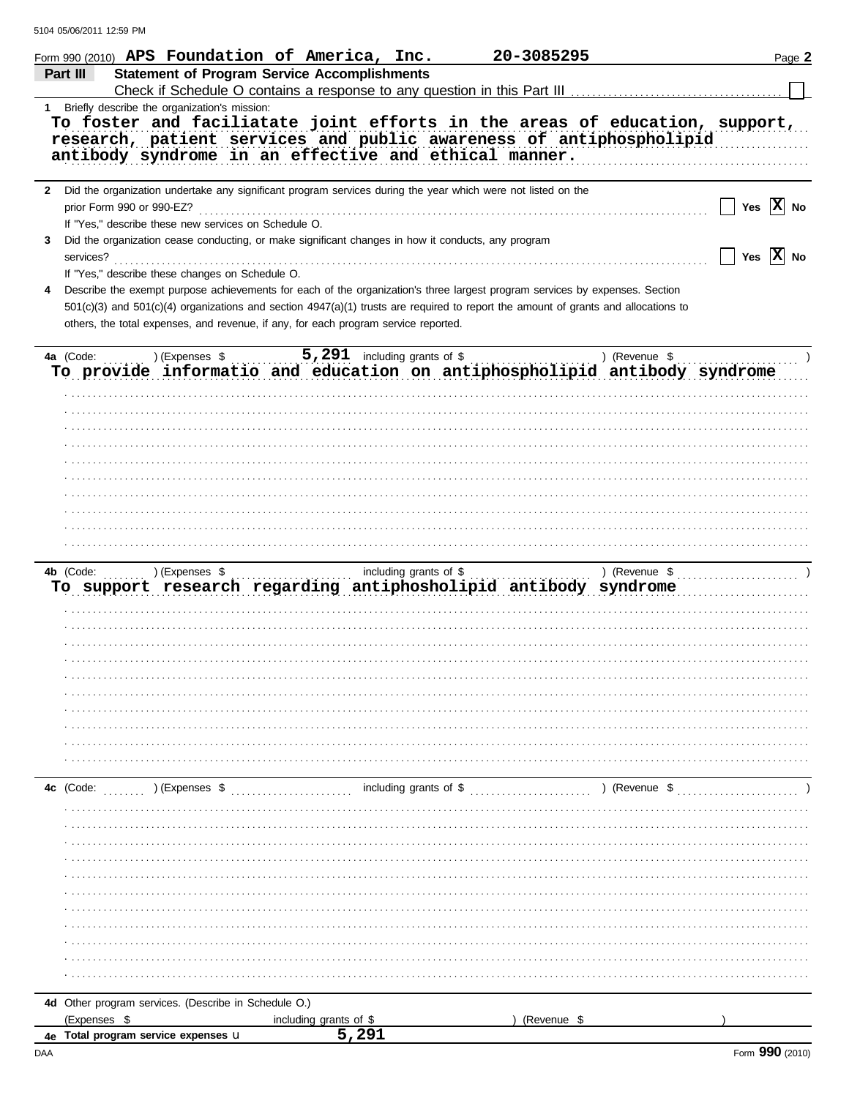|   | Form 990 (2010) APS Foundation of America, Inc.<br><b>Statement of Program Service Accomplishments</b><br>Part III                                                                                                                                                                                                                                                        |                                 | 20-3085295  |               | Page 2                     |
|---|---------------------------------------------------------------------------------------------------------------------------------------------------------------------------------------------------------------------------------------------------------------------------------------------------------------------------------------------------------------------------|---------------------------------|-------------|---------------|----------------------------|
| 1 | Briefly describe the organization's mission:<br>To foster and faciliatate joint efforts in the areas of education, support,<br>research, patient services and public awareness of antiphospholipid<br>antibody syndrome in an effective and ethical manner.                                                                                                               |                                 |             |               |                            |
| 3 | 2 Did the organization undertake any significant program services during the year which were not listed on the<br>prior Form 990 or 990-EZ?<br>If "Yes," describe these new services on Schedule O.<br>Did the organization cease conducting, or make significant changes in how it conducts, any program<br>services?<br>If "Yes," describe these changes on Schedule O. |                                 |             |               | Yes $ X $ No<br>$Yes$ X No |
| 4 | Describe the exempt purpose achievements for each of the organization's three largest program services by expenses. Section<br>$501(c)(3)$ and $501(c)(4)$ organizations and section $4947(a)(1)$ trusts are required to report the amount of grants and allocations to<br>others, the total expenses, and revenue, if any, for each program service reported.            |                                 |             |               |                            |
|   | 4a (Code: ) (Expenses \$<br>To provide informatio and education on antiphospholipid antibody syndrome                                                                                                                                                                                                                                                                     | $5,291$ including grants of \$  |             | ) (Revenue \$ |                            |
|   | ) (Expenses \$<br>4b (Code: $\ldots$                                                                                                                                                                                                                                                                                                                                      | including grants of \$          |             |               |                            |
|   | To support research regarding antiphosholipid antibody syndrome                                                                                                                                                                                                                                                                                                           |                                 |             |               |                            |
|   | ) (Expenses \$<br>4c (Code:                                                                                                                                                                                                                                                                                                                                               |                                 |             |               |                            |
|   | 4d Other program services. (Describe in Schedule O.)<br>(Expenses \$<br>4e Total program service expenses u                                                                                                                                                                                                                                                               | including grants of \$<br>5,291 | (Revenue \$ |               |                            |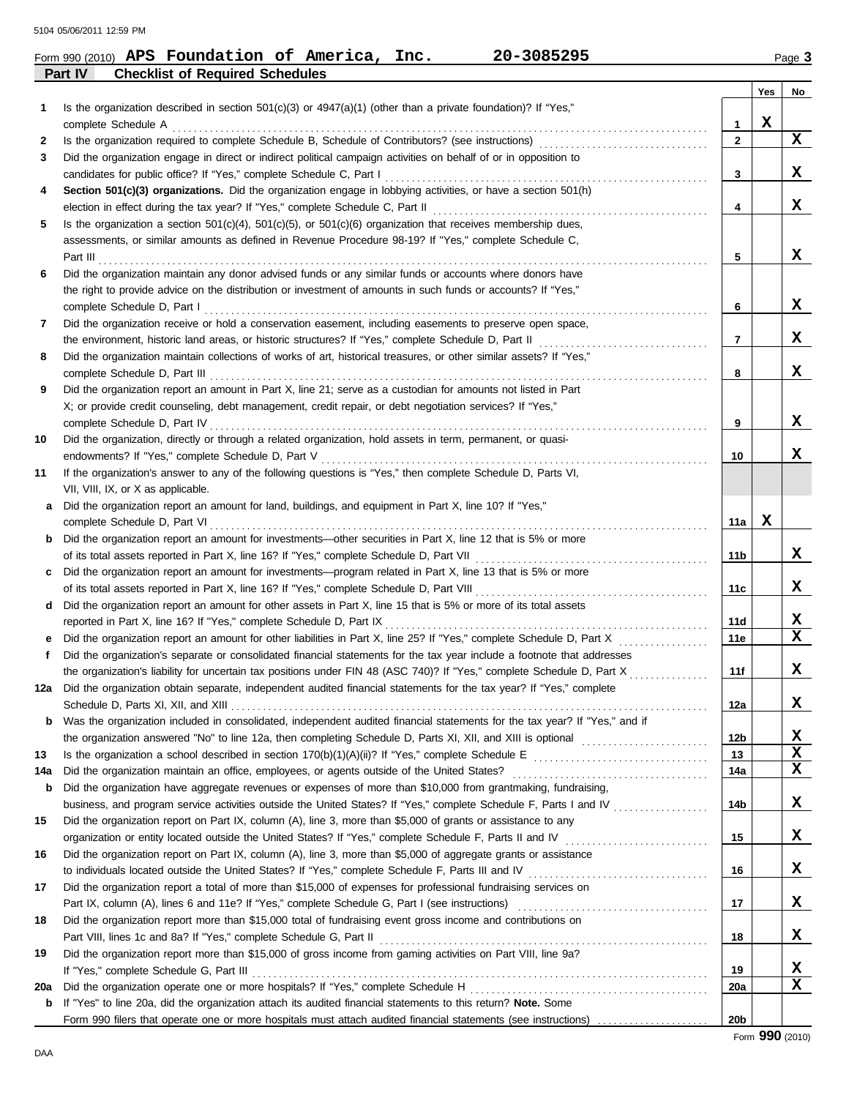|     | 20-3085295<br>Form 990 (2010) APS Foundation of America, Inc.                                                                                                                                            |                 |     | Page 3 |
|-----|----------------------------------------------------------------------------------------------------------------------------------------------------------------------------------------------------------|-----------------|-----|--------|
|     | Part IV<br><b>Checklist of Required Schedules</b>                                                                                                                                                        |                 |     |        |
|     |                                                                                                                                                                                                          |                 | Yes | No     |
| 1   | Is the organization described in section 501(c)(3) or 4947(a)(1) (other than a private foundation)? If "Yes,"                                                                                            | 1               | x   |        |
| 2   | complete Schedule A                                                                                                                                                                                      | $\mathbf{2}$    |     | X      |
| 3   | Did the organization engage in direct or indirect political campaign activities on behalf of or in opposition to                                                                                         |                 |     |        |
|     | candidates for public office? If "Yes," complete Schedule C, Part I                                                                                                                                      | 3               |     | X      |
| 4   | Section 501(c)(3) organizations. Did the organization engage in lobbying activities, or have a section 501(h)                                                                                            |                 |     |        |
|     | election in effect during the tax year? If "Yes," complete Schedule C, Part II                                                                                                                           | 4               |     | X      |
| 5   | Is the organization a section $501(c)(4)$ , $501(c)(5)$ , or $501(c)(6)$ organization that receives membership dues,                                                                                     |                 |     |        |
|     | assessments, or similar amounts as defined in Revenue Procedure 98-19? If "Yes," complete Schedule C,                                                                                                    |                 |     |        |
|     | Part III                                                                                                                                                                                                 | 5               |     | X      |
| 6   | Did the organization maintain any donor advised funds or any similar funds or accounts where donors have                                                                                                 |                 |     |        |
|     | the right to provide advice on the distribution or investment of amounts in such funds or accounts? If "Yes,"                                                                                            |                 |     |        |
|     | complete Schedule D, Part I                                                                                                                                                                              | 6               |     | X      |
| 7   | Did the organization receive or hold a conservation easement, including easements to preserve open space,                                                                                                |                 |     |        |
|     | the environment, historic land areas, or historic structures? If "Yes," complete Schedule D, Part II                                                                                                     | 7               |     | x      |
| 8   | Did the organization maintain collections of works of art, historical treasures, or other similar assets? If "Yes,"                                                                                      |                 |     |        |
|     | complete Schedule D, Part III                                                                                                                                                                            | 8               |     | X      |
| 9   | Did the organization report an amount in Part X, line 21; serve as a custodian for amounts not listed in Part                                                                                            |                 |     |        |
|     | X; or provide credit counseling, debt management, credit repair, or debt negotiation services? If "Yes,"                                                                                                 |                 |     |        |
|     | complete Schedule D, Part IV                                                                                                                                                                             | 9               |     | x      |
| 10  | Did the organization, directly or through a related organization, hold assets in term, permanent, or quasi-                                                                                              |                 |     |        |
|     |                                                                                                                                                                                                          | 10              |     | x      |
| 11  | If the organization's answer to any of the following questions is "Yes," then complete Schedule D, Parts VI,                                                                                             |                 |     |        |
|     | VII, VIII, IX, or X as applicable.                                                                                                                                                                       |                 |     |        |
| a   | Did the organization report an amount for land, buildings, and equipment in Part X, line 10? If "Yes,"                                                                                                   |                 |     |        |
|     | complete Schedule D, Part VI                                                                                                                                                                             | 11a             | X   |        |
| b   | Did the organization report an amount for investments—other securities in Part X, line 12 that is 5% or more                                                                                             |                 |     |        |
|     | of its total assets reported in Part X, line 16? If "Yes," complete Schedule D, Part VII                                                                                                                 | 11b             |     | x      |
| c   | Did the organization report an amount for investments-program related in Part X, line 13 that is 5% or more                                                                                              |                 |     |        |
|     | of its total assets reported in Part X, line 16? If "Yes," complete Schedule D, Part VIII                                                                                                                | 11c             |     | X      |
| d   | Did the organization report an amount for other assets in Part X, line 15 that is 5% or more of its total assets                                                                                         |                 |     |        |
|     | reported in Part X, line 16? If "Yes," complete Schedule D, Part IX                                                                                                                                      | 11d             |     | x      |
| e   |                                                                                                                                                                                                          | 11e             |     | x      |
|     | Did the organization's separate or consolidated financial statements for the tax year include a footnote that addresses                                                                                  |                 |     |        |
|     | the organization's liability for uncertain tax positions under FIN 48 (ASC 740)? If "Yes," complete Schedule D, Part X                                                                                   | 11f             |     | X      |
| 12a | Did the organization obtain separate, independent audited financial statements for the tax year? If "Yes," complete                                                                                      |                 |     |        |
|     |                                                                                                                                                                                                          | 12a             |     | x      |
| b   | Was the organization included in consolidated, independent audited financial statements for the tax year? If "Yes," and if                                                                               |                 |     |        |
|     |                                                                                                                                                                                                          | 12b             |     | x      |
| 13  |                                                                                                                                                                                                          | 13              |     | x      |
| 14a | Did the organization maintain an office, employees, or agents outside of the United States? [11] [11] Condition maintain an office, employees, or agents outside of the United States? [11] [11] $\cdot$ | 14a             |     | X      |
| b   | Did the organization have aggregate revenues or expenses of more than \$10,000 from grantmaking, fundraising,                                                                                            |                 |     |        |
|     | business, and program service activities outside the United States? If "Yes," complete Schedule F, Parts I and IV                                                                                        | 14b             |     | x      |
| 15  | Did the organization report on Part IX, column (A), line 3, more than \$5,000 of grants or assistance to any                                                                                             |                 |     |        |
|     | organization or entity located outside the United States? If "Yes," complete Schedule F, Parts II and IV                                                                                                 | 15              |     | x      |
| 16  | Did the organization report on Part IX, column (A), line 3, more than \$5,000 of aggregate grants or assistance                                                                                          |                 |     |        |
|     |                                                                                                                                                                                                          | 16              |     | X      |
| 17  | Did the organization report a total of more than \$15,000 of expenses for professional fundraising services on                                                                                           |                 |     |        |
|     |                                                                                                                                                                                                          | 17              |     | X      |
| 18  | Did the organization report more than \$15,000 total of fundraising event gross income and contributions on                                                                                              |                 |     |        |
|     |                                                                                                                                                                                                          | 18              |     | X      |
| 19  | Did the organization report more than \$15,000 of gross income from gaming activities on Part VIII, line 9a?                                                                                             |                 |     |        |
|     |                                                                                                                                                                                                          | 19              |     | X      |
| 20a |                                                                                                                                                                                                          | 20a             |     | X      |
| b   | If "Yes" to line 20a, did the organization attach its audited financial statements to this return? Note. Some                                                                                            |                 |     |        |
|     |                                                                                                                                                                                                          | 20 <sub>b</sub> |     |        |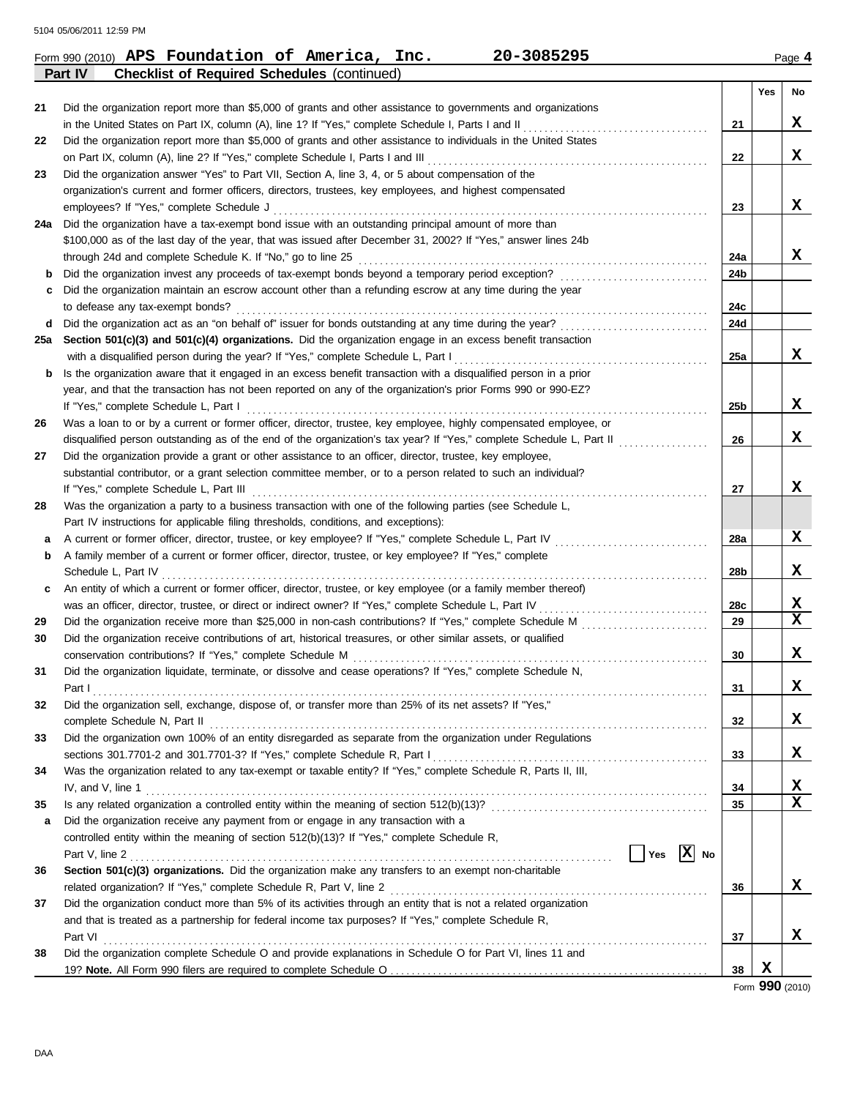|     | 20-3085295<br>Form 990 (2010) APS Foundation of America, Inc.                                                                                                  |     |          | Page 4 |
|-----|----------------------------------------------------------------------------------------------------------------------------------------------------------------|-----|----------|--------|
|     | <b>Checklist of Required Schedules (continued)</b><br>Part IV                                                                                                  |     |          |        |
|     |                                                                                                                                                                |     | Yes      | No     |
| 21  | Did the organization report more than \$5,000 of grants and other assistance to governments and organizations                                                  |     |          |        |
|     |                                                                                                                                                                | 21  |          | X      |
| 22  | Did the organization report more than \$5,000 of grants and other assistance to individuals in the United States                                               |     |          |        |
|     | on Part IX, column (A), line 2? If "Yes," complete Schedule I, Parts I and III [[[[[[[[[[[[[[[[[[[[[[[[[[[[[[[                                                 | 22  |          | x      |
| 23  | Did the organization answer "Yes" to Part VII, Section A, line 3, 4, or 5 about compensation of the                                                            |     |          |        |
|     | organization's current and former officers, directors, trustees, key employees, and highest compensated                                                        |     |          |        |
|     | employees? If "Yes," complete Schedule J                                                                                                                       | 23  |          | X      |
| 24a | Did the organization have a tax-exempt bond issue with an outstanding principal amount of more than                                                            |     |          |        |
|     | \$100,000 as of the last day of the year, that was issued after December 31, 2002? If "Yes," answer lines 24b                                                  |     |          |        |
|     | through 24d and complete Schedule K. If "No," go to line 25                                                                                                    | 24a |          | X      |
| b   |                                                                                                                                                                | 24b |          |        |
| c   | Did the organization maintain an escrow account other than a refunding escrow at any time during the year                                                      |     |          |        |
|     | to defease any tax-exempt bonds?                                                                                                                               | 24c |          |        |
| d   | Did the organization act as an "on behalf of" issuer for bonds outstanding at any time during the year?                                                        | 24d |          |        |
| 25а | Section 501(c)(3) and 501(c)(4) organizations. Did the organization engage in an excess benefit transaction                                                    |     |          |        |
|     | with a disqualified person during the year? If "Yes," complete Schedule L, Part I                                                                              | 25a |          | X      |
| b   | Is the organization aware that it engaged in an excess benefit transaction with a disqualified person in a prior                                               |     |          |        |
|     | year, and that the transaction has not been reported on any of the organization's prior Forms 990 or 990-EZ?                                                   |     |          |        |
|     | If "Yes," complete Schedule L, Part I                                                                                                                          | 25b |          | X      |
| 26  | Was a loan to or by a current or former officer, director, trustee, key employee, highly compensated employee, or                                              |     |          |        |
|     | disqualified person outstanding as of the end of the organization's tax year? If "Yes," complete Schedule L, Part II                                           | 26  |          | X      |
| 27  | Did the organization provide a grant or other assistance to an officer, director, trustee, key employee,                                                       |     |          |        |
|     | substantial contributor, or a grant selection committee member, or to a person related to such an individual?                                                  |     |          |        |
|     | If "Yes," complete Schedule L, Part III                                                                                                                        | 27  |          | x      |
| 28  | Was the organization a party to a business transaction with one of the following parties (see Schedule L,                                                      |     |          |        |
|     | Part IV instructions for applicable filing thresholds, conditions, and exceptions):                                                                            |     |          |        |
| a   |                                                                                                                                                                | 28a |          | X      |
| b   | A family member of a current or former officer, director, trustee, or key employee? If "Yes," complete                                                         |     |          |        |
|     | Schedule L, Part IV                                                                                                                                            | 28b |          | x      |
| c   | An entity of which a current or former officer, director, trustee, or key employee (or a family member thereof)                                                |     |          |        |
|     | was an officer, director, trustee, or direct or indirect owner? If "Yes," complete Schedule L, Part IV                                                         | 28c |          | X      |
| 29  | Did the organization receive more than \$25,000 in non-cash contributions? If "Yes," complete Schedule M                                                       | 29  |          | X      |
| 30  | Did the organization receive contributions of art, historical treasures, or other similar assets, or qualified                                                 |     |          |        |
|     | conservation contributions? If "Yes," complete Schedule M                                                                                                      | 30  |          | x      |
| 31  | Did the organization liquidate, terminate, or dissolve and cease operations? If "Yes," complete Schedule N,                                                    |     |          |        |
|     | Part I                                                                                                                                                         | 31  |          | x      |
| 32  | Did the organization sell, exchange, dispose of, or transfer more than 25% of its net assets? If "Yes,"                                                        |     |          |        |
|     |                                                                                                                                                                | 32  |          | x      |
| 33  | Did the organization own 100% of an entity disregarded as separate from the organization under Regulations                                                     |     |          |        |
|     |                                                                                                                                                                | 33  |          | X.     |
| 34  | Was the organization related to any tax-exempt or taxable entity? If "Yes," complete Schedule R, Parts II, III,                                                |     |          |        |
|     | $IV$ , and $V$ , line 1 $\ldots$ $\ldots$ $\ldots$ $\ldots$ $\ldots$ $\ldots$ $\ldots$ $\ldots$ $\ldots$ $\ldots$ $\ldots$ $\ldots$ $\ldots$ $\ldots$ $\ldots$ | 34  |          | x      |
| 35  |                                                                                                                                                                | 35  |          | X      |
| a   | Did the organization receive any payment from or engage in any transaction with a                                                                              |     |          |        |
|     | controlled entity within the meaning of section 512(b)(13)? If "Yes," complete Schedule R,                                                                     |     |          |        |
|     | $\vert$ Yes $\vert$ X No                                                                                                                                       |     |          |        |
| 36  | Section 501(c)(3) organizations. Did the organization make any transfers to an exempt non-charitable                                                           |     |          |        |
|     |                                                                                                                                                                | 36  |          | x      |
| 37  | Did the organization conduct more than 5% of its activities through an entity that is not a related organization                                               |     |          |        |
|     | and that is treated as a partnership for federal income tax purposes? If "Yes," complete Schedule R,                                                           |     |          |        |
|     |                                                                                                                                                                | 37  |          | x      |
| 38  | Did the organization complete Schedule O and provide explanations in Schedule O for Part VI, lines 11 and                                                      |     |          |        |
|     |                                                                                                                                                                | 38  | X<br>ההי |        |

Form **990** (2010)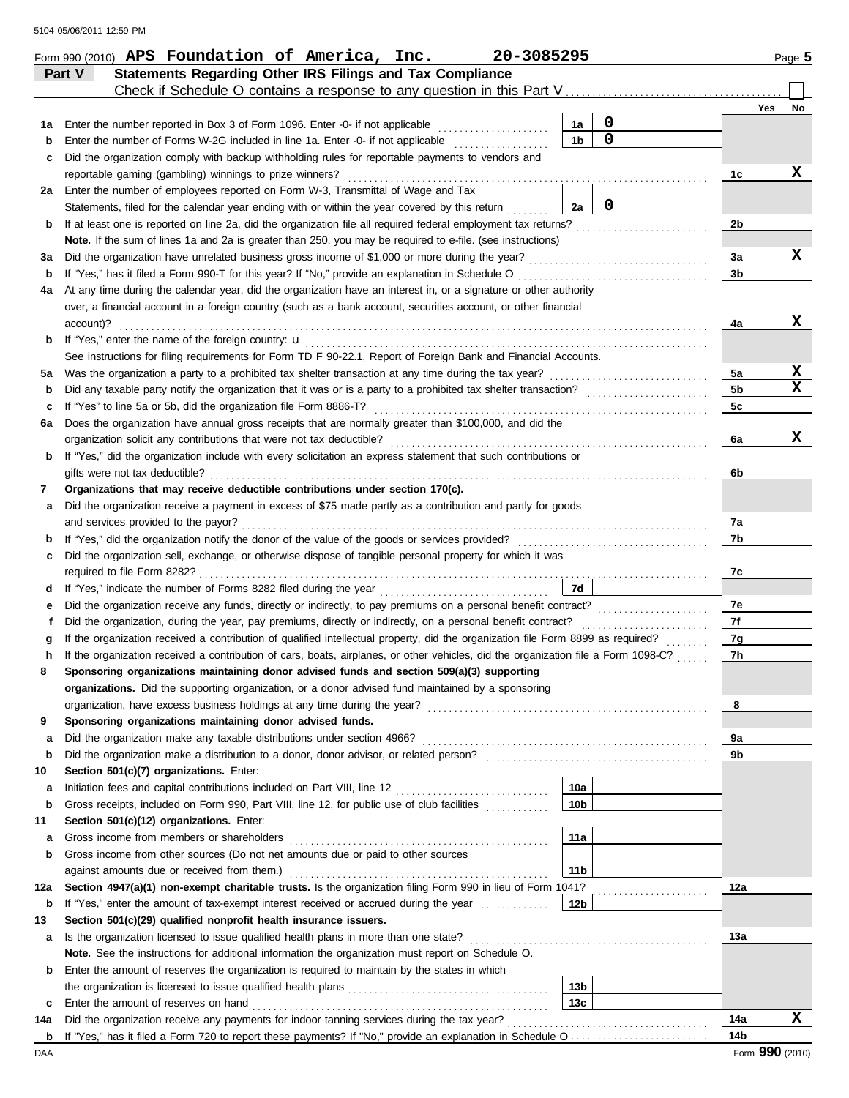|     | Form 990 (2010) APS Foundation of America, Inc.<br>20-3085295                                                                                                               |                 |                 |                |            | Page 5 |
|-----|-----------------------------------------------------------------------------------------------------------------------------------------------------------------------------|-----------------|-----------------|----------------|------------|--------|
|     | Statements Regarding Other IRS Filings and Tax Compliance<br>Part V                                                                                                         |                 |                 |                |            |        |
|     | Check if Schedule O contains a response to any question in this Part V                                                                                                      |                 |                 |                |            |        |
|     |                                                                                                                                                                             |                 |                 |                | <b>Yes</b> | No     |
| 1a  | Enter the number reported in Box 3 of Form 1096. Enter -0- if not applicable                                                                                                | 1a              | $\mathbf 0$     |                |            |        |
| b   |                                                                                                                                                                             | 1 <sub>b</sub>  | $\mathbf 0$     |                |            |        |
| c   | Did the organization comply with backup withholding rules for reportable payments to vendors and                                                                            |                 |                 |                |            |        |
|     | reportable gaming (gambling) winnings to prize winners?                                                                                                                     |                 |                 | 1c             |            | x      |
| 2a  | Enter the number of employees reported on Form W-3, Transmittal of Wage and Tax                                                                                             |                 |                 |                |            |        |
|     | Statements, filed for the calendar year ending with or within the year covered by this return                                                                               | 2a              | 0               |                |            |        |
| b   |                                                                                                                                                                             |                 |                 | 2 <sub>b</sub> |            |        |
|     | Note. If the sum of lines 1a and 2a is greater than 250, you may be required to e-file. (see instructions)                                                                  |                 |                 |                |            |        |
| За  |                                                                                                                                                                             |                 |                 | 3a             |            | x      |
| b   | If "Yes," has it filed a Form 990-T for this year? If "No," provide an explanation in Schedule O                                                                            |                 |                 | 3b             |            |        |
| 4a  | At any time during the calendar year, did the organization have an interest in, or a signature or other authority                                                           |                 |                 |                |            |        |
|     | over, a financial account in a foreign country (such as a bank account, securities account, or other financial                                                              |                 |                 |                |            |        |
|     | account)?                                                                                                                                                                   |                 |                 | 4a             |            | x      |
| b   |                                                                                                                                                                             |                 |                 |                |            |        |
|     | See instructions for filing requirements for Form TD F 90-22.1, Report of Foreign Bank and Financial Accounts.                                                              |                 |                 |                |            | X      |
| 5a  |                                                                                                                                                                             |                 |                 | 5a             |            | X      |
| b   |                                                                                                                                                                             |                 |                 | 5b             |            |        |
| c   | If "Yes" to line 5a or 5b, did the organization file Form 8886-T?<br>Does the organization have annual gross receipts that are normally greater than \$100,000, and did the |                 |                 | 5c             |            |        |
| 6a  |                                                                                                                                                                             |                 |                 |                |            | X      |
|     |                                                                                                                                                                             |                 |                 | 6a             |            |        |
| b   | If "Yes," did the organization include with every solicitation an express statement that such contributions or<br>gifts were not tax deductible?                            |                 |                 | 6b             |            |        |
| 7   | Organizations that may receive deductible contributions under section 170(c).                                                                                               |                 |                 |                |            |        |
| а   | Did the organization receive a payment in excess of \$75 made partly as a contribution and partly for goods                                                                 |                 |                 |                |            |        |
|     | and services provided to the payor?                                                                                                                                         |                 |                 | 7a             |            |        |
| b   |                                                                                                                                                                             |                 |                 | 7b             |            |        |
| c   | Did the organization sell, exchange, or otherwise dispose of tangible personal property for which it was                                                                    |                 |                 |                |            |        |
|     |                                                                                                                                                                             |                 |                 | 7c             |            |        |
| d   | If "Yes," indicate the number of Forms 8282 filed during the year                                                                                                           | 7d              |                 |                |            |        |
| е   |                                                                                                                                                                             |                 |                 | 7e             |            |        |
| f   | Did the organization, during the year, pay premiums, directly or indirectly, on a personal benefit contract?                                                                |                 |                 | 7f             |            |        |
| g   | If the organization received a contribution of qualified intellectual property, did the organization file Form 8899 as required?                                            |                 | in de la partir | 7g             |            |        |
| h   | If the organization received a contribution of cars, boats, airplanes, or other vehicles, did the organization file a Form 1098-C?                                          |                 |                 | 7h             |            |        |
|     | Sponsoring organizations maintaining donor advised funds and section 509(a)(3) supporting                                                                                   |                 |                 |                |            |        |
|     | organizations. Did the supporting organization, or a donor advised fund maintained by a sponsoring                                                                          |                 |                 |                |            |        |
|     | organization, have excess business holdings at any time during the year?                                                                                                    |                 |                 | 8              |            |        |
| 9   | Sponsoring organizations maintaining donor advised funds.                                                                                                                   |                 |                 |                |            |        |
| a   |                                                                                                                                                                             |                 |                 | 9a             |            |        |
| b   | Did the organization make a distribution to a donor, donor advisor, or related person?                                                                                      |                 |                 | 9b             |            |        |
| 10  | Section 501(c)(7) organizations. Enter:                                                                                                                                     |                 |                 |                |            |        |
| a   |                                                                                                                                                                             | 10a             |                 |                |            |        |
| b   | Gross receipts, included on Form 990, Part VIII, line 12, for public use of club facilities                                                                                 | 10 <sub>b</sub> |                 |                |            |        |
| 11  | Section 501(c)(12) organizations. Enter:                                                                                                                                    |                 |                 |                |            |        |
| а   | Gross income from members or shareholders                                                                                                                                   | 11a             |                 |                |            |        |
| b   | Gross income from other sources (Do not net amounts due or paid to other sources                                                                                            |                 |                 |                |            |        |
|     | against amounts due or received from them.)                                                                                                                                 | 11 <sub>b</sub> |                 |                |            |        |
| 12a | Section 4947(a)(1) non-exempt charitable trusts. Is the organization filing Form 990 in lieu of Form 1041?                                                                  |                 | .               | 12a            |            |        |
| b   | If "Yes," enter the amount of tax-exempt interest received or accrued during the year                                                                                       | 12b             |                 |                |            |        |
| 13  | Section 501(c)(29) qualified nonprofit health insurance issuers.                                                                                                            |                 |                 |                |            |        |
| а   | Is the organization licensed to issue qualified health plans in more than one state?                                                                                        |                 |                 | 13a            |            |        |
|     | Note. See the instructions for additional information the organization must report on Schedule O.                                                                           |                 |                 |                |            |        |
| b   | Enter the amount of reserves the organization is required to maintain by the states in which                                                                                |                 |                 |                |            |        |
|     |                                                                                                                                                                             | 13 <sub>b</sub> |                 |                |            |        |
| c   |                                                                                                                                                                             | 13 <sub>c</sub> |                 |                |            |        |
| 14a | Did the organization receive any payments for indoor tanning services during the tax year?                                                                                  |                 |                 | 14a            |            | x      |
| b   |                                                                                                                                                                             |                 |                 | 14b            |            |        |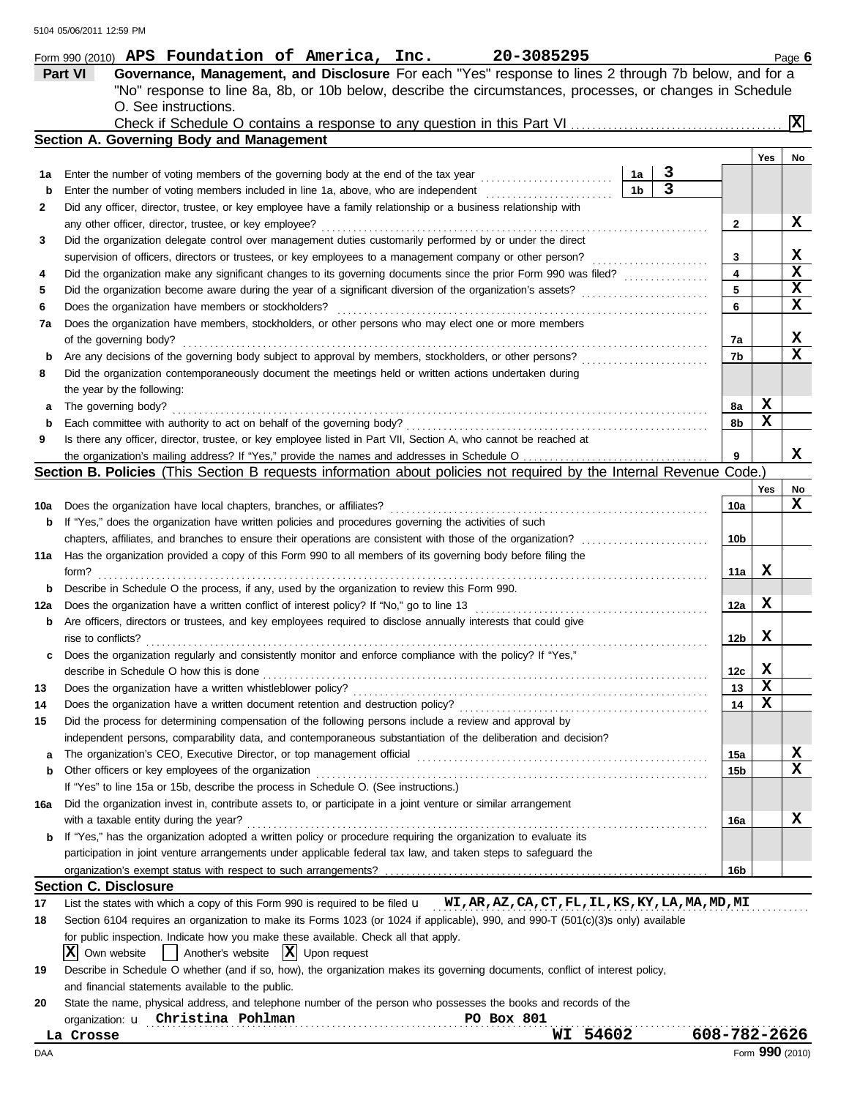|     | Form 990 (2010) APS Foundation of America, Inc.<br>20-3085295                                                                                                                                          |                 |     | Page 6          |
|-----|--------------------------------------------------------------------------------------------------------------------------------------------------------------------------------------------------------|-----------------|-----|-----------------|
|     | Governance, Management, and Disclosure For each "Yes" response to lines 2 through 7b below, and for a<br><b>Part VI</b>                                                                                |                 |     |                 |
|     | "No" response to line 8a, 8b, or 10b below, describe the circumstances, processes, or changes in Schedule                                                                                              |                 |     |                 |
|     | O. See instructions.                                                                                                                                                                                   |                 |     |                 |
|     |                                                                                                                                                                                                        |                 |     | $ \mathbf{x} $  |
|     | Section A. Governing Body and Management                                                                                                                                                               |                 |     |                 |
|     |                                                                                                                                                                                                        |                 | Yes | No              |
| 1a  | З<br>Enter the number of voting members of the governing body at the end of the tax year<br>1a                                                                                                         |                 |     |                 |
| b   | $\overline{\mathbf{3}}$<br>1 <sub>b</sub><br>Enter the number of voting members included in line 1a, above, who are independent                                                                        |                 |     |                 |
| 2   | Did any officer, director, trustee, or key employee have a family relationship or a business relationship with                                                                                         |                 |     |                 |
|     | any other officer, director, trustee, or key employee?                                                                                                                                                 | 2               |     | X               |
| 3   | Did the organization delegate control over management duties customarily performed by or under the direct                                                                                              |                 |     |                 |
|     | supervision of officers, directors or trustees, or key employees to a management company or other person?                                                                                              | 3               |     | X               |
| 4   | Did the organization make any significant changes to its governing documents since the prior Form 990 was filed?                                                                                       | 4               |     | X               |
| 5   | Did the organization become aware during the year of a significant diversion of the organization's assets?                                                                                             | 5               |     | X               |
| 6   | Does the organization have members or stockholders?                                                                                                                                                    | 6               |     | X               |
| 7a  | Does the organization have members, stockholders, or other persons who may elect one or more members                                                                                                   |                 |     |                 |
|     | of the governing body?                                                                                                                                                                                 | 7a              |     | X               |
| b   | Are any decisions of the governing body subject to approval by members, stockholders, or other persons?                                                                                                | 7b              |     | X               |
| 8   | Did the organization contemporaneously document the meetings held or written actions undertaken during                                                                                                 |                 |     |                 |
|     | the year by the following:                                                                                                                                                                             |                 |     |                 |
| a   | The governing body?                                                                                                                                                                                    | 8a              | x   |                 |
| b   | Each committee with authority to act on behalf of the governing body?                                                                                                                                  | 8b              | х   |                 |
| 9   | Is there any officer, director, trustee, or key employee listed in Part VII, Section A, who cannot be reached at                                                                                       |                 |     |                 |
|     |                                                                                                                                                                                                        | 9               |     | X               |
|     | Section B. Policies (This Section B requests information about policies not required by the Internal Revenue Code.)                                                                                    |                 |     |                 |
|     |                                                                                                                                                                                                        |                 | Yes | No              |
| 10a | Does the organization have local chapters, branches, or affiliates?                                                                                                                                    | 10a             |     | X               |
| b   | If "Yes," does the organization have written policies and procedures governing the activities of such                                                                                                  |                 |     |                 |
|     | chapters, affiliates, and branches to ensure their operations are consistent with those of the organization?                                                                                           | 10b             |     |                 |
| 11a | Has the organization provided a copy of this Form 990 to all members of its governing body before filing the                                                                                           |                 |     |                 |
|     | form?                                                                                                                                                                                                  | 11a             | x   |                 |
|     | Describe in Schedule O the process, if any, used by the organization to review this Form 990.                                                                                                          |                 |     |                 |
| 12a | Does the organization have a written conflict of interest policy? If "No," go to line 13                                                                                                               | 12a             | x   |                 |
|     | Are officers, directors or trustees, and key employees required to disclose annually interests that could give                                                                                         |                 |     |                 |
|     | rise to conflicts?                                                                                                                                                                                     | 12b             | X   |                 |
|     | Does the organization regularly and consistently monitor and enforce compliance with the policy? If "Yes,"                                                                                             |                 |     |                 |
|     | describe in Schedule O how this is done                                                                                                                                                                | 12c             | x   |                 |
| 13  | Does the organization have a written whistleblower policy?                                                                                                                                             | 13              | X   |                 |
| 14  | Does the organization have a written document retention and destruction policy?                                                                                                                        | 14              | X   |                 |
| 15  | Did the process for determining compensation of the following persons include a review and approval by                                                                                                 |                 |     |                 |
|     | independent persons, comparability data, and contemporaneous substantiation of the deliberation and decision?                                                                                          |                 |     |                 |
| a   |                                                                                                                                                                                                        | 15a             |     | X<br>X          |
| b   | Other officers or key employees of the organization                                                                                                                                                    | 15b             |     |                 |
|     | If "Yes" to line 15a or 15b, describe the process in Schedule O. (See instructions.)<br>Did the organization invest in, contribute assets to, or participate in a joint venture or similar arrangement |                 |     |                 |
| 16a |                                                                                                                                                                                                        |                 |     | x               |
|     | with a taxable entity during the year?<br>If "Yes," has the organization adopted a written policy or procedure requiring the organization to evaluate its                                              | 16a             |     |                 |
| b   | participation in joint venture arrangements under applicable federal tax law, and taken steps to safeguard the                                                                                         |                 |     |                 |
|     |                                                                                                                                                                                                        |                 |     |                 |
|     | <b>Section C. Disclosure</b>                                                                                                                                                                           | 16 <sub>b</sub> |     |                 |
| 17  | List the states with which a copy of this Form 990 is required to be filed <b>u</b> WI, AR, AZ, CA, CT, FL, IL, KS, KY, LA, MA, MD, MI                                                                 |                 |     |                 |
| 18  | Section 6104 requires an organization to make its Forms 1023 (or 1024 if applicable), 990, and 990-T (501(c)(3)s only) available                                                                       |                 |     |                 |
|     | for public inspection. Indicate how you make these available. Check all that apply.                                                                                                                    |                 |     |                 |
|     | $ \mathbf{X} $ Upon request<br> X <br>Another's website<br>Own website                                                                                                                                 |                 |     |                 |
| 19  | Describe in Schedule O whether (and if so, how), the organization makes its governing documents, conflict of interest policy,                                                                          |                 |     |                 |
|     | and financial statements available to the public.                                                                                                                                                      |                 |     |                 |
| 20  | State the name, physical address, and telephone number of the person who possesses the books and records of the                                                                                        |                 |     |                 |
|     | organization: u Christina Pohlman<br><b>PO Box 801</b>                                                                                                                                                 |                 |     |                 |
|     | WI 54602<br>La Crosse                                                                                                                                                                                  | 608-782-2626    |     |                 |
| DAA |                                                                                                                                                                                                        |                 |     | Form 990 (2010) |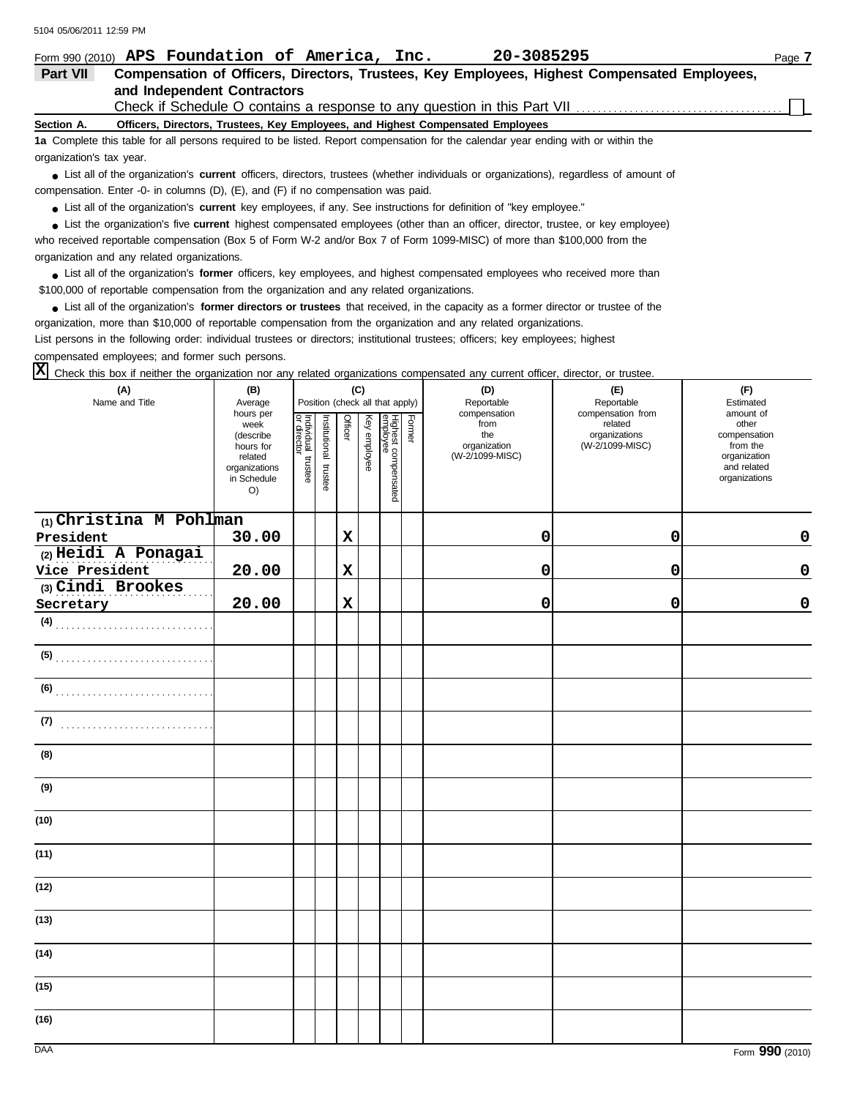| 3104 03/00/2011 12:39 PM<br>Form 990 (2010) APS Foundation of America, Inc.                                                                                                                                                                          |                          |                           |                       |         |              |                                 |        | 20-3085295                                                                                   |                                  | Page 7                      |
|------------------------------------------------------------------------------------------------------------------------------------------------------------------------------------------------------------------------------------------------------|--------------------------|---------------------------|-----------------------|---------|--------------|---------------------------------|--------|----------------------------------------------------------------------------------------------|----------------------------------|-----------------------------|
| Part VII                                                                                                                                                                                                                                             |                          |                           |                       |         |              |                                 |        | Compensation of Officers, Directors, Trustees, Key Employees, Highest Compensated Employees, |                                  |                             |
| and Independent Contractors                                                                                                                                                                                                                          |                          |                           |                       |         |              |                                 |        |                                                                                              |                                  |                             |
|                                                                                                                                                                                                                                                      |                          |                           |                       |         |              |                                 |        | Check if Schedule O contains a response to any question in this Part VII                     |                                  |                             |
| Section A.                                                                                                                                                                                                                                           |                          |                           |                       |         |              |                                 |        | Officers, Directors, Trustees, Key Employees, and Highest Compensated Employees              |                                  |                             |
| 1a Complete this table for all persons required to be listed. Report compensation for the calendar year ending with or within the                                                                                                                    |                          |                           |                       |         |              |                                 |        |                                                                                              |                                  |                             |
| organization's tax year.                                                                                                                                                                                                                             |                          |                           |                       |         |              |                                 |        |                                                                                              |                                  |                             |
| • List all of the organization's current officers, directors, trustees (whether individuals or organizations), regardless of amount of                                                                                                               |                          |                           |                       |         |              |                                 |        |                                                                                              |                                  |                             |
| compensation. Enter -0- in columns (D), (E), and (F) if no compensation was paid.                                                                                                                                                                    |                          |                           |                       |         |              |                                 |        |                                                                                              |                                  |                             |
| • List all of the organization's current key employees, if any. See instructions for definition of "key employee."<br>List the organization's five current highest compensated employees (other than an officer, director, trustee, or key employee) |                          |                           |                       |         |              |                                 |        |                                                                                              |                                  |                             |
| who received reportable compensation (Box 5 of Form W-2 and/or Box 7 of Form 1099-MISC) of more than \$100,000 from the                                                                                                                              |                          |                           |                       |         |              |                                 |        |                                                                                              |                                  |                             |
| organization and any related organizations.                                                                                                                                                                                                          |                          |                           |                       |         |              |                                 |        |                                                                                              |                                  |                             |
| • List all of the organization's former officers, key employees, and highest compensated employees who received more than                                                                                                                            |                          |                           |                       |         |              |                                 |        |                                                                                              |                                  |                             |
| \$100,000 of reportable compensation from the organization and any related organizations.                                                                                                                                                            |                          |                           |                       |         |              |                                 |        |                                                                                              |                                  |                             |
| • List all of the organization's former directors or trustees that received, in the capacity as a former director or trustee of the                                                                                                                  |                          |                           |                       |         |              |                                 |        |                                                                                              |                                  |                             |
| organization, more than \$10,000 of reportable compensation from the organization and any related organizations.                                                                                                                                     |                          |                           |                       |         |              |                                 |        |                                                                                              |                                  |                             |
| List persons in the following order: individual trustees or directors; institutional trustees; officers; key employees; highest                                                                                                                      |                          |                           |                       |         |              |                                 |        |                                                                                              |                                  |                             |
| compensated employees; and former such persons.                                                                                                                                                                                                      |                          |                           |                       |         |              |                                 |        |                                                                                              |                                  |                             |
| Check this box if neither the organization nor any related organizations compensated any current officer, director, or trustee.                                                                                                                      |                          |                           |                       |         |              |                                 |        |                                                                                              |                                  |                             |
| (A)                                                                                                                                                                                                                                                  | (B)                      |                           |                       |         | (C)          |                                 |        | (D)                                                                                          | (E)                              | (F)                         |
| Name and Title                                                                                                                                                                                                                                       | Average<br>hours per     |                           |                       |         |              | Position (check all that apply) |        | Reportable<br>compensation                                                                   | Reportable<br>compensation from  | Estimated<br>amount of      |
|                                                                                                                                                                                                                                                      | week                     | Individual<br>or director | Institutional trustee | Officer | Key employee | Highest compensated<br>employee | Former | from                                                                                         | related                          | other                       |
|                                                                                                                                                                                                                                                      | (describe<br>hours for   |                           |                       |         |              |                                 |        | the<br>organization                                                                          | organizations<br>(W-2/1099-MISC) | compensation<br>from the    |
|                                                                                                                                                                                                                                                      | related<br>organizations | trustee                   |                       |         |              |                                 |        | (W-2/1099-MISC)                                                                              |                                  | organization<br>and related |
|                                                                                                                                                                                                                                                      | in Schedule              |                           |                       |         |              |                                 |        |                                                                                              |                                  | organizations               |
|                                                                                                                                                                                                                                                      | O)                       |                           |                       |         |              |                                 |        |                                                                                              |                                  |                             |
| $(1)$ Christina M Pohlman                                                                                                                                                                                                                            |                          |                           |                       |         |              |                                 |        |                                                                                              |                                  |                             |
| President                                                                                                                                                                                                                                            | 30.00                    |                           |                       | X       |              |                                 |        | 0                                                                                            | 0                                | 0                           |
| (2) Heidi A Ponagai                                                                                                                                                                                                                                  |                          |                           |                       |         |              |                                 |        |                                                                                              |                                  |                             |
| Vice President                                                                                                                                                                                                                                       | 20.00                    |                           |                       | X       |              |                                 |        | 0                                                                                            | 0                                | 0                           |
| (3) Cindi Brookes                                                                                                                                                                                                                                    |                          |                           |                       |         |              |                                 |        |                                                                                              |                                  |                             |
| Secretary                                                                                                                                                                                                                                            | 20.00                    |                           |                       | X       |              |                                 |        | 0                                                                                            | 0                                | 0                           |
| (4)                                                                                                                                                                                                                                                  |                          |                           |                       |         |              |                                 |        |                                                                                              |                                  |                             |
|                                                                                                                                                                                                                                                      |                          |                           |                       |         |              |                                 |        |                                                                                              |                                  |                             |
| (6)                                                                                                                                                                                                                                                  |                          |                           |                       |         |              |                                 |        |                                                                                              |                                  |                             |
| (7)                                                                                                                                                                                                                                                  |                          |                           |                       |         |              |                                 |        |                                                                                              |                                  |                             |
| (8)                                                                                                                                                                                                                                                  |                          |                           |                       |         |              |                                 |        |                                                                                              |                                  |                             |
| (9)                                                                                                                                                                                                                                                  |                          |                           |                       |         |              |                                 |        |                                                                                              |                                  |                             |
| (10)                                                                                                                                                                                                                                                 |                          |                           |                       |         |              |                                 |        |                                                                                              |                                  |                             |
| (11)                                                                                                                                                                                                                                                 |                          |                           |                       |         |              |                                 |        |                                                                                              |                                  |                             |
| (12)                                                                                                                                                                                                                                                 |                          |                           |                       |         |              |                                 |        |                                                                                              |                                  |                             |

**(13)**

**(14)**

**(15)**

**(16)**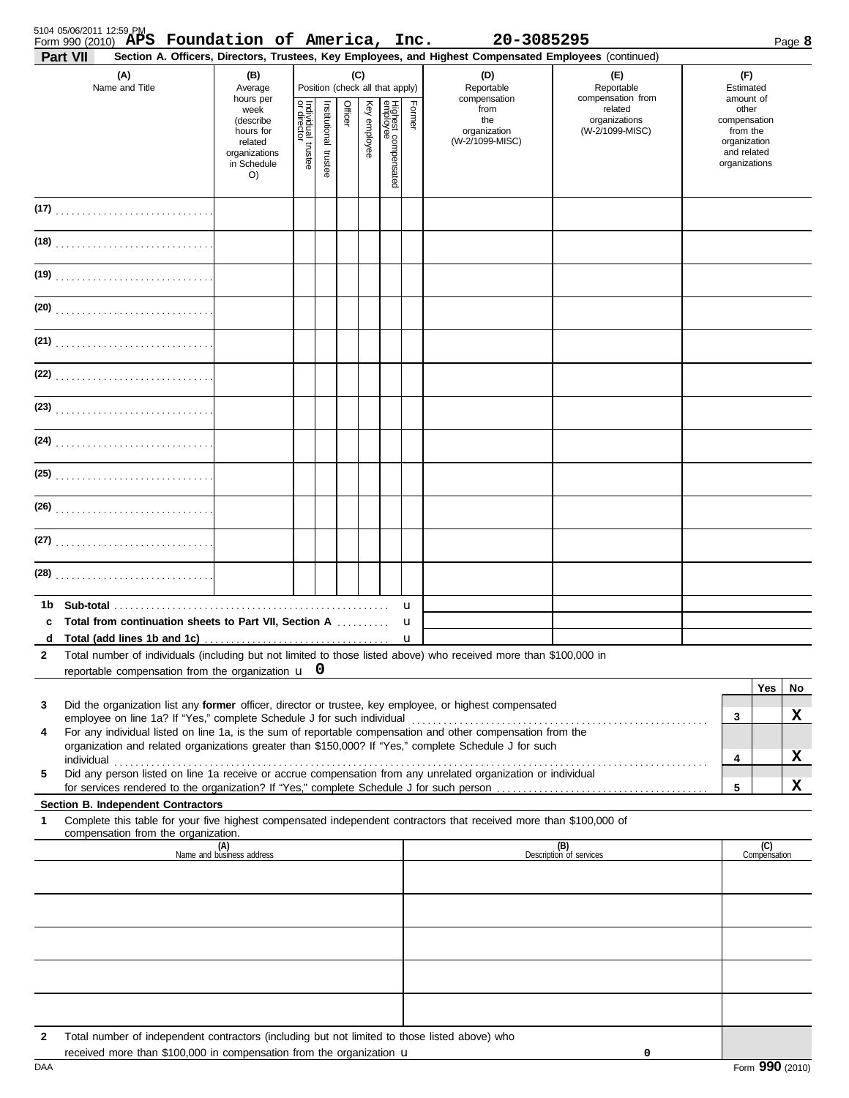| (A)                                                                                                                                                                                                                                                                                                                                                                                                                                                                                                                                                                                                                                                                                                                                                                                                                                                                                                                                                                                   | (B)<br>(C)<br>Position (check all that apply)                                                           |  |  |  |  |                                 |                                  | (D)                                                                          | (E)                                                                            |  | (F)                                                                                                         |                                   |                   |
|---------------------------------------------------------------------------------------------------------------------------------------------------------------------------------------------------------------------------------------------------------------------------------------------------------------------------------------------------------------------------------------------------------------------------------------------------------------------------------------------------------------------------------------------------------------------------------------------------------------------------------------------------------------------------------------------------------------------------------------------------------------------------------------------------------------------------------------------------------------------------------------------------------------------------------------------------------------------------------------|---------------------------------------------------------------------------------------------------------|--|--|--|--|---------------------------------|----------------------------------|------------------------------------------------------------------------------|--------------------------------------------------------------------------------|--|-------------------------------------------------------------------------------------------------------------|-----------------------------------|-------------------|
| Name and Title                                                                                                                                                                                                                                                                                                                                                                                                                                                                                                                                                                                                                                                                                                                                                                                                                                                                                                                                                                        | Average<br>hours per<br>week<br>(describe<br>hours for<br>related<br>organizations<br>in Schedule<br>O) |  |  |  |  | Highest compensated<br>employee | Former                           | Reportable<br>compensation<br>from<br>the<br>organization<br>(W-2/1099-MISC) | Reportable<br>compensation from<br>related<br>organizations<br>(W-2/1099-MISC) |  | Estimated<br>amount of<br>other<br>compensation<br>from the<br>organization<br>and related<br>organizations |                                   |                   |
|                                                                                                                                                                                                                                                                                                                                                                                                                                                                                                                                                                                                                                                                                                                                                                                                                                                                                                                                                                                       |                                                                                                         |  |  |  |  |                                 |                                  |                                                                              |                                                                                |  |                                                                                                             |                                   |                   |
|                                                                                                                                                                                                                                                                                                                                                                                                                                                                                                                                                                                                                                                                                                                                                                                                                                                                                                                                                                                       |                                                                                                         |  |  |  |  |                                 |                                  |                                                                              |                                                                                |  |                                                                                                             |                                   |                   |
| (19)                                                                                                                                                                                                                                                                                                                                                                                                                                                                                                                                                                                                                                                                                                                                                                                                                                                                                                                                                                                  |                                                                                                         |  |  |  |  |                                 |                                  |                                                                              |                                                                                |  |                                                                                                             |                                   |                   |
|                                                                                                                                                                                                                                                                                                                                                                                                                                                                                                                                                                                                                                                                                                                                                                                                                                                                                                                                                                                       |                                                                                                         |  |  |  |  |                                 |                                  |                                                                              |                                                                                |  |                                                                                                             |                                   |                   |
|                                                                                                                                                                                                                                                                                                                                                                                                                                                                                                                                                                                                                                                                                                                                                                                                                                                                                                                                                                                       |                                                                                                         |  |  |  |  |                                 |                                  |                                                                              |                                                                                |  |                                                                                                             |                                   |                   |
| (22)                                                                                                                                                                                                                                                                                                                                                                                                                                                                                                                                                                                                                                                                                                                                                                                                                                                                                                                                                                                  |                                                                                                         |  |  |  |  |                                 |                                  |                                                                              |                                                                                |  |                                                                                                             |                                   |                   |
|                                                                                                                                                                                                                                                                                                                                                                                                                                                                                                                                                                                                                                                                                                                                                                                                                                                                                                                                                                                       |                                                                                                         |  |  |  |  |                                 |                                  |                                                                              |                                                                                |  |                                                                                                             |                                   |                   |
| (24)                                                                                                                                                                                                                                                                                                                                                                                                                                                                                                                                                                                                                                                                                                                                                                                                                                                                                                                                                                                  |                                                                                                         |  |  |  |  |                                 |                                  |                                                                              |                                                                                |  |                                                                                                             |                                   |                   |
|                                                                                                                                                                                                                                                                                                                                                                                                                                                                                                                                                                                                                                                                                                                                                                                                                                                                                                                                                                                       |                                                                                                         |  |  |  |  |                                 |                                  |                                                                              |                                                                                |  |                                                                                                             |                                   |                   |
|                                                                                                                                                                                                                                                                                                                                                                                                                                                                                                                                                                                                                                                                                                                                                                                                                                                                                                                                                                                       |                                                                                                         |  |  |  |  |                                 |                                  |                                                                              |                                                                                |  |                                                                                                             |                                   |                   |
|                                                                                                                                                                                                                                                                                                                                                                                                                                                                                                                                                                                                                                                                                                                                                                                                                                                                                                                                                                                       |                                                                                                         |  |  |  |  |                                 |                                  |                                                                              |                                                                                |  |                                                                                                             |                                   |                   |
|                                                                                                                                                                                                                                                                                                                                                                                                                                                                                                                                                                                                                                                                                                                                                                                                                                                                                                                                                                                       |                                                                                                         |  |  |  |  |                                 |                                  |                                                                              |                                                                                |  |                                                                                                             |                                   |                   |
| <b>Total from continuation sheets to Part VII, Section A</b><br>c<br>d Total (add lines 1b and 1c)<br>Total number of individuals (including but not limited to those listed above) who received more than \$100,000 in<br>2<br>reportable compensation from the organization $\mathbf{u}$ 0<br>Did the organization list any former officer, director or trustee, key employee, or highest compensated<br>3<br>For any individual listed on line 1a, is the sum of reportable compensation and other compensation from the<br>4<br>organization and related organizations greater than \$150,000? If "Yes," complete Schedule J for such<br>individual<br>Did any person listed on line 1a receive or accrue compensation from any unrelated organization or individual<br>5<br>Section B. Independent Contractors<br>Complete this table for your five highest compensated independent contractors that received more than \$100,000 of<br>1<br>compensation from the organization. | (A)<br>Name and business address                                                                        |  |  |  |  |                                 | u<br>$\mathbf u$<br>$\mathbf{u}$ |                                                                              | (B)<br>Description of services                                                 |  | 3<br>4<br>5                                                                                                 | <b>Yes</b><br>(C)<br>Compensation | No<br>x<br>x<br>X |
| Total number of independent contractors (including but not limited to those listed above) who<br>2                                                                                                                                                                                                                                                                                                                                                                                                                                                                                                                                                                                                                                                                                                                                                                                                                                                                                    |                                                                                                         |  |  |  |  |                                 |                                  |                                                                              |                                                                                |  |                                                                                                             |                                   |                   |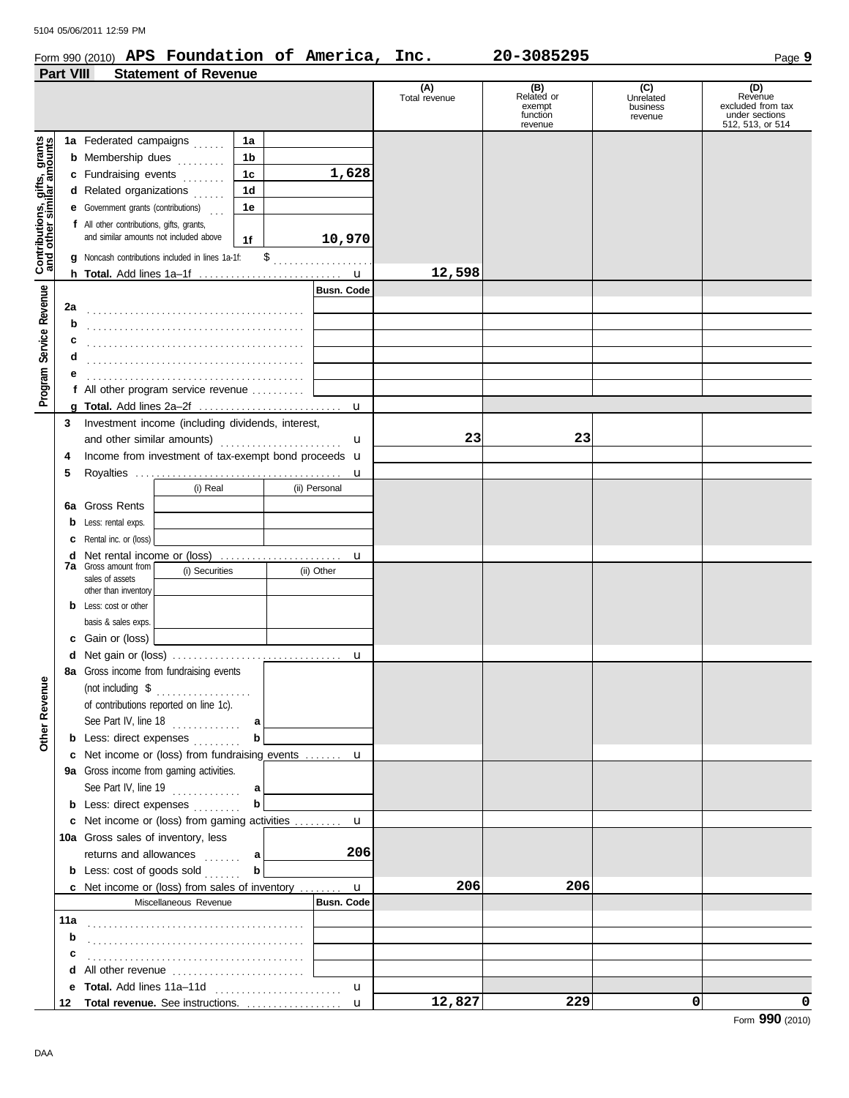#### Form 990 (2010) **APS Foundation of America, Inc. 20-3085295** Page 9 **APS Foundation of America, Inc. 20-3085295**

|                                                        | <b>Part VIII</b> | <b>Statement of Revenue</b>                                 |        |                   |                      |                                                    |                                         |                                                                           |
|--------------------------------------------------------|------------------|-------------------------------------------------------------|--------|-------------------|----------------------|----------------------------------------------------|-----------------------------------------|---------------------------------------------------------------------------|
|                                                        |                  |                                                             |        |                   | (A)<br>Total revenue | (B)<br>Related or<br>exempt<br>function<br>revenue | (C)<br>Unrelated<br>business<br>revenue | (D)<br>Revenue<br>excluded from tax<br>under sections<br>512, 513, or 514 |
|                                                        |                  | 1a Federated campaigns                                      | 1a     |                   |                      |                                                    |                                         |                                                                           |
|                                                        |                  | <b>b</b> Membership dues                                    | 1b     |                   |                      |                                                    |                                         |                                                                           |
|                                                        |                  |                                                             |        | 1,628             |                      |                                                    |                                         |                                                                           |
|                                                        |                  | c Fundraising events                                        | 1c     |                   |                      |                                                    |                                         |                                                                           |
|                                                        |                  | d Related organizations                                     | 1d     |                   |                      |                                                    |                                         |                                                                           |
|                                                        |                  | <b>e</b> Government grants (contributions)                  | 1e     |                   |                      |                                                    |                                         |                                                                           |
|                                                        |                  | f All other contributions, gifts, grants,                   |        |                   |                      |                                                    |                                         |                                                                           |
|                                                        |                  | and similar amounts not included above                      | 1f     | 10,970            |                      |                                                    |                                         |                                                                           |
|                                                        |                  | g Noncash contributions included in lines 1a-1f:            |        |                   |                      |                                                    |                                         |                                                                           |
| Program Service Revenue   Contributions, gifts, grants |                  |                                                             |        | $\mathbf u$       | 12,598               |                                                    |                                         |                                                                           |
|                                                        |                  |                                                             |        | <b>Busn. Code</b> |                      |                                                    |                                         |                                                                           |
|                                                        | 2a               |                                                             |        |                   |                      |                                                    |                                         |                                                                           |
|                                                        | b                |                                                             |        |                   |                      |                                                    |                                         |                                                                           |
|                                                        | c                |                                                             |        |                   |                      |                                                    |                                         |                                                                           |
|                                                        | d                |                                                             |        |                   |                      |                                                    |                                         |                                                                           |
|                                                        | е                |                                                             |        |                   |                      |                                                    |                                         |                                                                           |
|                                                        |                  | f All other program service revenue                         |        |                   |                      |                                                    |                                         |                                                                           |
|                                                        |                  |                                                             |        | $\mathbf u$       |                      |                                                    |                                         |                                                                           |
|                                                        | 3                | Investment income (including dividends, interest,           |        |                   |                      |                                                    |                                         |                                                                           |
|                                                        |                  | and other similar amounts)                                  |        | u                 | 23                   | 23                                                 |                                         |                                                                           |
|                                                        | 4                | Income from investment of tax-exempt bond proceeds <b>u</b> |        |                   |                      |                                                    |                                         |                                                                           |
|                                                        | 5                |                                                             |        | u                 |                      |                                                    |                                         |                                                                           |
|                                                        |                  | (i) Real                                                    |        | (ii) Personal     |                      |                                                    |                                         |                                                                           |
|                                                        | 6a               | <b>Gross Rents</b>                                          |        |                   |                      |                                                    |                                         |                                                                           |
|                                                        | b                | Less: rental exps.                                          |        |                   |                      |                                                    |                                         |                                                                           |
|                                                        | с                | Rental inc. or (loss)                                       |        |                   |                      |                                                    |                                         |                                                                           |
|                                                        | d                | Net rental income or (loss)                                 |        | u                 |                      |                                                    |                                         |                                                                           |
|                                                        |                  | <b>7a</b> Gross amount from<br>(i) Securities               |        | (ii) Other        |                      |                                                    |                                         |                                                                           |
|                                                        |                  | sales of assets                                             |        |                   |                      |                                                    |                                         |                                                                           |
|                                                        |                  | other than inventory<br><b>b</b> Less: cost or other        |        |                   |                      |                                                    |                                         |                                                                           |
|                                                        |                  | basis & sales exps.                                         |        |                   |                      |                                                    |                                         |                                                                           |
|                                                        |                  | c Gain or (loss)                                            |        |                   |                      |                                                    |                                         |                                                                           |
|                                                        | d                |                                                             |        |                   |                      |                                                    |                                         |                                                                           |
|                                                        |                  | 8a Gross income from fundraising events                     |        | u                 |                      |                                                    |                                         |                                                                           |
| gur                                                    |                  | (not including \$                                           |        |                   |                      |                                                    |                                         |                                                                           |
|                                                        |                  |                                                             |        |                   |                      |                                                    |                                         |                                                                           |
|                                                        |                  | of contributions reported on line 1c).                      |        |                   |                      |                                                    |                                         |                                                                           |
| Other Reven                                            |                  | See Part IV, line $18$                                      | a      |                   |                      |                                                    |                                         |                                                                           |
|                                                        |                  | <b>b</b> Less: direct expenses                              | b      |                   |                      |                                                    |                                         |                                                                           |
|                                                        |                  | c Net income or (loss) from fundraising events  u           |        |                   |                      |                                                    |                                         |                                                                           |
|                                                        |                  | 9a Gross income from gaming activities.                     |        |                   |                      |                                                    |                                         |                                                                           |
|                                                        |                  | See Part IV, line 19                                        | a<br>b |                   |                      |                                                    |                                         |                                                                           |
|                                                        |                  | <b>b</b> Less: direct expenses $\ldots$                     |        |                   |                      |                                                    |                                         |                                                                           |
|                                                        |                  | c Net income or (loss) from gaming activities  u            |        |                   |                      |                                                    |                                         |                                                                           |
|                                                        |                  | 10a Gross sales of inventory, less                          |        |                   |                      |                                                    |                                         |                                                                           |
|                                                        |                  | returns and allowances                                      | a      | 206               |                      |                                                    |                                         |                                                                           |
|                                                        |                  | <b>b</b> Less: $cost$ of goods $sol$                        | b      |                   |                      |                                                    |                                         |                                                                           |
|                                                        |                  | c Net income or (loss) from sales of inventory              |        | $\mathbf{u}$      | 206                  | 206                                                |                                         |                                                                           |
|                                                        |                  | Miscellaneous Revenue                                       |        | <b>Busn. Code</b> |                      |                                                    |                                         |                                                                           |
|                                                        | 11a              |                                                             |        |                   |                      |                                                    |                                         |                                                                           |
|                                                        | b                |                                                             |        |                   |                      |                                                    |                                         |                                                                           |
|                                                        | c                |                                                             |        |                   |                      |                                                    |                                         |                                                                           |
|                                                        |                  |                                                             |        |                   |                      |                                                    |                                         |                                                                           |
|                                                        |                  | e Total. Add lines 11a-11d                                  |        | u                 |                      |                                                    |                                         |                                                                           |
|                                                        |                  | 12 Total revenue. See instructions.                         |        | $\mathbf{u}$      | 12,827               | 229                                                | 0                                       | 0                                                                         |

Form **990** (2010)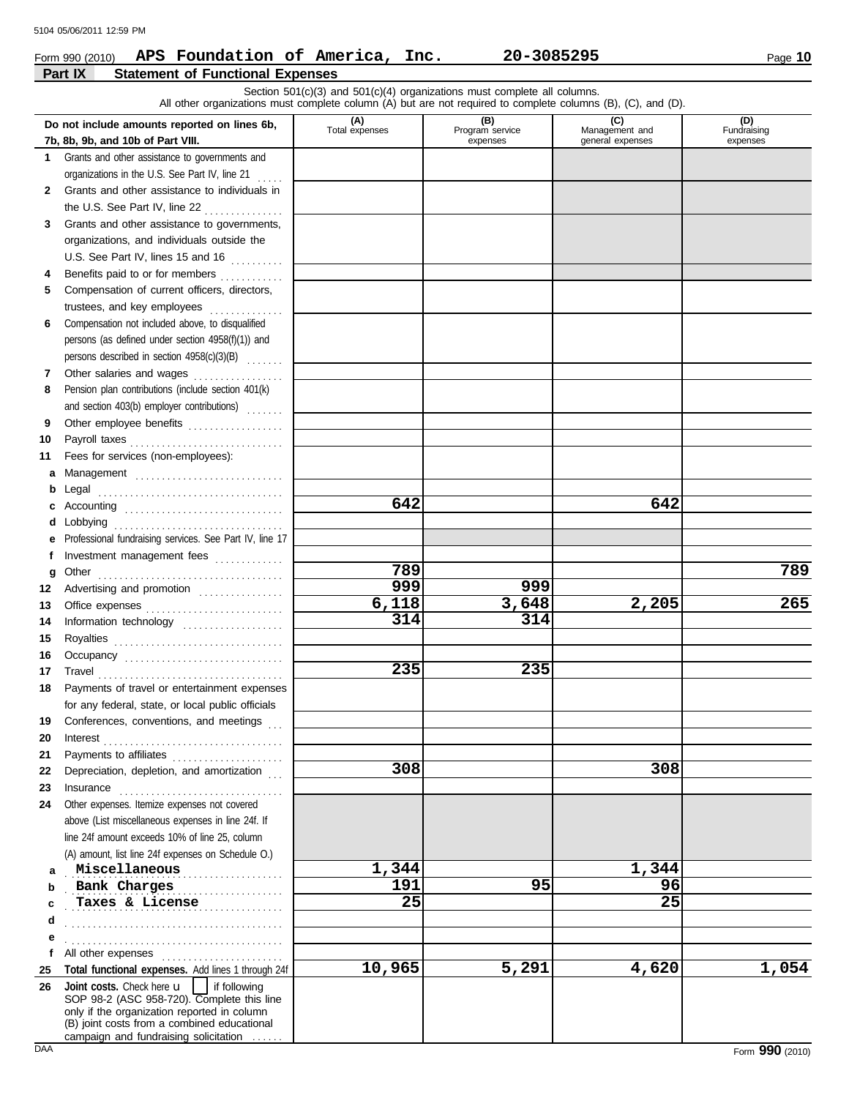### Form 990 (2010) Page **10 APS Foundation of America, Inc. 20-3085295**

|              | Part IX<br><b>Statement of Functional Expenses</b>                                                                                                                                                                                                                               |                                                                          |                             |                                    |                                |  |  |  |  |  |  |
|--------------|----------------------------------------------------------------------------------------------------------------------------------------------------------------------------------------------------------------------------------------------------------------------------------|--------------------------------------------------------------------------|-----------------------------|------------------------------------|--------------------------------|--|--|--|--|--|--|
|              | All other organizations must complete column (A) but are not required to complete columns (B), (C), and (D).                                                                                                                                                                     | Section 501(c)(3) and 501(c)(4) organizations must complete all columns. |                             |                                    |                                |  |  |  |  |  |  |
|              | Do not include amounts reported on lines 6b,                                                                                                                                                                                                                                     |                                                                          | (B)                         | (C)                                |                                |  |  |  |  |  |  |
|              | 7b, 8b, 9b, and 10b of Part VIII.                                                                                                                                                                                                                                                | (A)<br>Total expenses                                                    | Program service<br>expenses | Management and<br>general expenses | (D)<br>Fundraising<br>expenses |  |  |  |  |  |  |
| $\mathbf 1$  | Grants and other assistance to governments and                                                                                                                                                                                                                                   |                                                                          |                             |                                    |                                |  |  |  |  |  |  |
|              | organizations in the U.S. See Part IV, line 21                                                                                                                                                                                                                                   |                                                                          |                             |                                    |                                |  |  |  |  |  |  |
| $\mathbf{2}$ | Grants and other assistance to individuals in                                                                                                                                                                                                                                    |                                                                          |                             |                                    |                                |  |  |  |  |  |  |
|              | the U.S. See Part IV, line 22<br>.                                                                                                                                                                                                                                               |                                                                          |                             |                                    |                                |  |  |  |  |  |  |
| 3            | Grants and other assistance to governments,                                                                                                                                                                                                                                      |                                                                          |                             |                                    |                                |  |  |  |  |  |  |
|              | organizations, and individuals outside the                                                                                                                                                                                                                                       |                                                                          |                             |                                    |                                |  |  |  |  |  |  |
|              | U.S. See Part IV, lines 15 and 16                                                                                                                                                                                                                                                |                                                                          |                             |                                    |                                |  |  |  |  |  |  |
| 4            | Benefits paid to or for members                                                                                                                                                                                                                                                  |                                                                          |                             |                                    |                                |  |  |  |  |  |  |
| 5            | Compensation of current officers, directors,                                                                                                                                                                                                                                     |                                                                          |                             |                                    |                                |  |  |  |  |  |  |
|              | trustees, and key employees                                                                                                                                                                                                                                                      |                                                                          |                             |                                    |                                |  |  |  |  |  |  |
| 6            | Compensation not included above, to disqualified                                                                                                                                                                                                                                 |                                                                          |                             |                                    |                                |  |  |  |  |  |  |
|              | persons (as defined under section 4958(f)(1)) and<br>persons described in section 4958(c)(3)(B)                                                                                                                                                                                  |                                                                          |                             |                                    |                                |  |  |  |  |  |  |
| 7            | Other salaries and wages                                                                                                                                                                                                                                                         |                                                                          |                             |                                    |                                |  |  |  |  |  |  |
| 8            | Pension plan contributions (include section 401(k)                                                                                                                                                                                                                               |                                                                          |                             |                                    |                                |  |  |  |  |  |  |
|              | and section 403(b) employer contributions)                                                                                                                                                                                                                                       |                                                                          |                             |                                    |                                |  |  |  |  |  |  |
| 9            | Other employee benefits                                                                                                                                                                                                                                                          |                                                                          |                             |                                    |                                |  |  |  |  |  |  |
| 10           | Payroll taxes                                                                                                                                                                                                                                                                    |                                                                          |                             |                                    |                                |  |  |  |  |  |  |
| 11           | Fees for services (non-employees):                                                                                                                                                                                                                                               |                                                                          |                             |                                    |                                |  |  |  |  |  |  |
| a            | Management                                                                                                                                                                                                                                                                       |                                                                          |                             |                                    |                                |  |  |  |  |  |  |
| b            |                                                                                                                                                                                                                                                                                  |                                                                          |                             |                                    |                                |  |  |  |  |  |  |
| c            | Accounting                                                                                                                                                                                                                                                                       | 642                                                                      |                             | 642                                |                                |  |  |  |  |  |  |
| d            | Lobbying                                                                                                                                                                                                                                                                         |                                                                          |                             |                                    |                                |  |  |  |  |  |  |
| е            | Professional fundraising services. See Part IV, line 17                                                                                                                                                                                                                          |                                                                          |                             |                                    |                                |  |  |  |  |  |  |
| f            | Investment management fees                                                                                                                                                                                                                                                       | 789                                                                      |                             |                                    | 789                            |  |  |  |  |  |  |
| g            | Other                                                                                                                                                                                                                                                                            | 999                                                                      | 999                         |                                    |                                |  |  |  |  |  |  |
| 12<br>13     | Advertising and promotion                                                                                                                                                                                                                                                        | 6,118                                                                    | 3,648                       | 2,205                              | 265                            |  |  |  |  |  |  |
| 14           | Office expenses<br>Information technology                                                                                                                                                                                                                                        | 314                                                                      | 314                         |                                    |                                |  |  |  |  |  |  |
| 15           | Royalties                                                                                                                                                                                                                                                                        |                                                                          |                             |                                    |                                |  |  |  |  |  |  |
| 16           | Occupancy                                                                                                                                                                                                                                                                        |                                                                          |                             |                                    |                                |  |  |  |  |  |  |
| 17           |                                                                                                                                                                                                                                                                                  | 235                                                                      | 235                         |                                    |                                |  |  |  |  |  |  |
| 18           | Payments of travel or entertainment expenses                                                                                                                                                                                                                                     |                                                                          |                             |                                    |                                |  |  |  |  |  |  |
|              | for any federal, state, or local public officials                                                                                                                                                                                                                                |                                                                          |                             |                                    |                                |  |  |  |  |  |  |
| 19           | Conferences, conventions, and meetings                                                                                                                                                                                                                                           |                                                                          |                             |                                    |                                |  |  |  |  |  |  |
| 20           | $\textbf{Interest} \hspace{0.05cm} \ldots \hspace{0.05cm} \ldots \hspace{0.05cm} \ldots \hspace{0.05cm} \ldots \hspace{0.05cm} \ldots \hspace{0.05cm} \ldots \hspace{0.05cm} \ldots \hspace{0.05cm} \ldots \hspace{0.05cm} \ldots \hspace{0.05cm} \ldots \hspace{0.05cm} \ldots$ |                                                                          |                             |                                    |                                |  |  |  |  |  |  |
| 21           | Payments to affiliates                                                                                                                                                                                                                                                           |                                                                          |                             |                                    |                                |  |  |  |  |  |  |
| 22           | Depreciation, depletion, and amortization                                                                                                                                                                                                                                        | 308                                                                      |                             | 308                                |                                |  |  |  |  |  |  |
| 23           | Insurance                                                                                                                                                                                                                                                                        |                                                                          |                             |                                    |                                |  |  |  |  |  |  |
| 24           | Other expenses. Itemize expenses not covered<br>above (List miscellaneous expenses in line 24f. If                                                                                                                                                                               |                                                                          |                             |                                    |                                |  |  |  |  |  |  |
|              | line 24f amount exceeds 10% of line 25, column                                                                                                                                                                                                                                   |                                                                          |                             |                                    |                                |  |  |  |  |  |  |
|              | (A) amount, list line 24f expenses on Schedule O.)                                                                                                                                                                                                                               |                                                                          |                             |                                    |                                |  |  |  |  |  |  |
| a            | Miscellaneous                                                                                                                                                                                                                                                                    | 1,344                                                                    |                             | 1,344                              |                                |  |  |  |  |  |  |
| b            | Bank Charges                                                                                                                                                                                                                                                                     | 191                                                                      | 95                          | 96                                 |                                |  |  |  |  |  |  |
| c            | Taxes & License                                                                                                                                                                                                                                                                  | 25                                                                       |                             | 25                                 |                                |  |  |  |  |  |  |
| d            |                                                                                                                                                                                                                                                                                  |                                                                          |                             |                                    |                                |  |  |  |  |  |  |
| е            |                                                                                                                                                                                                                                                                                  |                                                                          |                             |                                    |                                |  |  |  |  |  |  |
| f            | All other expenses                                                                                                                                                                                                                                                               |                                                                          |                             |                                    |                                |  |  |  |  |  |  |
| 25           | Total functional expenses. Add lines 1 through 24f                                                                                                                                                                                                                               | 10,965                                                                   | 5,291                       | 4,620                              | 1,054                          |  |  |  |  |  |  |
| 26           | Joint costs. Check here u<br>if following<br>SOP 98-2 (ASC 958-720). Complete this line                                                                                                                                                                                          |                                                                          |                             |                                    |                                |  |  |  |  |  |  |
|              | only if the organization reported in column                                                                                                                                                                                                                                      |                                                                          |                             |                                    |                                |  |  |  |  |  |  |
|              | (B) joint costs from a combined educational<br>campaign and fundraising solicitation                                                                                                                                                                                             |                                                                          |                             |                                    |                                |  |  |  |  |  |  |

campaign and fundraising solicitation . . . . . .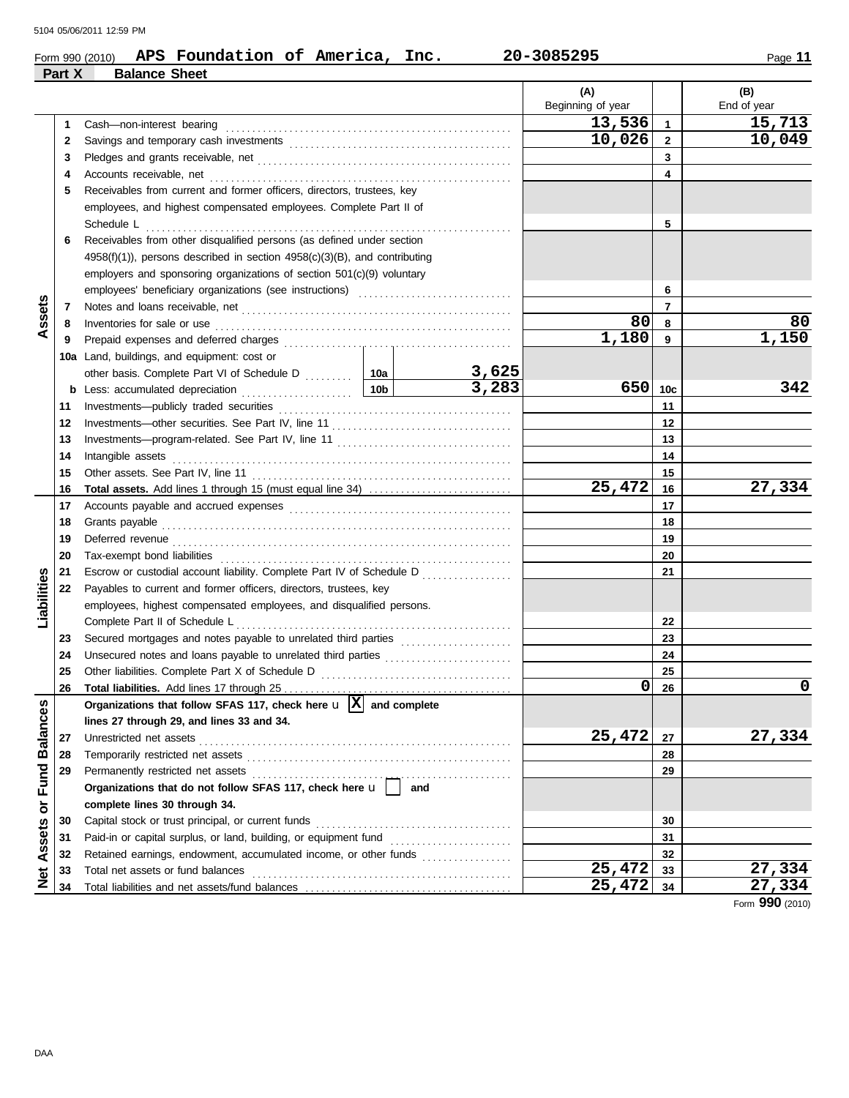|                                        |        | APS Foundation of America, Inc.<br>Form 990 (2010)                                      |     |       | 20-3085295        |                 | Page 11     |
|----------------------------------------|--------|-----------------------------------------------------------------------------------------|-----|-------|-------------------|-----------------|-------------|
|                                        | Part X | <b>Balance Sheet</b>                                                                    |     |       |                   |                 |             |
|                                        |        |                                                                                         |     |       | (A)               |                 | (B)         |
|                                        |        |                                                                                         |     |       | Beginning of year |                 | End of year |
|                                        | 1      |                                                                                         |     |       | 13,536            | $\mathbf{1}$    | 15,713      |
|                                        | 2      |                                                                                         |     |       | 10,026            | $\mathbf{2}$    | 10,049      |
|                                        | 3      |                                                                                         |     | 3     |                   |                 |             |
|                                        | 4      |                                                                                         |     |       |                   | 4               |             |
|                                        | 5      | Receivables from current and former officers, directors, trustees, key                  |     |       |                   |                 |             |
|                                        |        | employees, and highest compensated employees. Complete Part II of                       |     |       |                   |                 |             |
|                                        |        | Schedule L                                                                              |     | .     |                   | 5               |             |
|                                        | 6      | Receivables from other disqualified persons (as defined under section                   |     |       |                   |                 |             |
|                                        |        | $4958(f)(1)$ , persons described in section $4958(c)(3)(B)$ , and contributing          |     |       |                   |                 |             |
|                                        |        | employers and sponsoring organizations of section $501(c)(9)$ voluntary                 |     |       |                   |                 |             |
|                                        |        |                                                                                         |     |       |                   | 6               |             |
|                                        | 7      |                                                                                         |     |       |                   | $\overline{7}$  |             |
| Assets                                 | 8      |                                                                                         |     |       | 80                | 8               | 80          |
|                                        | 9      |                                                                                         |     |       | 1,180             | $\overline{9}$  | 1,150       |
|                                        |        | 10a Land, buildings, and equipment: cost or                                             |     |       |                   |                 |             |
|                                        |        | other basis. Complete Part VI of Schedule D  10a                                        |     | 3,625 |                   |                 |             |
|                                        |        |                                                                                         |     | 3,283 | 650               | 10 <sub>c</sub> | 342         |
|                                        | 11     |                                                                                         |     |       |                   | 11              |             |
|                                        | 12     |                                                                                         |     |       |                   | 12              |             |
|                                        | 13     |                                                                                         |     |       |                   | 13              |             |
|                                        | 14     |                                                                                         |     |       |                   | 14              |             |
|                                        | 15     |                                                                                         |     |       |                   | 15              |             |
|                                        | 16     |                                                                                         |     |       | 25,472            | 16              | 27,334      |
|                                        | 17     |                                                                                         |     |       |                   | 17              |             |
|                                        | 18     |                                                                                         |     |       |                   | 18              |             |
|                                        | 19     |                                                                                         |     |       |                   | 19              |             |
|                                        | 20     |                                                                                         |     |       |                   | 20              |             |
| Liabilities                            | 21     | Escrow or custodial account liability. Complete Part IV of Schedule D                   |     |       |                   | 21              |             |
|                                        | 22     | Payables to current and former officers, directors, trustees, key                       |     |       |                   |                 |             |
|                                        |        | employees, highest compensated employees, and disqualified persons.                     |     |       |                   |                 |             |
|                                        |        |                                                                                         |     |       |                   | 22              |             |
|                                        | 23     |                                                                                         |     |       |                   | 23              |             |
|                                        | 24     |                                                                                         |     |       |                   | 24              |             |
|                                        | 25     | Other liabilities. Complete Part X of Schedule D                                        |     |       | 0                 | 25              | 0           |
|                                        | 26     | Organizations that follow SFAS 117, check here $\mathbf{u}$ $\overline{X}$ and complete |     |       |                   | 26              |             |
| <b>Balances</b>                        |        |                                                                                         |     |       |                   |                 |             |
|                                        |        | lines 27 through 29, and lines 33 and 34.                                               |     |       | 25,472            |                 |             |
|                                        | 27     | Unrestricted net assets                                                                 |     |       |                   | 27              | 27,334      |
|                                        | 28     | Temporarily restricted net assets                                                       |     |       |                   | 28              |             |
| Fund                                   | 29     | Permanently restricted net assets                                                       | and |       |                   | 29              |             |
|                                        |        | Organizations that do not follow SFAS 117, check here u                                 |     |       |                   |                 |             |
| $\overline{\sigma}$                    |        | complete lines 30 through 34.                                                           |     |       |                   |                 |             |
| Assets                                 | 30     | Capital stock or trust principal, or current funds                                      |     |       |                   | 30              |             |
|                                        | 31     | Paid-in or capital surplus, or land, building, or equipment fund                        |     |       |                   | 31              |             |
|                                        | 32     | Retained earnings, endowment, accumulated income, or other funds                        |     |       | 25,472            | 32              | 27,334      |
| $\frac{\ddot{\mathbf{c}}}{\mathbf{z}}$ | 33     | Total net assets or fund balances                                                       |     |       | 25,472            | 33<br>34        | 27,334      |
|                                        | 34     |                                                                                         |     |       |                   |                 |             |

Form **990** (2010)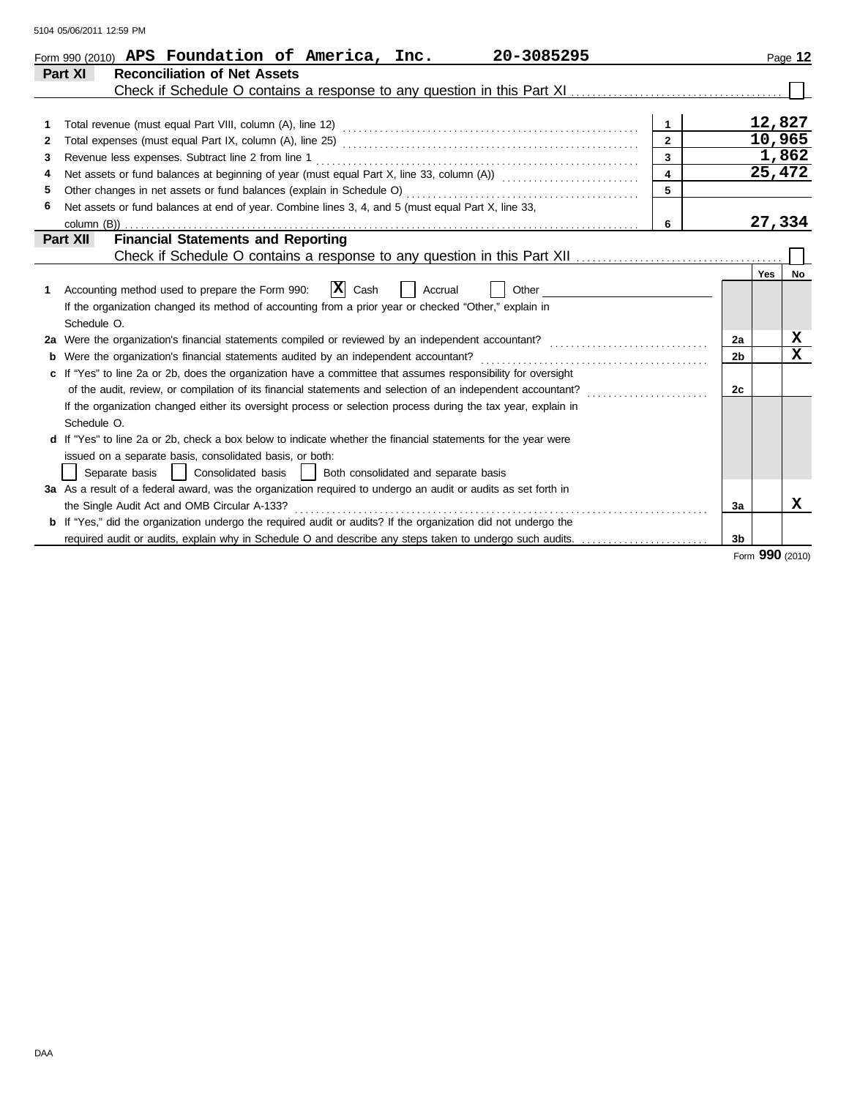| 5104 05/06/2011 12:59 PM |  |  |
|--------------------------|--|--|
|                          |  |  |

| Page 12                        |                                                                                                          |
|--------------------------------|----------------------------------------------------------------------------------------------------------|
|                                |                                                                                                          |
|                                |                                                                                                          |
| 12,827                         | $\mathbf{1}$                                                                                             |
| 10,965                         | $\overline{2}$                                                                                           |
| 1,862                          | $\overline{3}$                                                                                           |
| 25,472                         | $\overline{\mathbf{4}}$                                                                                  |
|                                |                                                                                                          |
|                                |                                                                                                          |
| 27,334                         | 6                                                                                                        |
|                                |                                                                                                          |
|                                |                                                                                                          |
| <b>Yes</b><br><b>No</b>        |                                                                                                          |
|                                |                                                                                                          |
|                                |                                                                                                          |
|                                |                                                                                                          |
| x<br>2a                        |                                                                                                          |
| $\mathbf{x}$<br>2 <sub>b</sub> |                                                                                                          |
|                                |                                                                                                          |
| 2c                             |                                                                                                          |
|                                |                                                                                                          |
|                                |                                                                                                          |
|                                |                                                                                                          |
|                                |                                                                                                          |
|                                |                                                                                                          |
|                                |                                                                                                          |
| x<br>За                        |                                                                                                          |
|                                |                                                                                                          |
| 3 <sub>b</sub>                 | required audit or audits, explain why in Schedule O and describe any steps taken to undergo such audits. |

Form **990** (2010)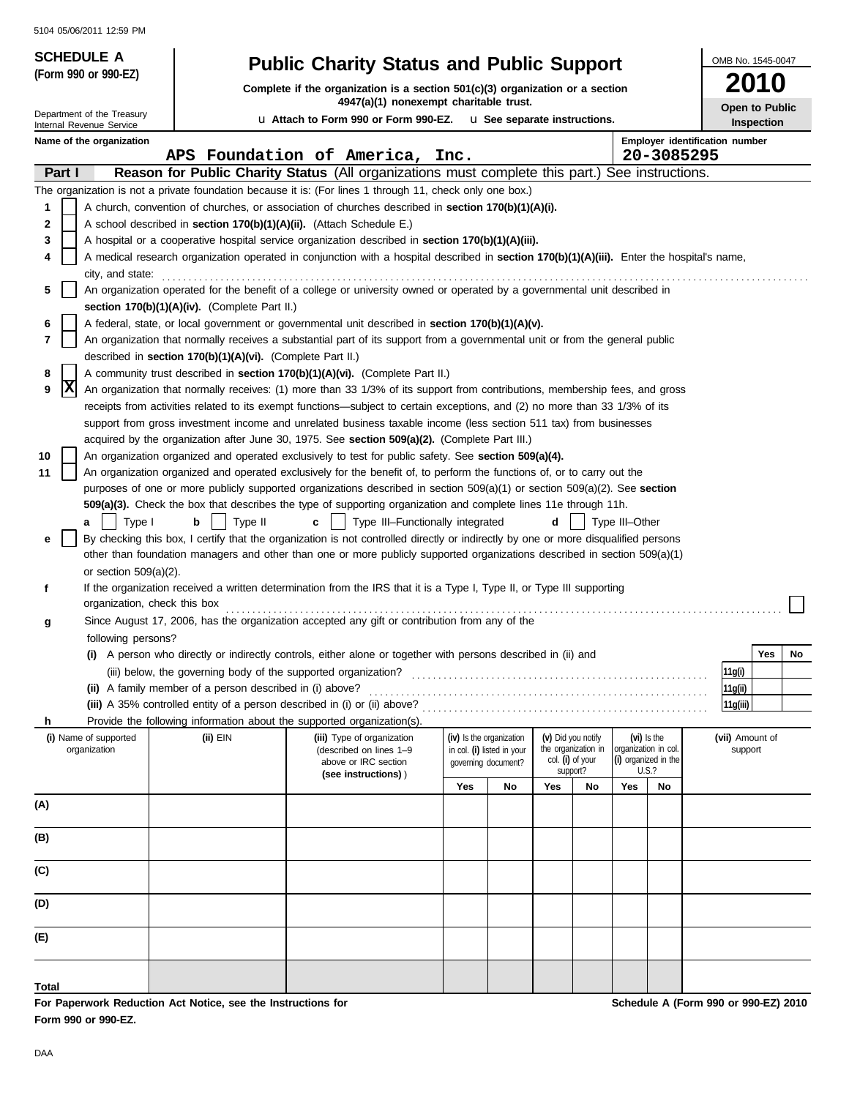| <b>JIU 4 UJ/UU/ZU II IZ.JY FIVI</b><br><b>SCHEDULE A</b>                                                                                                                                                                                             |                                                                      |                                                                                                                                                                                                                                                                 |     |                            |     |                                         |                      |                      | OMB No. 1545-0047                     |
|------------------------------------------------------------------------------------------------------------------------------------------------------------------------------------------------------------------------------------------------------|----------------------------------------------------------------------|-----------------------------------------------------------------------------------------------------------------------------------------------------------------------------------------------------------------------------------------------------------------|-----|----------------------------|-----|-----------------------------------------|----------------------|----------------------|---------------------------------------|
| (Form 990 or 990-EZ)                                                                                                                                                                                                                                 |                                                                      | <b>Public Charity Status and Public Support</b>                                                                                                                                                                                                                 |     |                            |     |                                         |                      |                      | 2010                                  |
|                                                                                                                                                                                                                                                      |                                                                      | Complete if the organization is a section $501(c)(3)$ organization or a section<br>4947(a)(1) nonexempt charitable trust.                                                                                                                                       |     |                            |     |                                         |                      |                      |                                       |
| Department of the Treasury<br>Internal Revenue Service                                                                                                                                                                                               | u Attach to Form 990 or Form 990-EZ. u See separate instructions.    | Open to Public<br>Inspection                                                                                                                                                                                                                                    |     |                            |     |                                         |                      |                      |                                       |
| Name of the organization                                                                                                                                                                                                                             |                                                                      |                                                                                                                                                                                                                                                                 |     |                            |     |                                         |                      |                      | <b>Employer identification number</b> |
|                                                                                                                                                                                                                                                      |                                                                      | APS Foundation of America, Inc.                                                                                                                                                                                                                                 |     |                            |     |                                         |                      |                      | 20-3085295                            |
| Part I                                                                                                                                                                                                                                               |                                                                      | Reason for Public Charity Status (All organizations must complete this part.) See instructions.                                                                                                                                                                 |     |                            |     |                                         |                      |                      |                                       |
|                                                                                                                                                                                                                                                      |                                                                      | The organization is not a private foundation because it is: (For lines 1 through 11, check only one box.)                                                                                                                                                       |     |                            |     |                                         |                      |                      |                                       |
| 1                                                                                                                                                                                                                                                    |                                                                      | A church, convention of churches, or association of churches described in section 170(b)(1)(A)(i).                                                                                                                                                              |     |                            |     |                                         |                      |                      |                                       |
| 2                                                                                                                                                                                                                                                    | A school described in section 170(b)(1)(A)(ii). (Attach Schedule E.) |                                                                                                                                                                                                                                                                 |     |                            |     |                                         |                      |                      |                                       |
| 3<br>A hospital or a cooperative hospital service organization described in section 170(b)(1)(A)(iii).<br>A medical research organization operated in conjunction with a hospital described in section 170(b)(1)(A)(iii). Enter the hospital's name, |                                                                      |                                                                                                                                                                                                                                                                 |     |                            |     |                                         |                      |                      |                                       |
| 4<br>city, and state:                                                                                                                                                                                                                                |                                                                      |                                                                                                                                                                                                                                                                 |     |                            |     |                                         |                      |                      |                                       |
| 5                                                                                                                                                                                                                                                    |                                                                      | An organization operated for the benefit of a college or university owned or operated by a governmental unit described in                                                                                                                                       |     |                            |     |                                         |                      |                      |                                       |
|                                                                                                                                                                                                                                                      | section $170(b)(1)(A)(iv)$ . (Complete Part II.)                     |                                                                                                                                                                                                                                                                 |     |                            |     |                                         |                      |                      |                                       |
| 6                                                                                                                                                                                                                                                    |                                                                      | A federal, state, or local government or governmental unit described in section 170(b)(1)(A)(v).                                                                                                                                                                |     |                            |     |                                         |                      |                      |                                       |
| 7                                                                                                                                                                                                                                                    |                                                                      | An organization that normally receives a substantial part of its support from a governmental unit or from the general public                                                                                                                                    |     |                            |     |                                         |                      |                      |                                       |
|                                                                                                                                                                                                                                                      | described in section 170(b)(1)(A)(vi). (Complete Part II.)           |                                                                                                                                                                                                                                                                 |     |                            |     |                                         |                      |                      |                                       |
| 8                                                                                                                                                                                                                                                    |                                                                      | A community trust described in section 170(b)(1)(A)(vi). (Complete Part II.)                                                                                                                                                                                    |     |                            |     |                                         |                      |                      |                                       |
| X<br>9                                                                                                                                                                                                                                               |                                                                      | An organization that normally receives: (1) more than 33 1/3% of its support from contributions, membership fees, and gross<br>receipts from activities related to its exempt functions—subject to certain exceptions, and (2) no more than 33 1/3% of its      |     |                            |     |                                         |                      |                      |                                       |
|                                                                                                                                                                                                                                                      |                                                                      | support from gross investment income and unrelated business taxable income (less section 511 tax) from businesses                                                                                                                                               |     |                            |     |                                         |                      |                      |                                       |
|                                                                                                                                                                                                                                                      |                                                                      | acquired by the organization after June 30, 1975. See section 509(a)(2). (Complete Part III.)                                                                                                                                                                   |     |                            |     |                                         |                      |                      |                                       |
| 10                                                                                                                                                                                                                                                   |                                                                      | An organization organized and operated exclusively to test for public safety. See section 509(a)(4).                                                                                                                                                            |     |                            |     |                                         |                      |                      |                                       |
| 11                                                                                                                                                                                                                                                   |                                                                      | An organization organized and operated exclusively for the benefit of, to perform the functions of, or to carry out the                                                                                                                                         |     |                            |     |                                         |                      |                      |                                       |
|                                                                                                                                                                                                                                                      |                                                                      | purposes of one or more publicly supported organizations described in section $509(a)(1)$ or section $509(a)(2)$ . See section                                                                                                                                  |     |                            |     |                                         |                      |                      |                                       |
|                                                                                                                                                                                                                                                      |                                                                      | 509(a)(3). Check the box that describes the type of supporting organization and complete lines 11e through 11h.                                                                                                                                                 |     |                            |     |                                         |                      |                      |                                       |
| Type I<br>a                                                                                                                                                                                                                                          | Type II<br>b                                                         | Type III-Functionally integrated<br>$\mathbf{c}$                                                                                                                                                                                                                |     |                            | d   |                                         | Type III-Other       |                      |                                       |
| е                                                                                                                                                                                                                                                    |                                                                      | By checking this box, I certify that the organization is not controlled directly or indirectly by one or more disqualified persons<br>other than foundation managers and other than one or more publicly supported organizations described in section 509(a)(1) |     |                            |     |                                         |                      |                      |                                       |
| or section $509(a)(2)$ .                                                                                                                                                                                                                             |                                                                      |                                                                                                                                                                                                                                                                 |     |                            |     |                                         |                      |                      |                                       |
| f                                                                                                                                                                                                                                                    |                                                                      | If the organization received a written determination from the IRS that it is a Type I, Type II, or Type III supporting                                                                                                                                          |     |                            |     |                                         |                      |                      |                                       |
| organization, check this box                                                                                                                                                                                                                         |                                                                      |                                                                                                                                                                                                                                                                 |     |                            |     |                                         |                      |                      |                                       |
| g                                                                                                                                                                                                                                                    |                                                                      | Since August 17, 2006, has the organization accepted any gift or contribution from any of the                                                                                                                                                                   |     |                            |     |                                         |                      |                      |                                       |
| following persons?                                                                                                                                                                                                                                   |                                                                      |                                                                                                                                                                                                                                                                 |     |                            |     |                                         |                      |                      |                                       |
|                                                                                                                                                                                                                                                      |                                                                      | (i) A person who directly or indirectly controls, either alone or together with persons described in (ii) and                                                                                                                                                   |     |                            |     |                                         |                      |                      | Yes<br><b>No</b>                      |
|                                                                                                                                                                                                                                                      | (iii) below, the governing body of the supported organization?       |                                                                                                                                                                                                                                                                 |     |                            |     |                                         |                      |                      | 11g(i)                                |
|                                                                                                                                                                                                                                                      | (ii) A family member of a person described in (i) above?             | (iii) A 35% controlled entity of a person described in (i) or (ii) above?                                                                                                                                                                                       |     |                            |     |                                         |                      |                      | 11g(ii)<br>11q(iii)                   |
| h.                                                                                                                                                                                                                                                   |                                                                      | Provide the following information about the supported organization(s).                                                                                                                                                                                          |     |                            |     |                                         |                      |                      |                                       |
| (i) Name of supported                                                                                                                                                                                                                                | (ii) EIN                                                             | (iii) Type of organization                                                                                                                                                                                                                                      |     | (iv) Is the organization   |     | (v) Did you notify                      |                      | $(vi)$ is the        | (vii) Amount of                       |
| organization                                                                                                                                                                                                                                         |                                                                      | (described on lines 1-9<br>above or IRC section                                                                                                                                                                                                                 |     | in col. (i) listed in your |     | the organization in<br>col. (i) of your | organization in col. | (i) organized in the | support                               |
|                                                                                                                                                                                                                                                      |                                                                      | (see instructions))                                                                                                                                                                                                                                             |     | governing document?        |     | support?                                |                      | <b>U.S.?</b>         |                                       |
|                                                                                                                                                                                                                                                      |                                                                      |                                                                                                                                                                                                                                                                 | Yes | No                         | Yes | No                                      | Yes                  | No                   |                                       |
| (A)                                                                                                                                                                                                                                                  |                                                                      |                                                                                                                                                                                                                                                                 |     |                            |     |                                         |                      |                      |                                       |
| (B)                                                                                                                                                                                                                                                  |                                                                      |                                                                                                                                                                                                                                                                 |     |                            |     |                                         |                      |                      |                                       |
|                                                                                                                                                                                                                                                      |                                                                      |                                                                                                                                                                                                                                                                 |     |                            |     |                                         |                      |                      |                                       |
| (C)                                                                                                                                                                                                                                                  |                                                                      |                                                                                                                                                                                                                                                                 |     |                            |     |                                         |                      |                      |                                       |
| (D)                                                                                                                                                                                                                                                  |                                                                      |                                                                                                                                                                                                                                                                 |     |                            |     |                                         |                      |                      |                                       |
| (E)                                                                                                                                                                                                                                                  |                                                                      |                                                                                                                                                                                                                                                                 |     |                            |     |                                         |                      |                      |                                       |
|                                                                                                                                                                                                                                                      |                                                                      |                                                                                                                                                                                                                                                                 |     |                            |     |                                         |                      |                      |                                       |
| <b>Total</b>                                                                                                                                                                                                                                         |                                                                      |                                                                                                                                                                                                                                                                 |     |                            |     |                                         |                      |                      |                                       |

**For Paperwork Reduction Act Notice, see the Instructions for Form 990 or 990-EZ.**

**Schedule A (Form 990 or 990-EZ) 2010**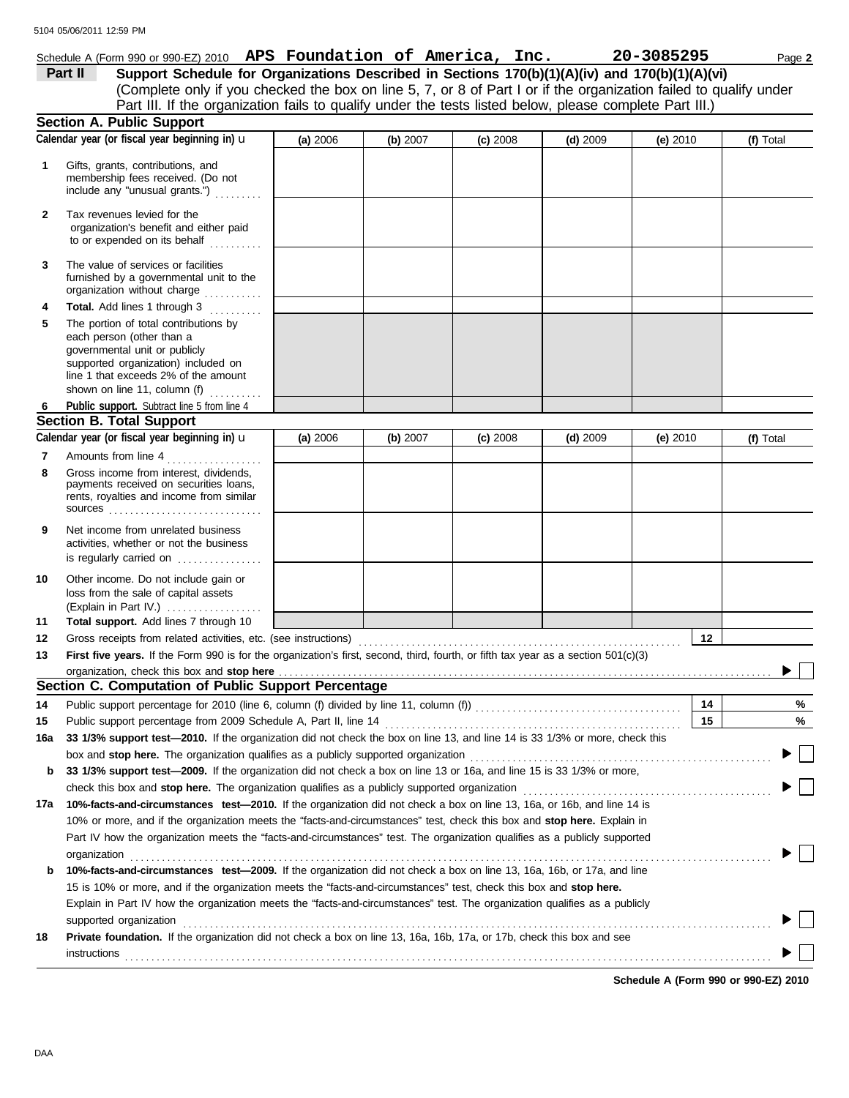|              | Schedule A (Form 990 or 990-EZ) 2010 $\,$ APS Foundation of America, Inc.                                                                  |          |          |            |            | 20-3085295 | Page 2    |
|--------------|--------------------------------------------------------------------------------------------------------------------------------------------|----------|----------|------------|------------|------------|-----------|
|              | Support Schedule for Organizations Described in Sections 170(b)(1)(A)(iv) and 170(b)(1)(A)(vi)<br>Part II                                  |          |          |            |            |            |           |
|              | (Complete only if you checked the box on line 5, 7, or 8 of Part I or if the organization failed to qualify under                          |          |          |            |            |            |           |
|              | Part III. If the organization fails to qualify under the tests listed below, please complete Part III.)                                    |          |          |            |            |            |           |
|              | <b>Section A. Public Support</b>                                                                                                           |          |          |            |            |            |           |
|              | Calendar year (or fiscal year beginning in) u                                                                                              | (a) 2006 | (b) 2007 | $(c)$ 2008 | $(d)$ 2009 | (e) $2010$ | (f) Total |
| 1            | Gifts, grants, contributions, and<br>membership fees received. (Do not<br>include any "unusual grants.")                                   |          |          |            |            |            |           |
| $\mathbf{2}$ | Tax revenues levied for the<br>organization's benefit and either paid<br>to or expended on its behalf                                      |          |          |            |            |            |           |
| 3            | The value of services or facilities<br>furnished by a governmental unit to the<br>organization without charge                              |          |          |            |            |            |           |
| 4            | Total. Add lines 1 through 3                                                                                                               |          |          |            |            |            |           |
| 5            | The portion of total contributions by<br>each person (other than a<br>governmental unit or publicly<br>supported organization) included on |          |          |            |            |            |           |
|              | line 1 that exceeds 2% of the amount                                                                                                       |          |          |            |            |            |           |
|              | shown on line 11, column (f) $\ldots$                                                                                                      |          |          |            |            |            |           |
| 6            | Public support. Subtract line 5 from line 4<br><b>Section B. Total Support</b>                                                             |          |          |            |            |            |           |
|              | Calendar year (or fiscal year beginning in) <b>u</b>                                                                                       | (a) 2006 | (b) 2007 | $(c)$ 2008 | $(d)$ 2009 | (e) $2010$ | (f) Total |
| 7            | Amounts from line 4                                                                                                                        |          |          |            |            |            |           |
| 8            | Gross income from interest, dividends,<br>payments received on securities loans,<br>rents, royalties and income from similar               |          |          |            |            |            |           |
| 9            | Net income from unrelated business<br>activities, whether or not the business<br>is regularly carried on                                   |          |          |            |            |            |           |
| 10           | Other income. Do not include gain or<br>loss from the sale of capital assets<br>(Explain in Part IV.)                                      |          |          |            |            |            |           |
| 11           | Total support. Add lines 7 through 10                                                                                                      |          |          |            |            |            |           |
| 12           | Gross receipts from related activities, etc. (see instructions)                                                                            |          |          |            |            | 12         |           |
| 13           | First five years. If the Form 990 is for the organization's first, second, third, fourth, or fifth tax year as a section 501(c)(3)         |          |          |            |            |            |           |
|              |                                                                                                                                            |          |          |            |            |            |           |
|              | Section C. Computation of Public Support Percentage                                                                                        |          |          |            |            |            |           |
| 14           |                                                                                                                                            |          |          |            |            | 14         | %         |
| 15           | Public support percentage from 2009 Schedule A, Part II, line 14                                                                           |          |          |            |            | 15         | %         |
| 16a          | 33 1/3% support test-2010. If the organization did not check the box on line 13, and line 14 is 33 1/3% or more, check this                |          |          |            |            |            |           |
|              | box and stop here. The organization qualifies as a publicly supported organization                                                         |          |          |            |            |            |           |
| b            | 33 1/3% support test-2009. If the organization did not check a box on line 13 or 16a, and line 15 is 33 1/3% or more,                      |          |          |            |            |            |           |
|              |                                                                                                                                            |          |          |            |            |            |           |
| 17a          | 10%-facts-and-circumstances test-2010. If the organization did not check a box on line 13, 16a, or 16b, and line 14 is                     |          |          |            |            |            |           |
|              | 10% or more, and if the organization meets the "facts-and-circumstances" test, check this box and stop here. Explain in                    |          |          |            |            |            |           |
|              | Part IV how the organization meets the "facts-and-circumstances" test. The organization qualifies as a publicly supported                  |          |          |            |            |            |           |
|              | organization www.community.community.community.community.community.community.community.community.com                                       |          |          |            |            |            |           |

|    | 15 is 10% or more, and if the organization meets the "facts-and-circumstances" test, check this box and stop here.           |
|----|------------------------------------------------------------------------------------------------------------------------------|
|    | Explain in Part IV how the organization meets the "facts-and-circumstances" test. The organization qualifies as a publicly   |
|    | supported organization                                                                                                       |
| 18 | <b>Private foundation.</b> If the organization did not check a box on line 13, 16a, 16b, 17a, or 17b, check this box and see |
|    | instructions                                                                                                                 |

**b 10%-facts-and-circumstances test—2009.** If the organization did not check a box on line 13, 16a, 16b, or 17a, and line

**Schedule A (Form 990 or 990-EZ) 2010**

 $\Box$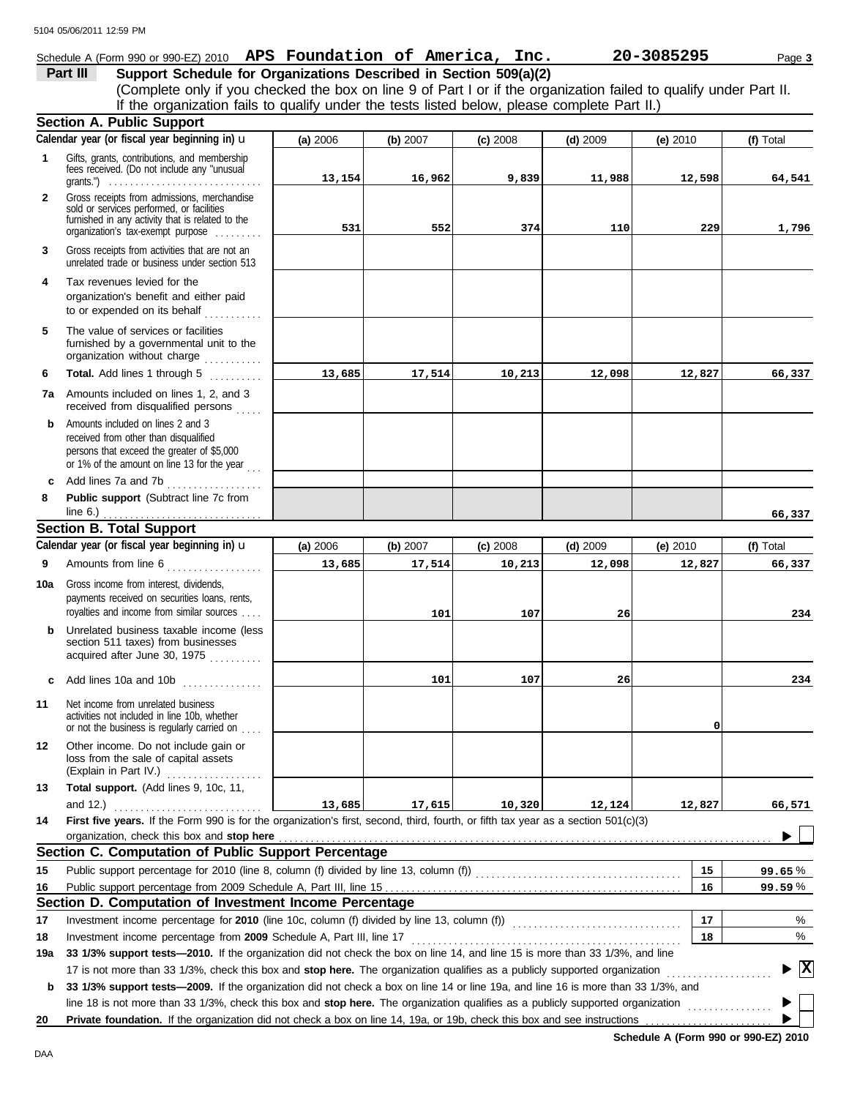#### Schedule A (Form 990 or 990-EZ) 2010 **APS Foundation of America, Inc. 20-3085295** Page 3

**Part III** Support Schedule for Organizations Described in Section 509(a)(2) (Complete only if you checked the box on line 9 of Part I or if the organization failed to qualify under Part II. If the organization fails to qualify under the tests listed below, please complete Part II.)

|                   | <b>Section A. Public Support</b>                                                                                                                                                                                                                                |          |          |            |            |            |                                 |
|-------------------|-----------------------------------------------------------------------------------------------------------------------------------------------------------------------------------------------------------------------------------------------------------------|----------|----------|------------|------------|------------|---------------------------------|
|                   | Calendar year (or fiscal year beginning in) u                                                                                                                                                                                                                   | (a) 2006 | (b) 2007 | $(c)$ 2008 | $(d)$ 2009 | (e) $2010$ | (f) Total                       |
| 1                 | Gifts, grants, contributions, and membership<br>fees received. (Do not include any "unusual<br>grants.") $\ldots \ldots \ldots \ldots \ldots \ldots \ldots \ldots \ldots \ldots$                                                                                | 13,154   | 16,962   | 9,839      | 11,988     | 12,598     | 64,541                          |
| $\mathbf{2}$      | Gross receipts from admissions, merchandise<br>sold or services performed, or facilities<br>furnished in any activity that is related to the<br>organization's tax-exempt purpose                                                                               | 531      | 552      | 374        | 110        | 229        | 1,796                           |
| 3                 | Gross receipts from activities that are not an<br>unrelated trade or business under section 513                                                                                                                                                                 |          |          |            |            |            |                                 |
| 4                 | Tax revenues levied for the<br>organization's benefit and either paid<br>to or expended on its behalf                                                                                                                                                           |          |          |            |            |            |                                 |
| 5                 | The value of services or facilities<br>furnished by a governmental unit to the<br>organization without charge                                                                                                                                                   |          |          |            |            |            |                                 |
| 6                 | Total. Add lines 1 through 5<br>.                                                                                                                                                                                                                               | 13,685   | 17,514   | 10,213     | 12,098     | 12,827     | 66,337                          |
| 7a                | Amounts included on lines 1, 2, and 3<br>received from disqualified persons                                                                                                                                                                                     |          |          |            |            |            |                                 |
| b                 | Amounts included on lines 2 and 3<br>received from other than disqualified<br>persons that exceed the greater of \$5,000<br>or 1% of the amount on line 13 for the year                                                                                         |          |          |            |            |            |                                 |
| $\mathbf{c}$<br>8 | Add lines 7a and 7b<br>Public support (Subtract line 7c from                                                                                                                                                                                                    |          |          |            |            |            |                                 |
|                   | line 6.) $\ldots$ $\ldots$ $\ldots$ $\ldots$ $\ldots$<br><b>Section B. Total Support</b>                                                                                                                                                                        |          |          |            |            |            | 66,337                          |
|                   | Calendar year (or fiscal year beginning in) u                                                                                                                                                                                                                   | (a) 2006 | (b) 2007 | $(c)$ 2008 | $(d)$ 2009 | (e) 2010   | (f) Total                       |
| 9                 | Amounts from line 6                                                                                                                                                                                                                                             | 13,685   | 17,514   | 10,213     | 12,098     | 12,827     | 66,337                          |
|                   | .                                                                                                                                                                                                                                                               |          |          |            |            |            |                                 |
| 10a               | Gross income from interest, dividends,<br>payments received on securities loans, rents,<br>royalties and income from similar sources                                                                                                                            |          | 101      | 107        | 26         |            | 234                             |
| b                 | Unrelated business taxable income (less<br>section 511 taxes) from businesses<br>acquired after June 30, 1975<br>                                                                                                                                               |          |          |            |            |            |                                 |
| c                 | Add lines 10a and 10b                                                                                                                                                                                                                                           |          | 101      | 107        | 26         |            | 234                             |
| 11                | Net income from unrelated business<br>activities not included in line 10b, whether<br>or not the business is regularly carried on                                                                                                                               |          |          |            |            | 0          |                                 |
| 12                | Other income. Do not include gain or<br>loss from the sale of capital assets<br>(Explain in Part IV.)<br>.                                                                                                                                                      |          |          |            |            |            |                                 |
| 13                | Total support. (Add lines 9, 10c, 11,                                                                                                                                                                                                                           |          |          |            |            |            |                                 |
|                   | and 12.) $\ldots$                                                                                                                                                                                                                                               | 13,685   | 17,615   | 10,320     | 12,124     | 12,827     | 66,571                          |
| 14                | First five years. If the Form 990 is for the organization's first, second, third, fourth, or fifth tax year as a section 501(c)(3)                                                                                                                              |          |          |            |            |            |                                 |
|                   | Section C. Computation of Public Support Percentage                                                                                                                                                                                                             |          |          |            |            |            |                                 |
|                   |                                                                                                                                                                                                                                                                 |          |          |            |            | 15         |                                 |
| 15<br>16          |                                                                                                                                                                                                                                                                 |          |          |            |            | 16         | 99.65%<br>99.59%                |
|                   | Section D. Computation of Investment Income Percentage                                                                                                                                                                                                          |          |          |            |            |            |                                 |
| 17                |                                                                                                                                                                                                                                                                 |          |          |            |            | 17         | %                               |
| 18                |                                                                                                                                                                                                                                                                 |          |          |            |            | 18         | %                               |
| 19a               | 33 1/3% support tests—2010. If the organization did not check the box on line 14, and line 15 is more than 33 1/3%, and line                                                                                                                                    |          |          |            |            |            |                                 |
|                   | 17 is not more than 33 1/3%, check this box and stop here. The organization qualifies as a publicly supported organization<br>33 1/3% support tests—2009. If the organization did not check a box on line 14 or line 19a, and line 16 is more than 33 1/3%, and |          |          |            |            |            | $\blacktriangleright$ $\vert$ X |
| b                 | line 18 is not more than 33 1/3%, check this box and stop here. The organization qualifies as a publicly supported organization                                                                                                                                 |          |          |            |            |            |                                 |
| 20                | Private foundation. If the organization did not check a box on line 14, 19a, or 19b, check this box and see instructions                                                                                                                                        |          |          |            |            |            |                                 |

**Schedule A (Form 990 or 990-EZ) 2010**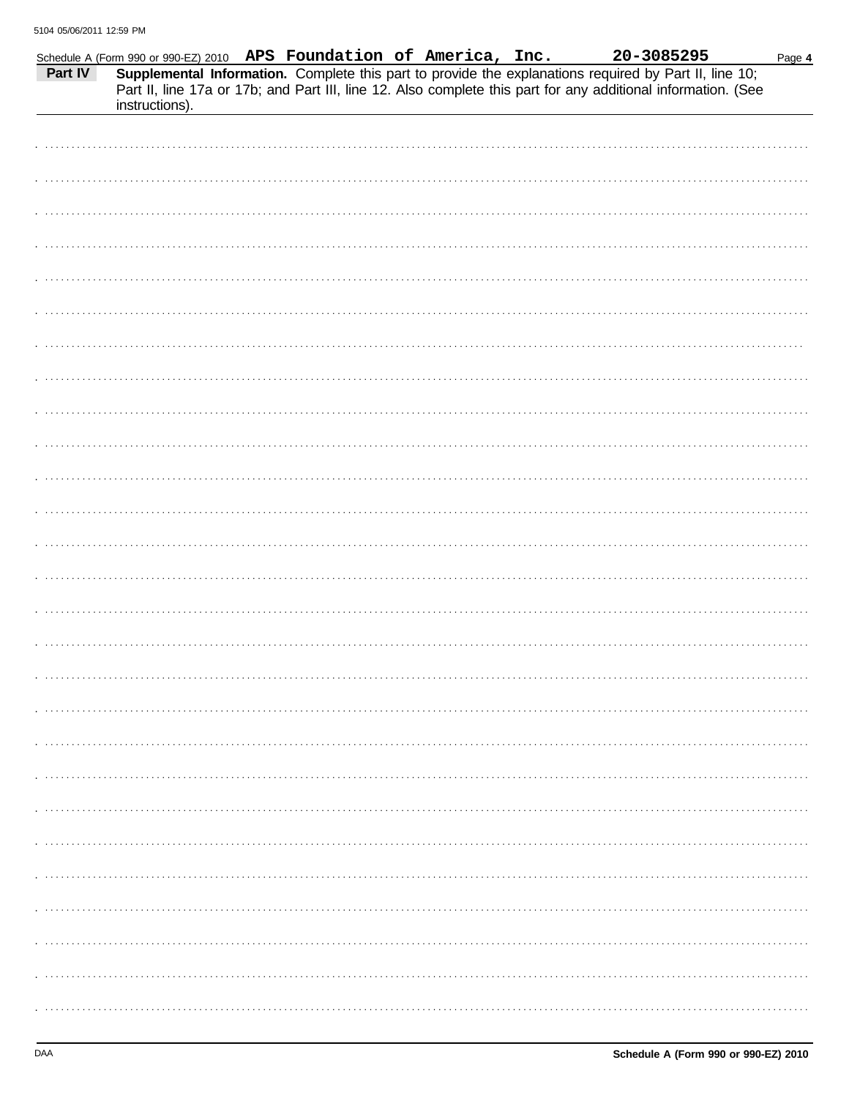| Part IV | Schedule A (Form 990 or 990-EZ) 2010 APS Foundation of America, Inc.<br>instructions). |  | 20-3085295<br>Supplemental Information. Complete this part to provide the explanations required by Part II, line 10;<br>Part II, line 17a or 17b; and Part III, line 12. Also complete this part for any additional information. (See | Page 4 |
|---------|----------------------------------------------------------------------------------------|--|---------------------------------------------------------------------------------------------------------------------------------------------------------------------------------------------------------------------------------------|--------|
|         |                                                                                        |  |                                                                                                                                                                                                                                       |        |
|         |                                                                                        |  |                                                                                                                                                                                                                                       |        |
|         |                                                                                        |  |                                                                                                                                                                                                                                       |        |
|         |                                                                                        |  |                                                                                                                                                                                                                                       |        |
|         |                                                                                        |  |                                                                                                                                                                                                                                       |        |
|         |                                                                                        |  |                                                                                                                                                                                                                                       |        |
|         |                                                                                        |  |                                                                                                                                                                                                                                       |        |
|         |                                                                                        |  |                                                                                                                                                                                                                                       |        |
|         |                                                                                        |  |                                                                                                                                                                                                                                       |        |
|         |                                                                                        |  |                                                                                                                                                                                                                                       |        |
|         |                                                                                        |  |                                                                                                                                                                                                                                       |        |
|         |                                                                                        |  |                                                                                                                                                                                                                                       |        |
|         |                                                                                        |  |                                                                                                                                                                                                                                       |        |
|         |                                                                                        |  |                                                                                                                                                                                                                                       |        |
|         |                                                                                        |  |                                                                                                                                                                                                                                       |        |
|         |                                                                                        |  |                                                                                                                                                                                                                                       |        |
|         |                                                                                        |  |                                                                                                                                                                                                                                       |        |
|         |                                                                                        |  |                                                                                                                                                                                                                                       |        |
|         |                                                                                        |  |                                                                                                                                                                                                                                       |        |
|         |                                                                                        |  |                                                                                                                                                                                                                                       |        |
|         |                                                                                        |  |                                                                                                                                                                                                                                       |        |
|         |                                                                                        |  |                                                                                                                                                                                                                                       |        |
|         |                                                                                        |  |                                                                                                                                                                                                                                       |        |
|         |                                                                                        |  |                                                                                                                                                                                                                                       |        |
|         |                                                                                        |  |                                                                                                                                                                                                                                       |        |
|         |                                                                                        |  |                                                                                                                                                                                                                                       |        |
|         |                                                                                        |  |                                                                                                                                                                                                                                       |        |
|         |                                                                                        |  |                                                                                                                                                                                                                                       |        |
|         |                                                                                        |  |                                                                                                                                                                                                                                       |        |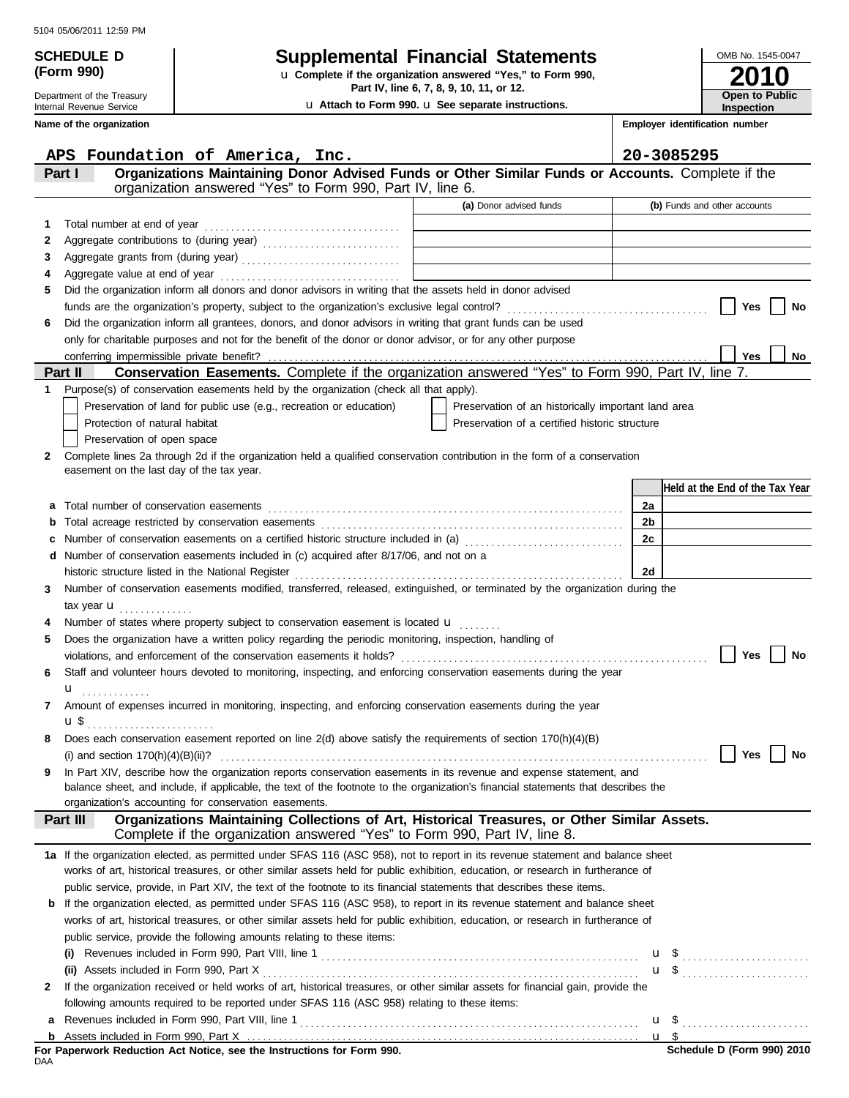Department of the Treasury Internal Revenue Service **Name of the organization**

**(Form 990)**

## **SCHEDULE D Supplemental Financial Statements**

**Part IV, line 6, 7, 8, 9, 10, 11, or 12.** u **Complete if the organization answered "Yes," to Form 990,**

u **Attach to Form 990.** u **See separate instructions.**

**2010** OMB No. 1545-0047 **Open to Public Inspection**

**Employer identification number**

|     | APS Foundation of America, Inc.                                                                                                                                                                                                                                     |                                                     |    | 20-3085295                      |
|-----|---------------------------------------------------------------------------------------------------------------------------------------------------------------------------------------------------------------------------------------------------------------------|-----------------------------------------------------|----|---------------------------------|
|     | Organizations Maintaining Donor Advised Funds or Other Similar Funds or Accounts. Complete if the<br>Part I                                                                                                                                                         |                                                     |    |                                 |
|     | organization answered "Yes" to Form 990, Part IV, line 6.                                                                                                                                                                                                           |                                                     |    |                                 |
|     |                                                                                                                                                                                                                                                                     | (a) Donor advised funds                             |    | (b) Funds and other accounts    |
| 1   | Total number at end of year                                                                                                                                                                                                                                         |                                                     |    |                                 |
| 2   |                                                                                                                                                                                                                                                                     |                                                     |    |                                 |
| 3   |                                                                                                                                                                                                                                                                     |                                                     |    |                                 |
| 4   |                                                                                                                                                                                                                                                                     |                                                     |    |                                 |
| 5   | Did the organization inform all donors and donor advisors in writing that the assets held in donor advised                                                                                                                                                          |                                                     |    |                                 |
|     |                                                                                                                                                                                                                                                                     |                                                     |    | Yes<br>No                       |
| 6   | Did the organization inform all grantees, donors, and donor advisors in writing that grant funds can be used                                                                                                                                                        |                                                     |    |                                 |
|     | only for charitable purposes and not for the benefit of the donor or donor advisor, or for any other purpose                                                                                                                                                        |                                                     |    |                                 |
|     |                                                                                                                                                                                                                                                                     |                                                     |    | Yes<br>No                       |
|     | Conservation Easements. Complete if the organization answered "Yes" to Form 990, Part IV, line 7.<br>Part II                                                                                                                                                        |                                                     |    |                                 |
| 1   | Purpose(s) of conservation easements held by the organization (check all that apply).                                                                                                                                                                               |                                                     |    |                                 |
|     | Preservation of land for public use (e.g., recreation or education)                                                                                                                                                                                                 | Preservation of an historically important land area |    |                                 |
|     | Protection of natural habitat                                                                                                                                                                                                                                       | Preservation of a certified historic structure      |    |                                 |
|     | Preservation of open space                                                                                                                                                                                                                                          |                                                     |    |                                 |
| 2   | Complete lines 2a through 2d if the organization held a qualified conservation contribution in the form of a conservation                                                                                                                                           |                                                     |    |                                 |
|     | easement on the last day of the tax year.                                                                                                                                                                                                                           |                                                     |    |                                 |
|     |                                                                                                                                                                                                                                                                     |                                                     |    | Held at the End of the Tax Year |
| а   | Total number of conservation easements                                                                                                                                                                                                                              |                                                     | 2a |                                 |
| b   |                                                                                                                                                                                                                                                                     |                                                     | 2b |                                 |
| c   | Number of conservation easements on a certified historic structure included in (a) [1] [2] [2] Number of conservation easements on a certified historic structure included in (a)                                                                                   |                                                     | 2c |                                 |
| d   | Number of conservation easements included in (c) acquired after 8/17/06, and not on a                                                                                                                                                                               |                                                     |    |                                 |
|     |                                                                                                                                                                                                                                                                     |                                                     | 2d |                                 |
| 3   | Number of conservation easements modified, transferred, released, extinguished, or terminated by the organization during the                                                                                                                                        |                                                     |    |                                 |
|     | tax year $\mathbf u$                                                                                                                                                                                                                                                |                                                     |    |                                 |
|     | Number of states where property subject to conservation easement is located $\mathbf{u}$                                                                                                                                                                            |                                                     |    |                                 |
| 5   | Does the organization have a written policy regarding the periodic monitoring, inspection, handling of                                                                                                                                                              |                                                     |    |                                 |
|     |                                                                                                                                                                                                                                                                     |                                                     |    | Yes<br>No                       |
| 6   | Staff and volunteer hours devoted to monitoring, inspecting, and enforcing conservation easements during the year                                                                                                                                                   |                                                     |    |                                 |
|     | ${\bf u}$                                                                                                                                                                                                                                                           |                                                     |    |                                 |
| 7   | Amount of expenses incurred in monitoring, inspecting, and enforcing conservation easements during the year                                                                                                                                                         |                                                     |    |                                 |
|     |                                                                                                                                                                                                                                                                     |                                                     |    |                                 |
|     | Does each conservation easement reported on line $2(d)$ above satisfy the requirements of section 170(h)(4)(B)                                                                                                                                                      |                                                     |    |                                 |
|     |                                                                                                                                                                                                                                                                     |                                                     |    | Yes<br>No                       |
| 9   | In Part XIV, describe how the organization reports conservation easements in its revenue and expense statement, and                                                                                                                                                 |                                                     |    |                                 |
|     | balance sheet, and include, if applicable, the text of the footnote to the organization's financial statements that describes the                                                                                                                                   |                                                     |    |                                 |
|     | organization's accounting for conservation easements.<br>Organizations Maintaining Collections of Art, Historical Treasures, or Other Similar Assets.                                                                                                               |                                                     |    |                                 |
|     | Part III<br>Complete if the organization answered "Yes" to Form 990, Part IV, line 8.                                                                                                                                                                               |                                                     |    |                                 |
|     |                                                                                                                                                                                                                                                                     |                                                     |    |                                 |
|     | 1a If the organization elected, as permitted under SFAS 116 (ASC 958), not to report in its revenue statement and balance sheet<br>works of art, historical treasures, or other similar assets held for public exhibition, education, or research in furtherance of |                                                     |    |                                 |
|     | public service, provide, in Part XIV, the text of the footnote to its financial statements that describes these items.                                                                                                                                              |                                                     |    |                                 |
| b   | If the organization elected, as permitted under SFAS 116 (ASC 958), to report in its revenue statement and balance sheet                                                                                                                                            |                                                     |    |                                 |
|     | works of art, historical treasures, or other similar assets held for public exhibition, education, or research in furtherance of                                                                                                                                    |                                                     |    |                                 |
|     | public service, provide the following amounts relating to these items:                                                                                                                                                                                              |                                                     |    |                                 |
|     |                                                                                                                                                                                                                                                                     |                                                     |    |                                 |
|     |                                                                                                                                                                                                                                                                     |                                                     |    | $\mathbf{u}$ \$                 |
|     | If the organization received or held works of art, historical treasures, or other similar assets for financial gain, provide the                                                                                                                                    |                                                     |    |                                 |
| 2   | following amounts required to be reported under SFAS 116 (ASC 958) relating to these items:                                                                                                                                                                         |                                                     |    |                                 |
|     |                                                                                                                                                                                                                                                                     |                                                     |    |                                 |
| a   |                                                                                                                                                                                                                                                                     |                                                     |    | $u \text{ } s$                  |
| b   | For Paperwork Reduction Act Notice, see the Instructions for Form 990.                                                                                                                                                                                              |                                                     |    | Schedule D (Form 990) 2010      |
| DAA |                                                                                                                                                                                                                                                                     |                                                     |    |                                 |

|     |  |  |  | For Paperwork Reduction Act Notice, see the Instructions for Form 990. |  |  |
|-----|--|--|--|------------------------------------------------------------------------|--|--|
| DAA |  |  |  |                                                                        |  |  |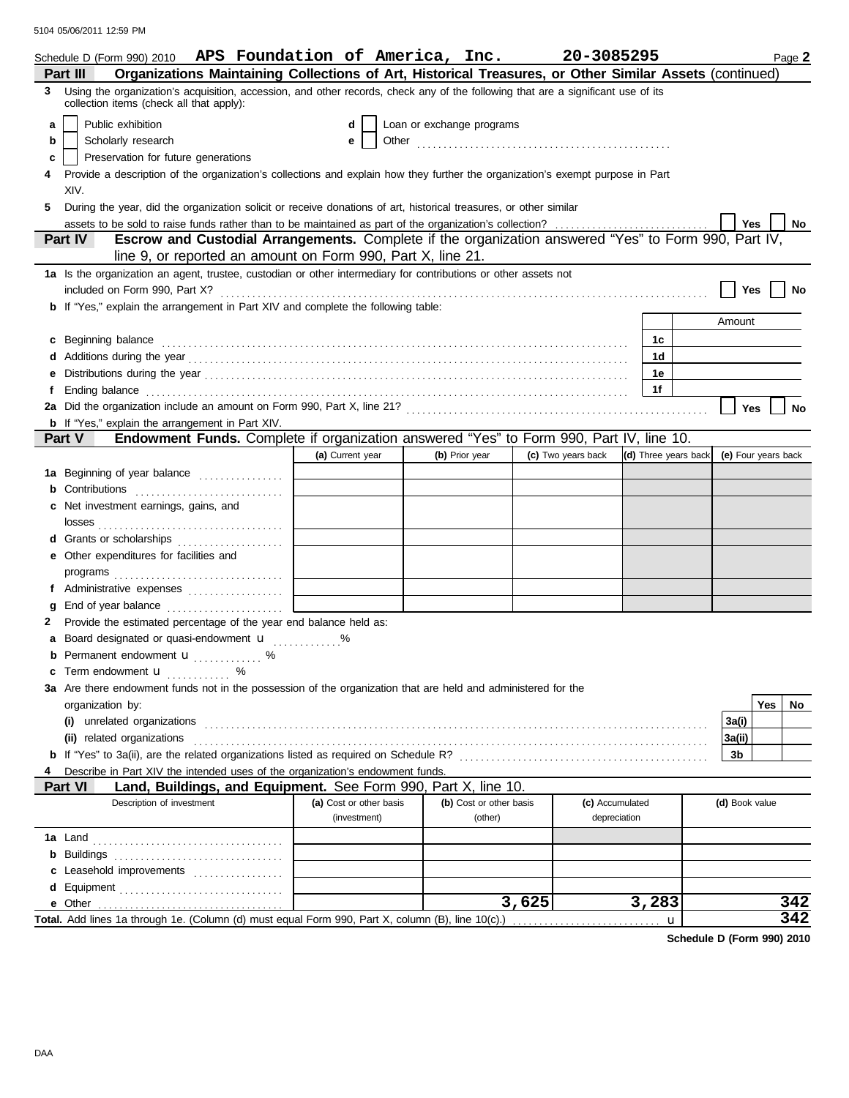|   | Schedule D (Form 990) 2010 APS Foundation of America, Inc.                                                                                                                                                                     |                                         |                                    | 20-3085295         |                                 | Page 2              |
|---|--------------------------------------------------------------------------------------------------------------------------------------------------------------------------------------------------------------------------------|-----------------------------------------|------------------------------------|--------------------|---------------------------------|---------------------|
|   | Organizations Maintaining Collections of Art, Historical Treasures, or Other Similar Assets (continued)<br>Part III                                                                                                            |                                         |                                    |                    |                                 |                     |
| 3 | Using the organization's acquisition, accession, and other records, check any of the following that are a significant use of its<br>collection items (check all that apply):                                                   |                                         |                                    |                    |                                 |                     |
| a | Public exhibition                                                                                                                                                                                                              | d                                       | Loan or exchange programs          |                    |                                 |                     |
| b | Scholarly research                                                                                                                                                                                                             | е                                       |                                    |                    |                                 |                     |
| c | Preservation for future generations                                                                                                                                                                                            |                                         |                                    |                    |                                 |                     |
|   | Provide a description of the organization's collections and explain how they further the organization's exempt purpose in Part                                                                                                 |                                         |                                    |                    |                                 |                     |
|   | XIV.                                                                                                                                                                                                                           |                                         |                                    |                    |                                 |                     |
| 5 | During the year, did the organization solicit or receive donations of art, historical treasures, or other similar                                                                                                              |                                         |                                    |                    |                                 |                     |
|   | assets to be sold to raise funds rather than to be maintained as part of the organization's collection?                                                                                                                        |                                         |                                    |                    |                                 | Yes<br>No.          |
|   | Escrow and Custodial Arrangements. Complete if the organization answered "Yes" to Form 990, Part IV,<br><b>Part IV</b>                                                                                                         |                                         |                                    |                    |                                 |                     |
|   | line 9, or reported an amount on Form 990, Part X, line 21.                                                                                                                                                                    |                                         |                                    |                    |                                 |                     |
|   | 1a Is the organization an agent, trustee, custodian or other intermediary for contributions or other assets not                                                                                                                |                                         |                                    |                    |                                 |                     |
|   |                                                                                                                                                                                                                                |                                         |                                    |                    |                                 | <b>Yes</b><br>No    |
|   | b If "Yes," explain the arrangement in Part XIV and complete the following table:                                                                                                                                              |                                         |                                    |                    |                                 |                     |
|   |                                                                                                                                                                                                                                |                                         |                                    |                    |                                 | Amount              |
|   | c Beginning balance expression and contact the contract of the contract of the contract of the contract of the contract of the contract of the contract of the contract of the contract of the contract of the contract of the |                                         |                                    |                    | 1c                              |                     |
|   |                                                                                                                                                                                                                                |                                         |                                    |                    | 1d                              |                     |
| е |                                                                                                                                                                                                                                |                                         |                                    |                    | 1е                              |                     |
| f | Ending balance expressions are constructed and the construction of the construction of the construction of the construction of the construction of the construction of the construction of the construction of the constructio |                                         |                                    |                    | 1f                              |                     |
|   |                                                                                                                                                                                                                                |                                         |                                    |                    |                                 | Yes<br>No           |
|   | <b>b</b> If "Yes," explain the arrangement in Part XIV.                                                                                                                                                                        |                                         |                                    |                    |                                 |                     |
|   | Endowment Funds. Complete if organization answered "Yes" to Form 990, Part IV, line 10.<br><b>Part V</b>                                                                                                                       |                                         |                                    |                    |                                 |                     |
|   |                                                                                                                                                                                                                                | (a) Current year                        | (b) Prior year                     | (c) Two years back | (d) Three years back            | (e) Four years back |
|   | 1a Beginning of year balance [1] [1] [1] Beginning of year balance                                                                                                                                                             |                                         |                                    |                    |                                 |                     |
|   |                                                                                                                                                                                                                                |                                         |                                    |                    |                                 |                     |
|   | c Net investment earnings, gains, and                                                                                                                                                                                          |                                         |                                    |                    |                                 |                     |
|   |                                                                                                                                                                                                                                |                                         |                                    |                    |                                 |                     |
|   | d Grants or scholarships                                                                                                                                                                                                       |                                         |                                    |                    |                                 |                     |
|   | e Other expenditures for facilities and                                                                                                                                                                                        |                                         |                                    |                    |                                 |                     |
|   |                                                                                                                                                                                                                                |                                         |                                    |                    |                                 |                     |
|   | f Administrative expenses                                                                                                                                                                                                      |                                         |                                    |                    |                                 |                     |
| g | End of year balance                                                                                                                                                                                                            |                                         |                                    |                    |                                 |                     |
| 2 | Provide the estimated percentage of the year end balance held as:                                                                                                                                                              |                                         |                                    |                    |                                 |                     |
| a | Board designated or quasi-endowment <b>u</b> %                                                                                                                                                                                 |                                         |                                    |                    |                                 |                     |
|   | <b>b</b> Permanent endowment <b>u</b> %                                                                                                                                                                                        |                                         |                                    |                    |                                 |                     |
|   | <b>c</b> Term endowment $\mathbf{u}$<br>$\%$                                                                                                                                                                                   |                                         |                                    |                    |                                 |                     |
|   | 3a Are there endowment funds not in the possession of the organization that are held and administered for the                                                                                                                  |                                         |                                    |                    |                                 |                     |
|   | organization by:                                                                                                                                                                                                               |                                         |                                    |                    |                                 | <b>Yes</b><br>No.   |
|   |                                                                                                                                                                                                                                |                                         |                                    |                    |                                 | 3a(i)               |
|   | (ii) related organizations                                                                                                                                                                                                     |                                         |                                    |                    |                                 | 3a(ii)              |
|   |                                                                                                                                                                                                                                |                                         |                                    |                    |                                 | 3b                  |
|   | Describe in Part XIV the intended uses of the organization's endowment funds.                                                                                                                                                  |                                         |                                    |                    |                                 |                     |
|   | Land, Buildings, and Equipment. See Form 990, Part X, line 10.<br><b>Part VI</b>                                                                                                                                               |                                         |                                    |                    |                                 |                     |
|   | Description of investment                                                                                                                                                                                                      | (a) Cost or other basis<br>(investment) | (b) Cost or other basis<br>(other) |                    | (c) Accumulated<br>depreciation | (d) Book value      |
|   |                                                                                                                                                                                                                                |                                         |                                    |                    |                                 |                     |
|   |                                                                                                                                                                                                                                |                                         |                                    |                    |                                 |                     |
|   | c Leasehold improvements                                                                                                                                                                                                       |                                         |                                    |                    |                                 |                     |
|   | d Equipment                                                                                                                                                                                                                    |                                         |                                    |                    |                                 |                     |
|   |                                                                                                                                                                                                                                |                                         |                                    | 3,625              | 3,283                           | 342                 |
|   |                                                                                                                                                                                                                                |                                         |                                    |                    | u                               | 342                 |
|   |                                                                                                                                                                                                                                |                                         |                                    |                    |                                 |                     |

**Schedule D (Form 990) 2010**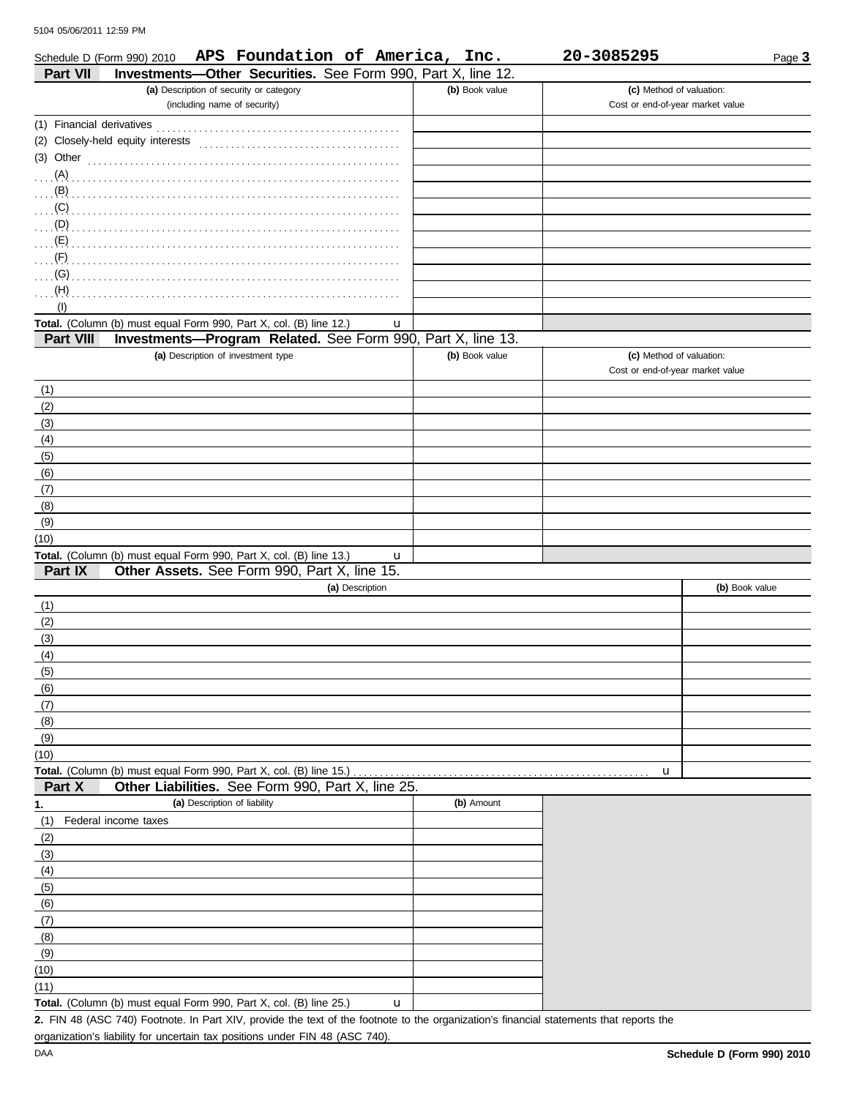| APS Foundation of America, Inc.<br>Schedule D (Form 990) 2010<br>Investments-Other Securities. See Form 990, Part X, line 12.<br><b>Part VII</b>           |                | 20-3085295                       | Page 3         |
|------------------------------------------------------------------------------------------------------------------------------------------------------------|----------------|----------------------------------|----------------|
| (a) Description of security or category                                                                                                                    | (b) Book value | (c) Method of valuation:         |                |
| (including name of security)                                                                                                                               |                | Cost or end-of-year market value |                |
|                                                                                                                                                            |                |                                  |                |
|                                                                                                                                                            |                |                                  |                |
|                                                                                                                                                            |                |                                  |                |
|                                                                                                                                                            |                |                                  |                |
|                                                                                                                                                            |                |                                  |                |
|                                                                                                                                                            |                |                                  |                |
|                                                                                                                                                            |                |                                  |                |
| $\ldots$ (E) $\ldots$                                                                                                                                      |                |                                  |                |
|                                                                                                                                                            |                |                                  |                |
| . (G)                                                                                                                                                      |                |                                  |                |
| $(H)$                                                                                                                                                      |                |                                  |                |
| (1)                                                                                                                                                        |                |                                  |                |
| Total. (Column (b) must equal Form 990, Part X, col. (B) line 12.)<br>u<br>Investments-Program Related. See Form 990, Part X, line 13.<br><b>Part VIII</b> |                |                                  |                |
| (a) Description of investment type                                                                                                                         | (b) Book value | (c) Method of valuation:         |                |
|                                                                                                                                                            |                | Cost or end-of-year market value |                |
| (1)                                                                                                                                                        |                |                                  |                |
| (2)                                                                                                                                                        |                |                                  |                |
| (3)                                                                                                                                                        |                |                                  |                |
| (4)                                                                                                                                                        |                |                                  |                |
| (5)                                                                                                                                                        |                |                                  |                |
| (6)                                                                                                                                                        |                |                                  |                |
| (7)                                                                                                                                                        |                |                                  |                |
| (8)                                                                                                                                                        |                |                                  |                |
| (9)                                                                                                                                                        |                |                                  |                |
| (10)                                                                                                                                                       |                |                                  |                |
| Total. (Column (b) must equal Form 990, Part X, col. (B) line 13.)<br>u                                                                                    |                |                                  |                |
| Part IX<br>Other Assets. See Form 990, Part X, line 15.                                                                                                    |                |                                  |                |
| (a) Description                                                                                                                                            |                |                                  | (b) Book value |
| (1)<br>(2)                                                                                                                                                 |                |                                  |                |
| (3)                                                                                                                                                        |                |                                  |                |
| (4)                                                                                                                                                        |                |                                  |                |
| (၁)                                                                                                                                                        |                |                                  |                |
| (6)                                                                                                                                                        |                |                                  |                |
| (7)                                                                                                                                                        |                |                                  |                |
| (8)                                                                                                                                                        |                |                                  |                |
| (9)                                                                                                                                                        |                |                                  |                |
| (10)                                                                                                                                                       |                |                                  |                |
| Total. (Column (b) must equal Form 990, Part X, col. (B) line 15.)                                                                                         |                | u                                |                |
| Other Liabilities. See Form 990, Part X, line 25.<br>Part X                                                                                                |                |                                  |                |
| (a) Description of liability<br>1.                                                                                                                         | (b) Amount     |                                  |                |
| Federal income taxes<br>(1)                                                                                                                                |                |                                  |                |
| (2)                                                                                                                                                        |                |                                  |                |
| (3)<br>(4)                                                                                                                                                 |                |                                  |                |
| (5)                                                                                                                                                        |                |                                  |                |
| (6)                                                                                                                                                        |                |                                  |                |
| (7)                                                                                                                                                        |                |                                  |                |
| (8)                                                                                                                                                        |                |                                  |                |
| (9)                                                                                                                                                        |                |                                  |                |
| (10)                                                                                                                                                       |                |                                  |                |
| (11)                                                                                                                                                       |                |                                  |                |
| Total. (Column (b) must equal Form 990, Part X, col. (B) line 25.)<br>u                                                                                    |                |                                  |                |

FIN 48 (ASC 740) Footnote. In Part XIV, provide the text of the footnote to the organization's financial statements that reports the **2.** organization's liability for uncertain tax positions under FIN 48 (ASC 740).

| <u>UU CU II LAJJII I</u> |  |  |  |  |
|--------------------------|--|--|--|--|
|                          |  |  |  |  |
|                          |  |  |  |  |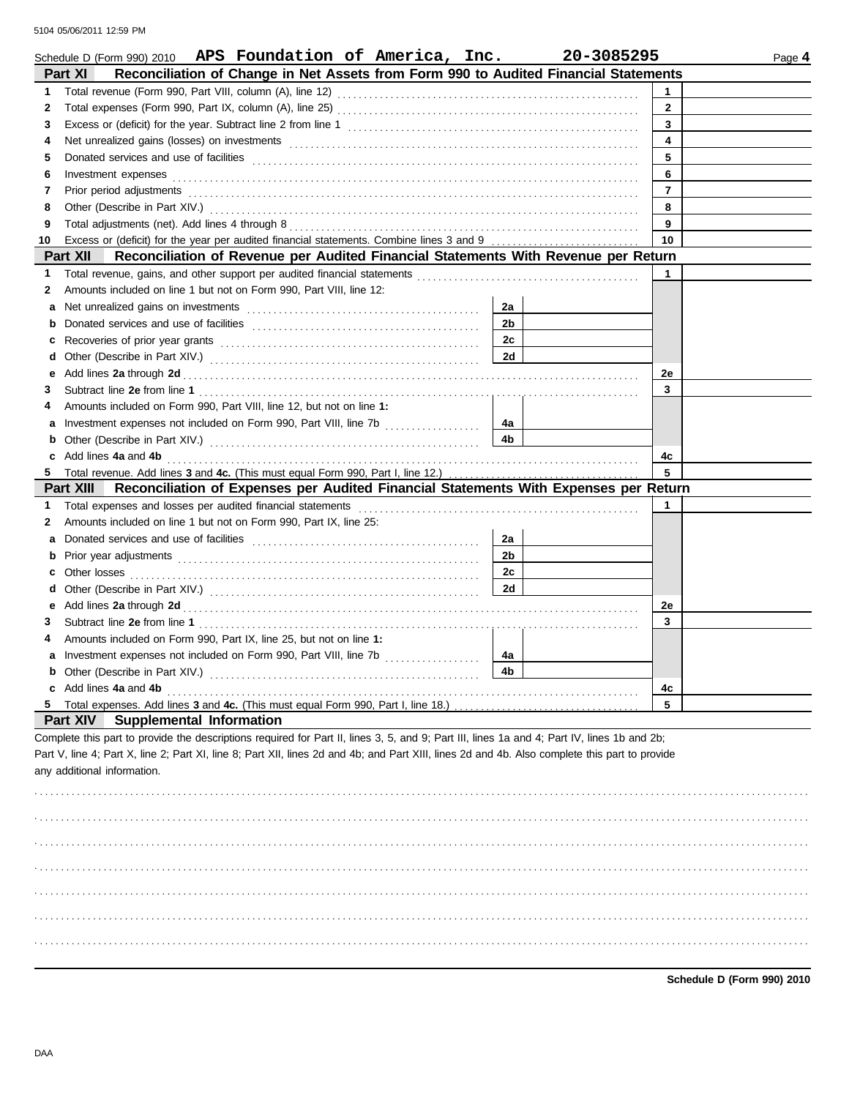|    | Schedule D (Form 990) 2010 APS Foundation of America, Inc.                                                                                                                                                                     |                | 20-3085295 | Page 4         |
|----|--------------------------------------------------------------------------------------------------------------------------------------------------------------------------------------------------------------------------------|----------------|------------|----------------|
|    | Reconciliation of Change in Net Assets from Form 990 to Audited Financial Statements<br><b>Part XI</b>                                                                                                                         |                |            |                |
| 1  |                                                                                                                                                                                                                                |                |            | $\mathbf 1$    |
| 2  |                                                                                                                                                                                                                                |                |            | $\mathbf{2}$   |
| 3  |                                                                                                                                                                                                                                |                |            | 3              |
| 4  |                                                                                                                                                                                                                                |                |            | 4              |
| 5  |                                                                                                                                                                                                                                |                |            | 5              |
| 6  | Investment expenses examples and according to the state of the state of the state of the state of the state of the state of the state of the state of the state of the state of the state of the state of the state of the sta |                |            | 6              |
| 7  | Prior period adjustments [11] production contracts and contracts and contracts and contracts and contracts and contracts and contracts and contracts and contracts and contracts and contracts and contracts and contracts and |                |            | $\overline{7}$ |
| 8  |                                                                                                                                                                                                                                |                |            | 8              |
| 9  |                                                                                                                                                                                                                                |                |            | 9              |
| 10 |                                                                                                                                                                                                                                |                |            | 10             |
|    | Part XII<br>Reconciliation of Revenue per Audited Financial Statements With Revenue per Return                                                                                                                                 |                |            |                |
| 1  |                                                                                                                                                                                                                                |                |            | 1              |
| 2  | Amounts included on line 1 but not on Form 990, Part VIII, line 12:                                                                                                                                                            |                |            |                |
| a  |                                                                                                                                                                                                                                | 2a             |            |                |
|    |                                                                                                                                                                                                                                | 2 <sub>b</sub> |            |                |
| c  |                                                                                                                                                                                                                                | 2c             |            |                |
| d  |                                                                                                                                                                                                                                | 2d             |            |                |
| е  |                                                                                                                                                                                                                                |                |            | 2e             |
| 3  |                                                                                                                                                                                                                                |                |            | 3              |
| 4  | Amounts included on Form 990, Part VIII, line 12, but not on line 1:                                                                                                                                                           |                |            |                |
| а  |                                                                                                                                                                                                                                | 4a             |            |                |
| b  |                                                                                                                                                                                                                                | 4b             |            |                |
|    | c Add lines 4a and 4b                                                                                                                                                                                                          |                |            | 4c             |
|    | 5 Total revenue. Add lines 3 and 4c. (This must equal Form 990, Part I, line 12.)                                                                                                                                              |                |            | 5              |
|    | Reconciliation of Expenses per Audited Financial Statements With Expenses per Return<br>Part XIII                                                                                                                              |                |            |                |
| 1. | Total expenses and losses per audited financial statements                                                                                                                                                                     |                |            | 1              |
| 2  | Amounts included on line 1 but not on Form 990, Part IX, line 25:                                                                                                                                                              |                |            |                |
| a  |                                                                                                                                                                                                                                | 2a             |            |                |
| b  |                                                                                                                                                                                                                                | 2 <sub>b</sub> |            |                |
| с  | Other losses                                                                                                                                                                                                                   | 2c             |            |                |
| d  |                                                                                                                                                                                                                                | 2d             |            |                |
| е  | Add lines 2a through 2d [11] Add [12] Add lines 2a through 2d [12] Add lines 2a through 2d [12] Add lines 2a through 2d [12] Add and the set of the set of the set of the set of the set of the set of the set of the set of t |                |            | 2e             |
| 3  |                                                                                                                                                                                                                                |                |            | 3              |
| 4  | Amounts included on Form 990, Part IX, line 25, but not on line 1:                                                                                                                                                             |                |            |                |
|    |                                                                                                                                                                                                                                | 4a             |            |                |
|    | <b>b</b> Other (Describe in Part XIV.)                                                                                                                                                                                         | 4 <sub>b</sub> |            |                |
|    | c Add lines 4a and 4b                                                                                                                                                                                                          |                |            | 4c             |
| 5  | Total expenses. Add lines 3 and 4c. (This must equal Form 990, Part I, line 18.)                                                                                                                                               |                |            | 5              |
|    | Part XIV<br><b>Supplemental Information</b>                                                                                                                                                                                    |                |            |                |
|    | Complete this part to provide the descriptions required for Part II, lines 3, 5, and 9; Part III, lines 1a and 4; Part IV, lines 1b and 2b;                                                                                    |                |            |                |
|    | Part V, line 4; Part X, line 2; Part XI, line 8; Part XII, lines 2d and 4b; and Part XIII, lines 2d and 4b. Also complete this part to provide                                                                                 |                |            |                |
|    | any additional information.                                                                                                                                                                                                    |                |            |                |
|    |                                                                                                                                                                                                                                |                |            |                |
|    |                                                                                                                                                                                                                                |                |            |                |
|    |                                                                                                                                                                                                                                |                |            |                |
|    |                                                                                                                                                                                                                                |                |            |                |
|    |                                                                                                                                                                                                                                |                |            |                |
|    |                                                                                                                                                                                                                                |                |            |                |
|    |                                                                                                                                                                                                                                |                |            |                |
|    |                                                                                                                                                                                                                                |                |            |                |
|    |                                                                                                                                                                                                                                |                |            |                |
|    |                                                                                                                                                                                                                                |                |            |                |
|    |                                                                                                                                                                                                                                |                |            |                |
|    |                                                                                                                                                                                                                                |                |            |                |

**Schedule D (Form 990) 2010**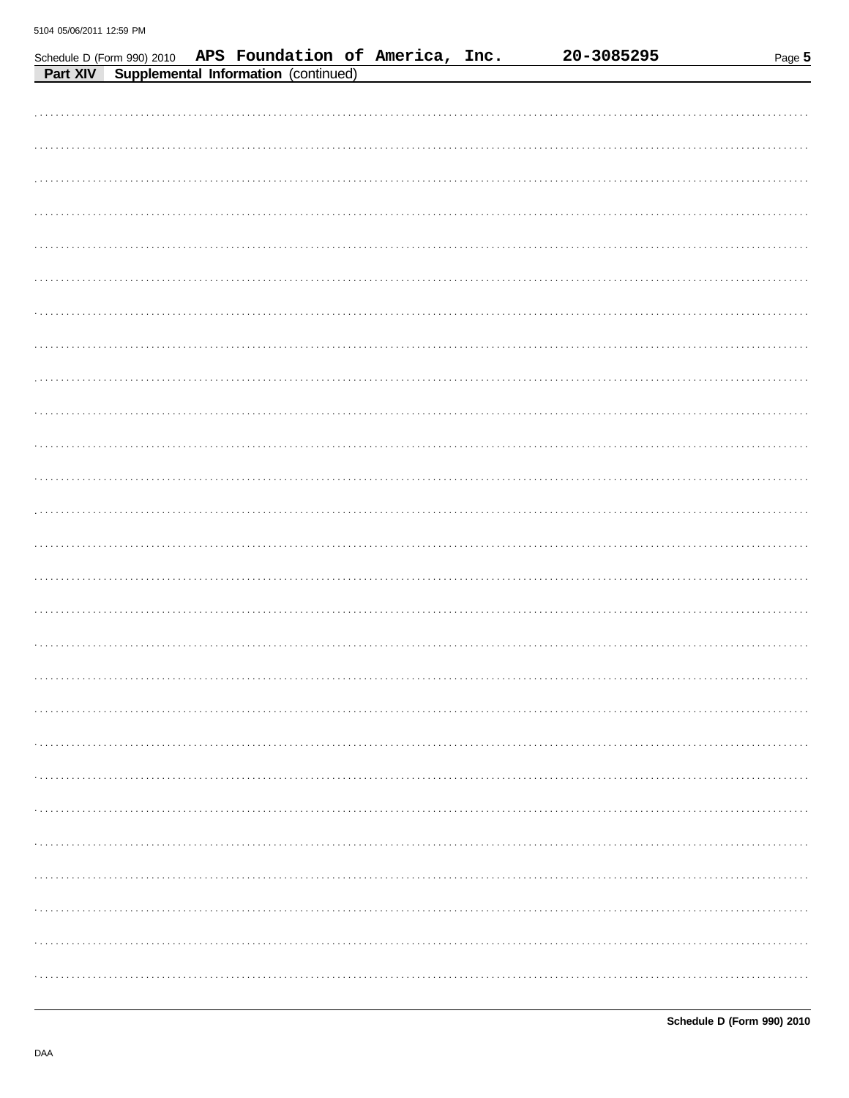| Schedule D (Form 990) 2010 APS Foundation of America, Inc. |                                      |  |  | 20-3085295 | Page 5 |
|------------------------------------------------------------|--------------------------------------|--|--|------------|--------|
| Part XIV                                                   | Supplemental Information (continued) |  |  |            |        |
|                                                            |                                      |  |  |            |        |
|                                                            |                                      |  |  |            |        |
|                                                            |                                      |  |  |            |        |
|                                                            |                                      |  |  |            |        |
|                                                            |                                      |  |  |            |        |
|                                                            |                                      |  |  |            |        |
|                                                            |                                      |  |  |            |        |
|                                                            |                                      |  |  |            |        |
|                                                            |                                      |  |  |            |        |
|                                                            |                                      |  |  |            |        |
|                                                            |                                      |  |  |            |        |
|                                                            |                                      |  |  |            |        |
|                                                            |                                      |  |  |            |        |
|                                                            |                                      |  |  |            |        |
|                                                            |                                      |  |  |            |        |
|                                                            |                                      |  |  |            |        |
|                                                            |                                      |  |  |            |        |
|                                                            |                                      |  |  |            |        |
|                                                            |                                      |  |  |            |        |
|                                                            |                                      |  |  |            |        |
|                                                            |                                      |  |  |            |        |
|                                                            |                                      |  |  |            |        |
|                                                            |                                      |  |  |            |        |
|                                                            |                                      |  |  |            |        |
|                                                            |                                      |  |  |            |        |
|                                                            |                                      |  |  |            |        |
|                                                            |                                      |  |  |            |        |
|                                                            |                                      |  |  |            |        |
|                                                            |                                      |  |  |            |        |
|                                                            |                                      |  |  |            |        |
|                                                            |                                      |  |  |            |        |
|                                                            |                                      |  |  |            |        |
|                                                            |                                      |  |  |            |        |
|                                                            |                                      |  |  |            |        |
|                                                            |                                      |  |  |            |        |
|                                                            |                                      |  |  |            |        |
|                                                            |                                      |  |  |            |        |
|                                                            |                                      |  |  |            |        |
|                                                            |                                      |  |  |            |        |
|                                                            |                                      |  |  |            |        |
|                                                            |                                      |  |  |            |        |
|                                                            |                                      |  |  |            |        |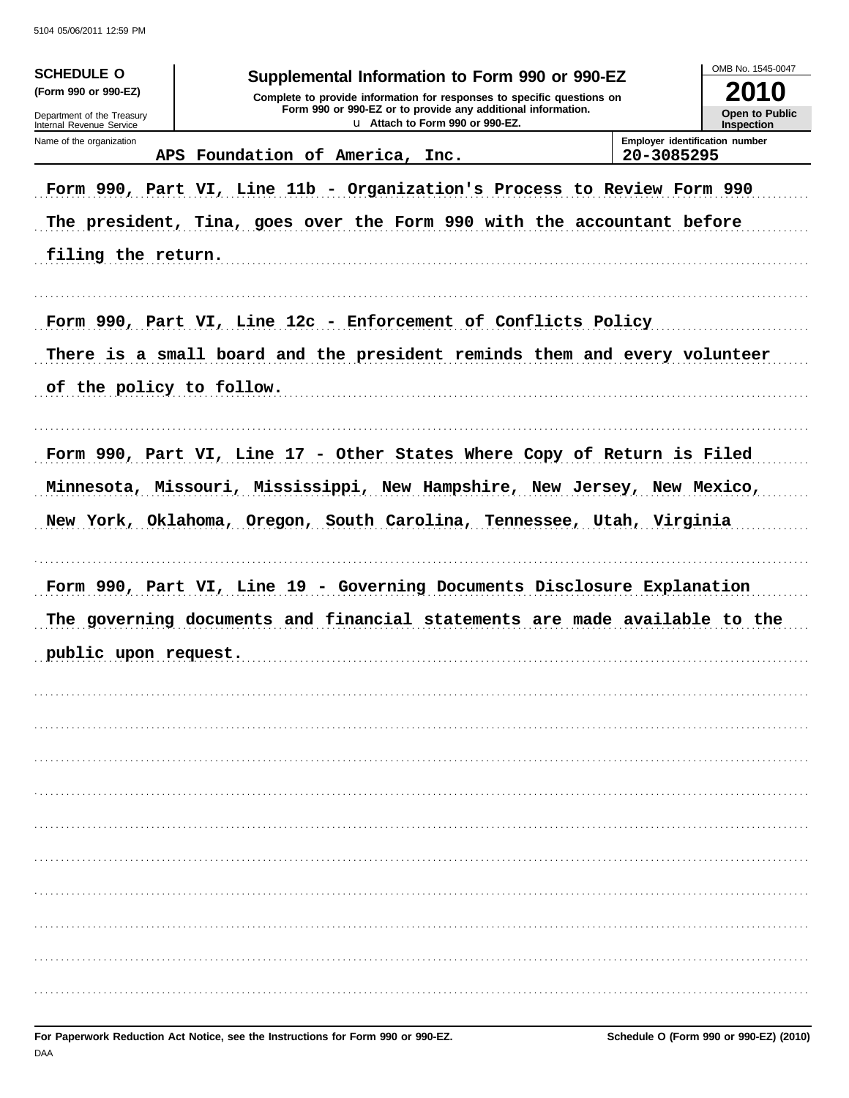| <b>SCHEDULE O</b><br>(Form 990 or 990-EZ)<br>Department of the Treasury<br>Internal Revenue Service |                                                                                                                                                                                                                              | Supplemental Information to Form 990 or 990-EZ<br>Complete to provide information for responses to specific questions on<br>Form 990 or 990-EZ or to provide any additional information.<br>u Attach to Form 990 or 990-EZ. |            | OMB No. 1545-0047<br>U<br><b>Open to Public</b><br>Inspection |
|-----------------------------------------------------------------------------------------------------|------------------------------------------------------------------------------------------------------------------------------------------------------------------------------------------------------------------------------|-----------------------------------------------------------------------------------------------------------------------------------------------------------------------------------------------------------------------------|------------|---------------------------------------------------------------|
| Name of the organization<br><b>APS</b>                                                              | Foundation of America, Inc.                                                                                                                                                                                                  |                                                                                                                                                                                                                             | 20-3085295 | Employer identification number                                |
| filing the return.                                                                                  | Form 990, Part VI, Line 11b - Organization's Process to Review Form 990<br>The president, Tina, goes over the Form 990 with the accountant before                                                                            |                                                                                                                                                                                                                             |            |                                                               |
| of the policy to follow.                                                                            | Form 990, Part VI, Line 12c - Enforcement of Conflicts Policy<br>There is a small board and the president reminds them and every volunteer                                                                                   |                                                                                                                                                                                                                             |            |                                                               |
|                                                                                                     | Form 990, Part VI, Line 17 - Other States Where Copy of Return is Filed<br>Minnesota, Missouri, Mississippi, New Hampshire, New Jersey, New Mexico,<br>New York, Oklahoma, Oregon, South Carolina, Tennessee, Utah, Virginia |                                                                                                                                                                                                                             |            |                                                               |
| public upon request.                                                                                | Form 990, Part VI, Line 19 - Governing Documents Disclosure Explanation<br>The governing documents and financial statements are made available to the                                                                        |                                                                                                                                                                                                                             |            |                                                               |
|                                                                                                     |                                                                                                                                                                                                                              |                                                                                                                                                                                                                             |            |                                                               |
|                                                                                                     |                                                                                                                                                                                                                              |                                                                                                                                                                                                                             |            |                                                               |
|                                                                                                     |                                                                                                                                                                                                                              |                                                                                                                                                                                                                             |            |                                                               |
|                                                                                                     |                                                                                                                                                                                                                              |                                                                                                                                                                                                                             |            |                                                               |
|                                                                                                     |                                                                                                                                                                                                                              |                                                                                                                                                                                                                             |            |                                                               |
|                                                                                                     |                                                                                                                                                                                                                              |                                                                                                                                                                                                                             |            |                                                               |
|                                                                                                     |                                                                                                                                                                                                                              |                                                                                                                                                                                                                             |            |                                                               |
|                                                                                                     |                                                                                                                                                                                                                              |                                                                                                                                                                                                                             |            |                                                               |
|                                                                                                     |                                                                                                                                                                                                                              |                                                                                                                                                                                                                             |            |                                                               |
|                                                                                                     |                                                                                                                                                                                                                              |                                                                                                                                                                                                                             |            |                                                               |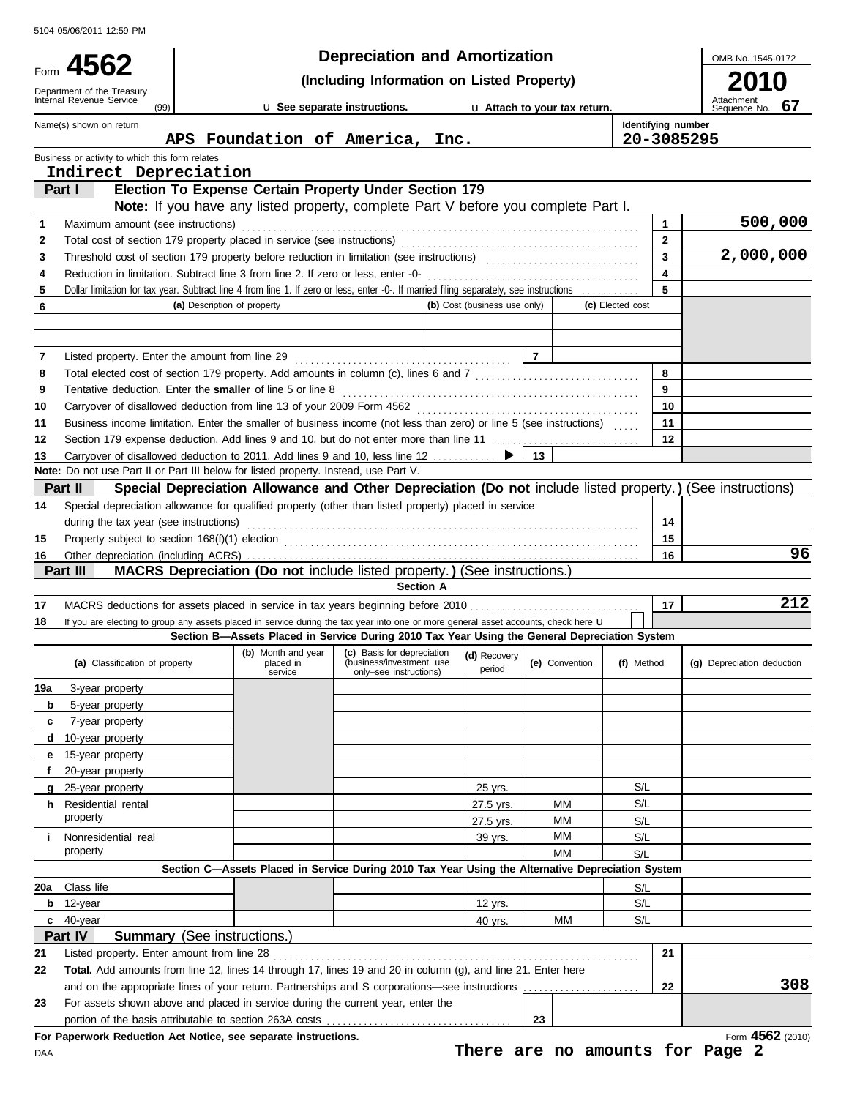|        |                                                                                      |                             |                      | <b>Depreciation and Amortization</b>                                                                                                                                                                                    |                              |                              |                  |                                  | OMB No. 1545-0172                |
|--------|--------------------------------------------------------------------------------------|-----------------------------|----------------------|-------------------------------------------------------------------------------------------------------------------------------------------------------------------------------------------------------------------------|------------------------------|------------------------------|------------------|----------------------------------|----------------------------------|
| Form   | 4562                                                                                 |                             |                      | (Including Information on Listed Property)                                                                                                                                                                              |                              |                              |                  |                                  | 2010                             |
|        | Department of the Treasury<br>Internal Revenue Service<br>(99)                       |                             |                      | u See separate instructions.                                                                                                                                                                                            |                              | u Attach to your tax return. |                  |                                  | Attachment<br>Sequence No.<br>67 |
|        | Name(s) shown on return                                                              |                             |                      | APS Foundation of America, Inc.                                                                                                                                                                                         |                              |                              |                  | Identifying number<br>20-3085295 |                                  |
|        | Business or activity to which this form relates                                      |                             |                      |                                                                                                                                                                                                                         |                              |                              |                  |                                  |                                  |
|        | Indirect Depreciation                                                                |                             |                      |                                                                                                                                                                                                                         |                              |                              |                  |                                  |                                  |
|        | Part I                                                                               |                             |                      | Election To Expense Certain Property Under Section 179                                                                                                                                                                  |                              |                              |                  |                                  |                                  |
|        |                                                                                      |                             |                      | Note: If you have any listed property, complete Part V before you complete Part I.                                                                                                                                      |                              |                              |                  |                                  | 500,000                          |
| 1<br>2 | Maximum amount (see instructions)                                                    |                             |                      |                                                                                                                                                                                                                         |                              |                              |                  | 1<br>$\mathbf{2}$                |                                  |
| 3      |                                                                                      |                             |                      |                                                                                                                                                                                                                         |                              |                              |                  | 3                                | 2,000,000                        |
| 4      | Reduction in limitation. Subtract line 3 from line 2. If zero or less, enter -0-     |                             |                      |                                                                                                                                                                                                                         |                              |                              |                  | 4                                |                                  |
| 5      |                                                                                      |                             |                      | Dollar limitation for tax year. Subtract line 4 from line 1. If zero or less, enter -0-. If married filing separately, see instructions                                                                                 |                              |                              |                  | 5                                |                                  |
| 6      |                                                                                      | (a) Description of property |                      |                                                                                                                                                                                                                         | (b) Cost (business use only) |                              | (c) Elected cost |                                  |                                  |
|        |                                                                                      |                             |                      |                                                                                                                                                                                                                         |                              |                              |                  |                                  |                                  |
| 7      | Listed property. Enter the amount from line 29                                       |                             |                      |                                                                                                                                                                                                                         |                              | $\overline{7}$               |                  |                                  |                                  |
| 8      |                                                                                      |                             |                      | Total elected cost of section 179 property. Add amounts in column (c), lines 6 and 7 [1] [1] [1] [1] [1] [1] [1] [1] Total elected cost of section 179 property. Add amounts in column (c), lines 6 and 7 [1] [1] $(1)$ |                              |                              |                  | 8                                |                                  |
| 9      | Tentative deduction. Enter the smaller of line 5 or line 8                           |                             |                      |                                                                                                                                                                                                                         |                              |                              |                  | 9                                |                                  |
| 10     |                                                                                      |                             |                      |                                                                                                                                                                                                                         |                              |                              |                  | 10                               |                                  |
| 11     |                                                                                      |                             |                      | Business income limitation. Enter the smaller of business income (not less than zero) or line 5 (see instructions)                                                                                                      |                              |                              |                  | 11                               |                                  |
| 12     |                                                                                      |                             |                      | Section 179 expense deduction. Add lines 9 and 10, but do not enter more than line 11                                                                                                                                   |                              |                              |                  | 12                               |                                  |
| 13     | Note: Do not use Part II or Part III below for listed property. Instead, use Part V. |                             |                      | Carryover of disallowed deduction to 2011. Add lines 9 and 10, less line 12                                                                                                                                             | ▶                            | 13                           |                  |                                  |                                  |
|        | Part II                                                                              |                             |                      | Special Depreciation Allowance and Other Depreciation (Do not include listed property.) (See instructions)                                                                                                              |                              |                              |                  |                                  |                                  |
| 14     |                                                                                      |                             |                      | Special depreciation allowance for qualified property (other than listed property) placed in service                                                                                                                    |                              |                              |                  |                                  |                                  |
|        | during the tax year (see instructions)                                               |                             |                      |                                                                                                                                                                                                                         |                              |                              |                  | 14                               |                                  |
| 15     |                                                                                      |                             |                      |                                                                                                                                                                                                                         |                              |                              |                  | 15                               |                                  |
| 16     |                                                                                      |                             |                      |                                                                                                                                                                                                                         |                              |                              |                  | 16                               | 96                               |
|        | Part III                                                                             |                             |                      | <b>MACRS Depreciation (Do not include listed property.) (See instructions.)</b><br><b>Section A</b>                                                                                                                     |                              |                              |                  |                                  |                                  |
| 17     |                                                                                      |                             |                      | MACRS deductions for assets placed in service in tax years beginning before 2010                                                                                                                                        |                              |                              |                  | 17                               | 212                              |
| 18     |                                                                                      |                             |                      | If you are electing to group any assets placed in service during the tax year into one or more general asset accounts, check here <b>u</b>                                                                              |                              |                              |                  |                                  |                                  |
|        |                                                                                      |                             |                      | Section B-Assets Placed in Service During 2010 Tax Year Using the General Depreciation System                                                                                                                           |                              |                              |                  |                                  |                                  |
|        | (a) Classification of property                                                       |                             | placed in<br>service | (b) Month and year (c) Basis for depreciation (d) Recovery<br>(business/investment use<br>only-see instructions)                                                                                                        | period                       | (e) Convention               | (f) Method       |                                  | (g) Depreciation deduction       |
| 19a    | 3-year property                                                                      |                             |                      |                                                                                                                                                                                                                         |                              |                              |                  |                                  |                                  |
| b      | 5-year property                                                                      |                             |                      |                                                                                                                                                                                                                         |                              |                              |                  |                                  |                                  |
| c      | 7-year property                                                                      |                             |                      |                                                                                                                                                                                                                         |                              |                              |                  |                                  |                                  |
| d<br>е | 10-year property<br>15-year property                                                 |                             |                      |                                                                                                                                                                                                                         |                              |                              |                  |                                  |                                  |
| f      | 20-year property                                                                     |                             |                      |                                                                                                                                                                                                                         |                              |                              |                  |                                  |                                  |
| q      | 25-year property                                                                     |                             |                      |                                                                                                                                                                                                                         | 25 yrs.                      |                              | S/L              |                                  |                                  |
| h.     | Residential rental                                                                   |                             |                      |                                                                                                                                                                                                                         | 27.5 yrs.                    | МM                           | S/L              |                                  |                                  |
|        | property                                                                             |                             |                      |                                                                                                                                                                                                                         | 27.5 yrs.                    | MМ                           | S/L              |                                  |                                  |
| i.     | Nonresidential real<br>property                                                      |                             |                      |                                                                                                                                                                                                                         | 39 yrs.                      | MМ                           | S/L              |                                  |                                  |
|        |                                                                                      |                             |                      | Section C-Assets Placed in Service During 2010 Tax Year Using the Alternative Depreciation System                                                                                                                       |                              | МM                           | S/L              |                                  |                                  |
| 20a    | Class life                                                                           |                             |                      |                                                                                                                                                                                                                         |                              |                              | S/L              |                                  |                                  |
|        | $b$ 12-year                                                                          |                             |                      |                                                                                                                                                                                                                         | 12 yrs.                      |                              | S/L              |                                  |                                  |
| C.     | 40-year                                                                              |                             |                      |                                                                                                                                                                                                                         | 40 yrs.                      | MM                           | S/L              |                                  |                                  |
|        | Part IV<br><b>Summary</b> (See instructions.)                                        |                             |                      |                                                                                                                                                                                                                         |                              |                              |                  |                                  |                                  |
| 21     | Listed property. Enter amount from line 28                                           |                             |                      |                                                                                                                                                                                                                         |                              |                              |                  | 21                               |                                  |
| 22     |                                                                                      |                             |                      | Total. Add amounts from line 12, lines 14 through 17, lines 19 and 20 in column (g), and line 21. Enter here                                                                                                            |                              |                              |                  |                                  | 308                              |
| 23     |                                                                                      |                             |                      | and on the appropriate lines of your return. Partnerships and S corporations—see instructions<br>For assets shown above and placed in service during the current year, enter the                                        |                              |                              |                  | 22                               |                                  |
|        |                                                                                      |                             |                      |                                                                                                                                                                                                                         |                              | 23                           |                  |                                  |                                  |
|        | For Paperwork Reduction Act Notice, see separate instructions.                       |                             |                      |                                                                                                                                                                                                                         |                              |                              |                  |                                  | Form 4562 (2010)                 |

DAA